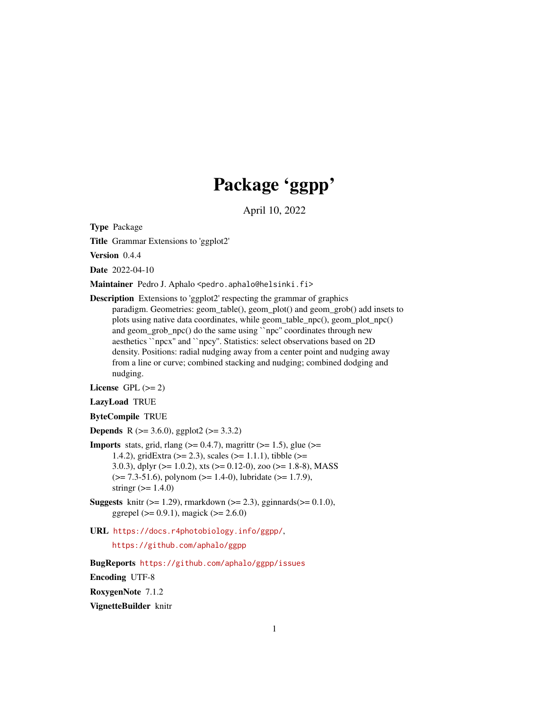# Package 'ggpp'

April 10, 2022

<span id="page-0-0"></span>Type Package

Title Grammar Extensions to 'ggplot2'

Version 0.4.4

Date 2022-04-10

Maintainer Pedro J. Aphalo <pedro.aphalo@helsinki.fi>

Description Extensions to 'ggplot2' respecting the grammar of graphics paradigm. Geometries: geom\_table(), geom\_plot() and geom\_grob() add insets to plots using native data coordinates, while geom\_table\_npc(), geom\_plot\_npc() and geom\_grob\_npc() do the same using ``npc'' coordinates through new aesthetics ``npcx'' and ``npcy''. Statistics: select observations based on 2D density. Positions: radial nudging away from a center point and nudging away from a line or curve; combined stacking and nudging; combined dodging and nudging.

License GPL  $(>= 2)$ 

LazyLoad TRUE

ByteCompile TRUE

**Depends** R ( $>= 3.6.0$ ), ggplot2 ( $>= 3.3.2$ )

- **Imports** stats, grid, rlang  $(>= 0.4.7)$ , magrittr  $(>= 1.5)$ , glue  $(>= 1.5)$ 1.4.2), gridExtra (>= 2.3), scales (>= 1.1.1), tibble (>= 3.0.3), dplyr ( $>= 1.0.2$ ), xts ( $>= 0.12$ -0), zoo ( $>= 1.8$ -8), MASS  $(>= 7.3-51.6)$ , polynom  $(>= 1.4-0)$ , lubridate  $(>= 1.7.9)$ , stringr  $(>= 1.4.0)$
- **Suggests** knitr ( $>= 1.29$ ), rmarkdown ( $>= 2.3$ ), gginnards( $>= 0.1.0$ ), ggrepel ( $> = 0.9.1$ ), magick ( $>= 2.6.0$ )
- URL <https://docs.r4photobiology.info/ggpp/>, <https://github.com/aphalo/ggpp>

BugReports <https://github.com/aphalo/ggpp/issues> Encoding UTF-8 RoxygenNote 7.1.2 VignetteBuilder knitr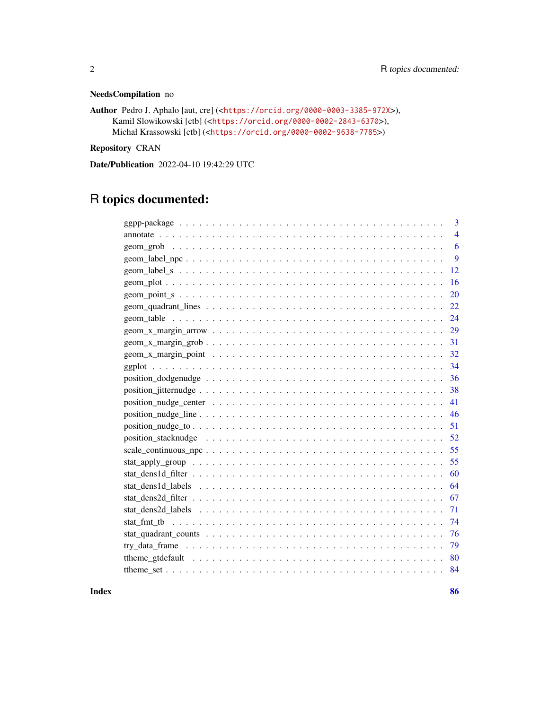### NeedsCompilation no

```
Author Pedro J. Aphalo [aut, cre] (<https://orcid.org/0000-0003-3385-972X>),
     Kamil Slowikowski [ctb] (<https://orcid.org/0000-0002-2843-6370>),
     Michał Krassowski [ctb] (<https://orcid.org/0000-0002-9638-7785>)
```
Repository CRAN

Date/Publication 2022-04-10 19:42:29 UTC

# R topics documented:

|      | 3              |
|------|----------------|
|      | $\overline{4}$ |
|      | 6              |
|      | 9              |
| 12   |                |
| 16   |                |
| 20   |                |
| 22   |                |
| 24   |                |
| 29   |                |
| 31   |                |
| 32   |                |
| 34   |                |
| 36   |                |
| 38   |                |
| 41   |                |
| 46   |                |
| 51   |                |
| 52   |                |
| 55   |                |
| 55   |                |
| 60   |                |
| 64   |                |
| 67   |                |
| 71   |                |
|      |                |
|      |                |
| - 79 |                |
| 80   |                |
| 84   |                |
|      |                |

**Index [86](#page-85-0). In the set of the set of the set of the set of the set of the set of the set of the set of the set of the set of the set of the set of the set of the set of the set of the set of the set of the set of the set of**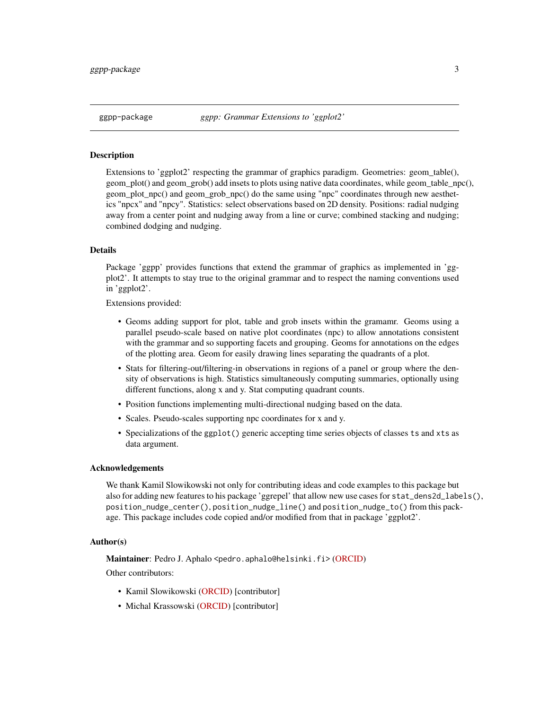<span id="page-2-0"></span>

### **Description**

Extensions to 'ggplot2' respecting the grammar of graphics paradigm. Geometries: geom\_table(), geom plot() and geom grob() add insets to plots using native data coordinates, while geom table npc(), geom\_plot\_npc() and geom\_grob\_npc() do the same using "npc" coordinates through new aesthetics "npcx" and "npcy". Statistics: select observations based on 2D density. Positions: radial nudging away from a center point and nudging away from a line or curve; combined stacking and nudging; combined dodging and nudging.

### Details

Package 'ggpp' provides functions that extend the grammar of graphics as implemented in 'ggplot2'. It attempts to stay true to the original grammar and to respect the naming conventions used in 'ggplot2'.

Extensions provided:

- Geoms adding support for plot, table and grob insets within the gramamr. Geoms using a parallel pseudo-scale based on native plot coordinates (npc) to allow annotations consistent with the grammar and so supporting facets and grouping. Geoms for annotations on the edges of the plotting area. Geom for easily drawing lines separating the quadrants of a plot.
- Stats for filtering-out/filtering-in observations in regions of a panel or group where the density of observations is high. Statistics simultaneously computing summaries, optionally using different functions, along x and y. Stat computing quadrant counts.
- Position functions implementing multi-directional nudging based on the data.
- Scales. Pseudo-scales supporting npc coordinates for x and y.
- Specializations of the ggplot() generic accepting time series objects of classes ts and xts as data argument.

### Acknowledgements

We thank Kamil Slowikowski not only for contributing ideas and code examples to this package but also for adding new features to his package 'ggrepel' that allow new use cases for stat\_dens2d\_labels(), position\_nudge\_center(), position\_nudge\_line() and position\_nudge\_to() from this package. This package includes code copied and/or modified from that in package 'ggplot2'.

### Author(s)

Maintainer: Pedro J. Aphalo <pedro.aphalo@helsinki.fi> [\(ORCID\)](https://orcid.org/0000-0003-3385-972X)

Other contributors:

- Kamil Slowikowski [\(ORCID\)](https://orcid.org/0000-0002-2843-6370) [contributor]
- Michal Krassowski [\(ORCID\)](https://orcid.org/0000-0002-9638-7785) [contributor]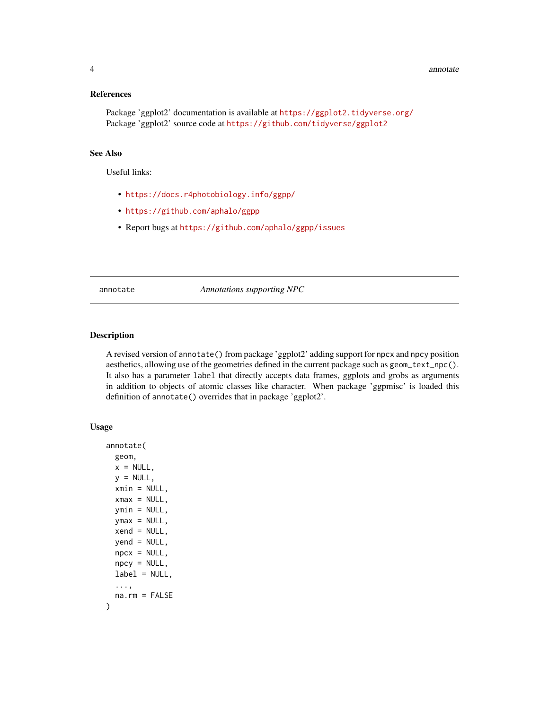### <span id="page-3-0"></span>References

Package 'ggplot2' documentation is available at <https://ggplot2.tidyverse.org/> Package 'ggplot2' source code at <https://github.com/tidyverse/ggplot2>

### See Also

Useful links:

- <https://docs.r4photobiology.info/ggpp/>
- <https://github.com/aphalo/ggpp>
- Report bugs at <https://github.com/aphalo/ggpp/issues>

<span id="page-3-1"></span>annotate *Annotations supporting NPC*

### Description

A revised version of annotate() from package 'ggplot2' adding support for npcx and npcy position aesthetics, allowing use of the geometries defined in the current package such as geom\_text\_npc(). It also has a parameter label that directly accepts data frames, ggplots and grobs as arguments in addition to objects of atomic classes like character. When package 'ggpmisc' is loaded this definition of annotate() overrides that in package 'ggplot2'.

```
annotate(
  geom,
 x = NULL,y = NULL,xmin = NULL,xmax = NULL,
  ymin = NULL,ymax = NULL,
  xend = NULL,yend = NULL,
 npcx = NULL,npcy = NULL,
 label = NULL,...,
 na.rm = FALSE
)
```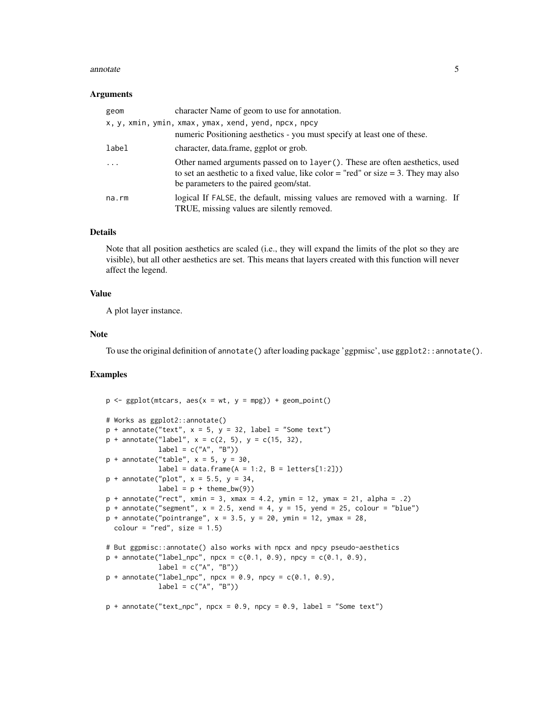### annotate 5

### Arguments

| geom    | character Name of geom to use for annotation.                                                                                                                                                                  |
|---------|----------------------------------------------------------------------------------------------------------------------------------------------------------------------------------------------------------------|
|         | x, y, xmin, ymin, xmax, ymax, xend, yend, npcx, npcy<br>numeric Positioning aesthetics - you must specify at least one of these.                                                                               |
| label   | character, data.frame, ggplot or grob.                                                                                                                                                                         |
| $\cdot$ | Other named arguments passed on to layer (). These are often aesthetics, used<br>to set an aesthetic to a fixed value, like color = "red" or size = 3. They may also<br>be parameters to the paired geom/stat. |
| na.rm   | logical If FALSE, the default, missing values are removed with a warning. If<br>TRUE, missing values are silently removed.                                                                                     |

### Details

Note that all position aesthetics are scaled (i.e., they will expand the limits of the plot so they are visible), but all other aesthetics are set. This means that layers created with this function will never affect the legend.

### Value

A plot layer instance.

### Note

To use the original definition of annotate() after loading package 'ggpmisc', use ggplot2::annotate().

```
p \leq - ggplot(mtcars, \text{aes}(x = wt, y = mpg)) + \text{geom\_point}()# Works as ggplot2::annotate()
p + annotate("text", x = 5, y = 32, label = "Some text")
p + annotate("label", x = c(2, 5), y = c(15, 32),
             label = c("A", "B")p + annotate("table", x = 5, y = 30,
            label = data-frame(A = 1:2, B = letters[1:2]))p + annotate("plot", x = 5.5, y = 34,
            label = p + the me_bw(9)p + annotate("rect", xmin = 3, xmax = 4.2, ymin = 12, ymax = 21, alpha = .2)
p + annotate("segment", x = 2.5, xend = 4, y = 15, yend = 25, colour = "blue")p + annotate("pointrange", x = 3.5, y = 20, ymin = 12, ymax = 28,
 color = "red", size = 1.5)# But ggpmisc::annotate() also works with npcx and npcy pseudo-aesthetics
p + annotate("label_npc", npcx = c(0.1, 0.9), npcy = c(0.1, 0.9),
            label = c("A", "B")p + annotate("label_npc", npcx = 0.9, npcy = c(0.1, 0.9),
            label = c("A", "B")p + annotate("text_npc", npcx = 0.9, npcy = 0.9, label = "Some text")
```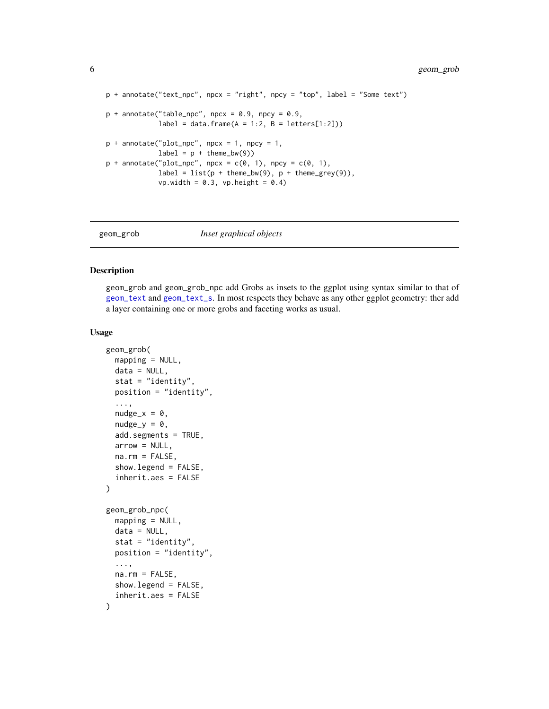```
p + annotate("text_npc", npcx = "right", npcy = "top", label = "Some text")
p + annotate("table_npc", npcx = 0.9, npcy = 0.9,
            label = data frame(A = 1:2, B = letters[1:2]))p + annotate("plot_npc", npcx = 1, npcy = 1,
            label = p + the me_bw(9)p + annotate("plot_npc", npcx = c(0, 1), npcy = c(0, 1),
            label = list(p + theme_bw(9), p + theme\_grey(9)),vp.width = 0.3, vp.height = 0.4)
```
<span id="page-5-1"></span>

### geom\_grob *Inset graphical objects*

### Description

geom\_grob and geom\_grob\_npc add Grobs as insets to the ggplot using syntax similar to that of [geom\\_text](#page-0-0) and [geom\\_text\\_s](#page-11-1). In most respects they behave as any other ggplot geometry: ther add a layer containing one or more grobs and faceting works as usual.

```
geom_grob(
 mapping = NULL,
  data = NULL,
  stat = "identity",
  position = "identity",
  ...,
  nudge_x = 0,
  nudge_y = 0,
  add.segments = TRUE,
  arrow = NULL,na.rm = FALSE,show.legend = FALSE,
  inherit.aes = FALSE
)
geom_grob_npc(
  mapping = NULL,
  data = NULL,stat = "identity",
  position = "identity",
  ...,
  na.rm = FALSE,show.legend = FALSE,
  inherit.aes = FALSE
)
```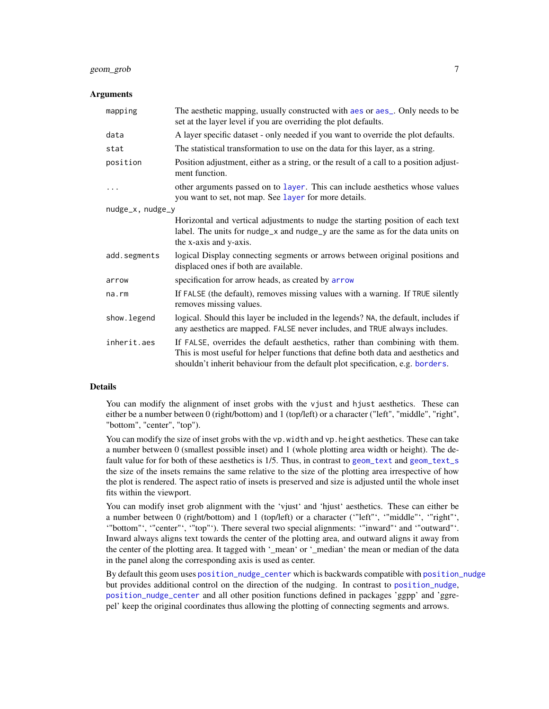### geom\_grob 7

### Arguments

| mapping          | The aesthetic mapping, usually constructed with aes or aes_. Only needs to be<br>set at the layer level if you are overriding the plot defaults.                                                                                                    |
|------------------|-----------------------------------------------------------------------------------------------------------------------------------------------------------------------------------------------------------------------------------------------------|
| data             | A layer specific dataset - only needed if you want to override the plot defaults.                                                                                                                                                                   |
| stat             | The statistical transformation to use on the data for this layer, as a string.                                                                                                                                                                      |
| position         | Position adjustment, either as a string, or the result of a call to a position adjust-<br>ment function.                                                                                                                                            |
| .                | other arguments passed on to layer. This can include aesthetics whose values<br>you want to set, not map. See layer for more details.                                                                                                               |
| nudge_x, nudge_y |                                                                                                                                                                                                                                                     |
|                  | Horizontal and vertical adjustments to nudge the starting position of each text<br>label. The units for nudge_x and nudge_y are the same as for the data units on<br>the x-axis and y-axis.                                                         |
| add.segments     | logical Display connecting segments or arrows between original positions and<br>displaced ones if both are available.                                                                                                                               |
| arrow            | specification for arrow heads, as created by arrow                                                                                                                                                                                                  |
| na.rm            | If FALSE (the default), removes missing values with a warning. If TRUE silently<br>removes missing values.                                                                                                                                          |
| show.legend      | logical. Should this layer be included in the legends? NA, the default, includes if<br>any aesthetics are mapped. FALSE never includes, and TRUE always includes.                                                                                   |
| inherit.aes      | If FALSE, overrides the default aesthetics, rather than combining with them.<br>This is most useful for helper functions that define both data and aesthetics and<br>shouldn't inherit behaviour from the default plot specification, e.g. borders. |

### Details

You can modify the alignment of inset grobs with the vjust and hjust aesthetics. These can either be a number between 0 (right/bottom) and 1 (top/left) or a character ("left", "middle", "right", "bottom", "center", "top").

You can modify the size of inset grobs with the vp. width and vp. height aesthetics. These can take a number between 0 (smallest possible inset) and 1 (whole plotting area width or height). The default value for for both of these aesthetics is 1/5. Thus, in contrast to [geom\\_text](#page-0-0) and [geom\\_text\\_s](#page-11-1) the size of the insets remains the same relative to the size of the plotting area irrespective of how the plot is rendered. The aspect ratio of insets is preserved and size is adjusted until the whole inset fits within the viewport.

You can modify inset grob alignment with the 'vjust' and 'hjust' aesthetics. These can either be a number between 0 (right/bottom) and 1 (top/left) or a character ('"left"', '"middle"', '"right"', '"bottom"', '"center"', '"top"'). There several two special alignments: '"inward"' and '"outward"'. Inward always aligns text towards the center of the plotting area, and outward aligns it away from the center of the plotting area. It tagged with '\_mean' or '\_median' the mean or median of the data in the panel along the corresponding axis is used as center.

By default this geom uses [position\\_nudge\\_center](#page-40-1) which is backwards compatible with [position\\_nudge](#page-0-0) but provides additional control on the direction of the nudging. In contrast to [position\\_nudge](#page-0-0), [position\\_nudge\\_center](#page-40-1) and all other position functions defined in packages 'ggpp' and 'ggrepel' keep the original coordinates thus allowing the plotting of connecting segments and arrows.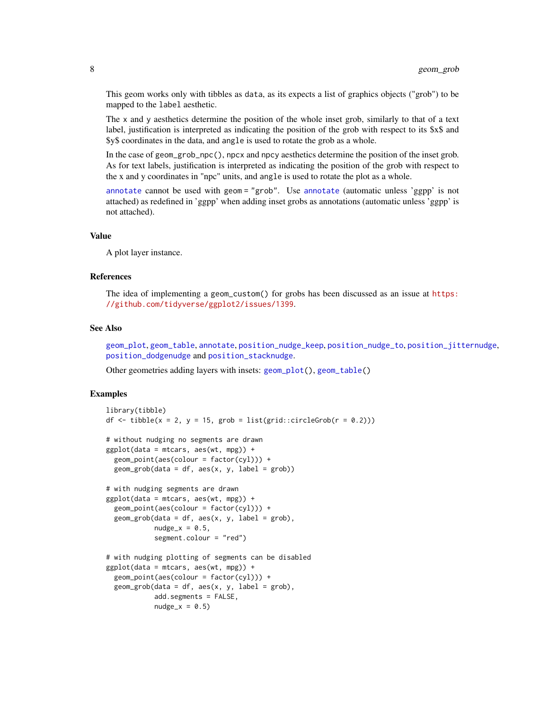This geom works only with tibbles as data, as its expects a list of graphics objects ("grob") to be mapped to the label aesthetic.

The x and y aesthetics determine the position of the whole inset grob, similarly to that of a text label, justification is interpreted as indicating the position of the grob with respect to its \$x\$ and \$y\$ coordinates in the data, and angle is used to rotate the grob as a whole.

In the case of geom\_grob\_npc(), npcx and npcy aesthetics determine the position of the inset grob. As for text labels, justification is interpreted as indicating the position of the grob with respect to the x and y coordinates in "npc" units, and angle is used to rotate the plot as a whole.

[annotate](#page-3-1) cannot be used with geom = "grob". Use [annotate](#page-3-1) (automatic unless 'ggpp' is not attached) as redefined in 'ggpp' when adding inset grobs as annotations (automatic unless 'ggpp' is not attached).

### Value

A plot layer instance.

### References

The idea of implementing a geom\_custom() for grobs has been discussed as an issue at [https:](https://github.com/tidyverse/ggplot2/issues/1399) [//github.com/tidyverse/ggplot2/issues/1399](https://github.com/tidyverse/ggplot2/issues/1399).

### See Also

[geom\\_plot](#page-15-1), [geom\\_table](#page-23-1), [annotate](#page-3-1), [position\\_nudge\\_keep](#page-40-2), [position\\_nudge\\_to](#page-50-1), [position\\_jitternudge](#page-37-1), [position\\_dodgenudge](#page-35-1) and [position\\_stacknudge](#page-51-1).

Other geometries adding layers with insets: [geom\\_plot\(](#page-15-1)), [geom\\_table\(](#page-23-1))

```
library(tibble)
df \le tibble(x = 2, y = 15, grob = list(grid::circleGrob(r = 0.2)))
# without nudging no segments are drawn
ggplot(data = mtcars, aes(wt, mpg)) +geom_point(aes(colour = factor(cyl))) +
 geom\_grob(data = df, aes(x, y, label = grob))# with nudging segments are drawn
ggplot(data = mtcars, aes(wt, mpg)) +geom\_point(aes(colour = factor(cyl))) +geom\_grob(data = df, aes(x, y, label = grob),nudge_x = 0.5,
           segment.colour = "red")
# with nudging plotting of segments can be disabled
ggplot(data = mtcars, aes(wt, mpg)) +geom_point(aes(colour = factor(cyl))) +
 geom\_grob(data = df, aes(x, y, label = grob),add.segments = FALSE,
           nudge_x = 0.5
```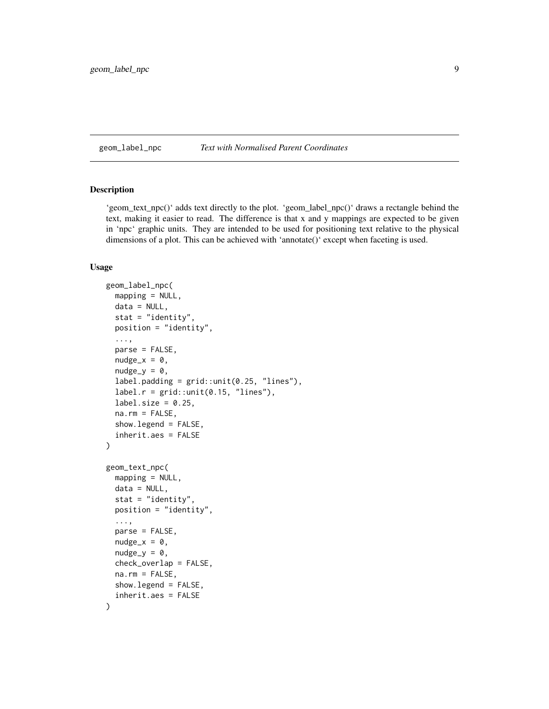### <span id="page-8-0"></span>geom\_label\_npc *Text with Normalised Parent Coordinates*

### Description

'geom\_text\_npc()' adds text directly to the plot. 'geom\_label\_npc()' draws a rectangle behind the text, making it easier to read. The difference is that x and y mappings are expected to be given in 'npc' graphic units. They are intended to be used for positioning text relative to the physical dimensions of a plot. This can be achieved with 'annotate()' except when faceting is used.

```
geom_label_npc(
 mapping = NULL,data = NULL,
  stat = "identity",
 position = "identity",
  ...,
  parse = FALSE,
  nudge_x = 0,
 nudge_v = 0,
  label.padding = grid::unit(0.25, 'lines").label.r = grid::unit(0.15, "lines"),label.size = 0.25,
  na.rm = FALSE,show.legend = FALSE,
  inherit.aes = FALSE
)
geom_text_npc(
 mapping = NULL,
 data = NULL,stat = "identity",
 position = "identity",
  ...,
 parse = FALSE,
 nudge_x = 0,
 nudge_v = 0,
  check_overlap = FALSE,
  na.rm = FALSE,show.legend = FALSE,
  inherit.aes = FALSE
)
```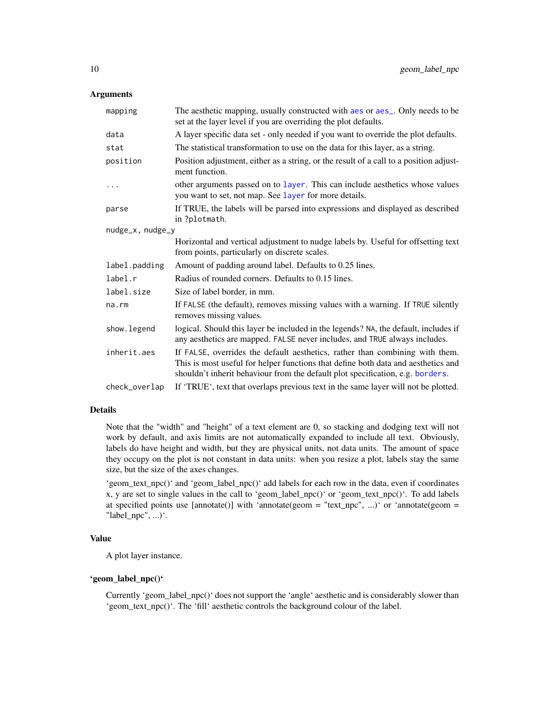### **Arguments**

| mapping          | The aesthetic mapping, usually constructed with aes or aes_. Only needs to be<br>set at the layer level if you are overriding the plot defaults.                                                                                                    |  |
|------------------|-----------------------------------------------------------------------------------------------------------------------------------------------------------------------------------------------------------------------------------------------------|--|
| data             | A layer specific data set - only needed if you want to override the plot defaults.                                                                                                                                                                  |  |
| stat             | The statistical transformation to use on the data for this layer, as a string.                                                                                                                                                                      |  |
| position         | Position adjustment, either as a string, or the result of a call to a position adjust-<br>ment function.                                                                                                                                            |  |
| .                | other arguments passed on to layer. This can include aesthetics whose values<br>you want to set, not map. See layer for more details.                                                                                                               |  |
| parse            | If TRUE, the labels will be parsed into expressions and displayed as described<br>in ?plotmath.                                                                                                                                                     |  |
| nudge_x, nudge_y |                                                                                                                                                                                                                                                     |  |
|                  | Horizontal and vertical adjustment to nudge labels by. Useful for offsetting text<br>from points, particularly on discrete scales.                                                                                                                  |  |
| label.padding    | Amount of padding around label. Defaults to 0.25 lines.                                                                                                                                                                                             |  |
| label.r          | Radius of rounded corners. Defaults to 0.15 lines.                                                                                                                                                                                                  |  |
| label.size       | Size of label border, in mm.                                                                                                                                                                                                                        |  |
| na.rm            | If FALSE (the default), removes missing values with a warning. If TRUE silently<br>removes missing values.                                                                                                                                          |  |
| show.legend      | logical. Should this layer be included in the legends? NA, the default, includes if<br>any aesthetics are mapped. FALSE never includes, and TRUE always includes.                                                                                   |  |
| inherit.aes      | If FALSE, overrides the default aesthetics, rather than combining with them.<br>This is most useful for helper functions that define both data and aesthetics and<br>shouldn't inherit behaviour from the default plot specification, e.g. borders. |  |
| check_overlap    | If 'TRUE', text that overlaps previous text in the same layer will not be plotted.                                                                                                                                                                  |  |

### Details

Note that the "width" and "height" of a text element are 0, so stacking and dodging text will not work by default, and axis limits are not automatically expanded to include all text. Obviously, labels do have height and width, but they are physical units, not data units. The amount of space they occupy on the plot is not constant in data units: when you resize a plot, labels stay the same size, but the size of the axes changes.

'geom\_text\_npc()' and 'geom\_label\_npc()' add labels for each row in the data, even if coordinates x, y are set to single values in the call to 'geom\_label\_npc()' or 'geom\_text\_npc()'. To add labels at specified points use  $[annotate()]$  with 'annotate(geom = "text\_npc", ...)' or 'annotate(geom = "label\_npc", ...) $\cdot$ .

### Value

A plot layer instance.

### 'geom\_label\_npc()'

Currently 'geom\_label\_npc()' does not support the 'angle' aesthetic and is considerably slower than 'geom\_text\_npc()'. The 'fill' aesthetic controls the background colour of the label.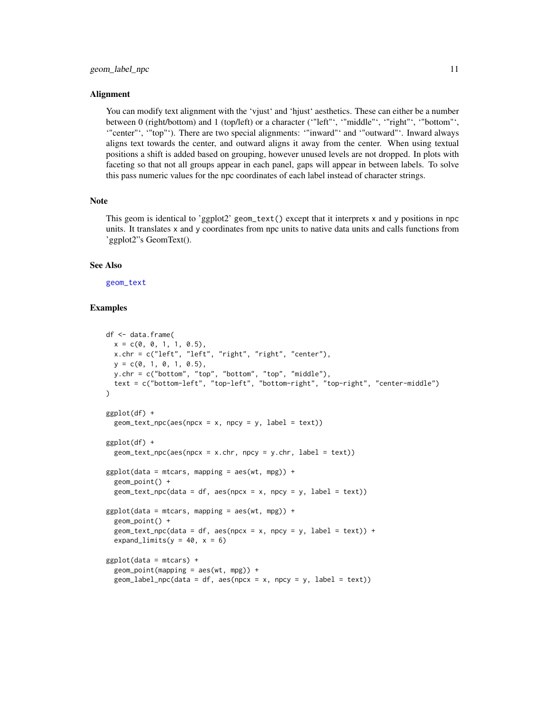### Alignment

You can modify text alignment with the 'vjust' and 'hjust' aesthetics. These can either be a number between 0 (right/bottom) and 1 (top/left) or a character ('"left"', '"middle"', '"right"', '"bottom"', '"center"', '"top"'). There are two special alignments: '"inward"' and '"outward"'. Inward always aligns text towards the center, and outward aligns it away from the center. When using textual positions a shift is added based on grouping, however unused levels are not dropped. In plots with faceting so that not all groups appear in each panel, gaps will appear in between labels. To solve this pass numeric values for the npc coordinates of each label instead of character strings.

### Note

This geom is identical to 'ggplot2' geom\_text() except that it interprets x and y positions in npc units. It translates x and y coordinates from npc units to native data units and calls functions from 'ggplot2"s GeomText().

### See Also

[geom\\_text](#page-0-0)

```
df <- data.frame(
 x = c(0, 0, 1, 1, 0.5),
 x.chr = c("left", "left", "right", "right", "center"),
 y = c(0, 1, 0, 1, 0.5),
 y.chr = c("bottom", "top", "bottom", "top", "middle"),
 text = c("bottom-left", "top-left", "bottom-right", "top-right", "center-middle")
)
ggplot(df) +
 geom\_text\_npc(aes(npcx = x, npcy = y, label = text))ggplot(df) +
 geom\_text\_npc(aes(npcx = x.chr, npcy = y.chr, label = text))ggplot(data = mtcars, mapping = aes(wt, mpg)) +geom_point() +
 geom\_text\_npc(data = df, aes(npcx = x, npcy = y, label = text))ggplot(data = mtcars, mapping = aes(wt, mpg)) +geom_point() +
 geom\_text\_npc(data = df, aes(npcx = x, npcy = y, label = text)) +expand_limits(y = 40, x = 6)
ggplot(data = mtcars) +geom\_point(mapping = aes(wt, mpg)) +geom\_label\_proc(data = df, aes(npcx = x, npcy = y, label = text)
```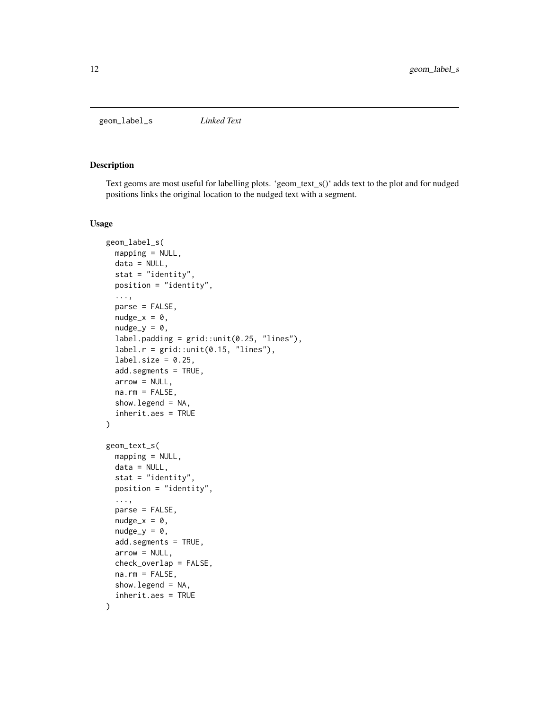<span id="page-11-0"></span>geom\_label\_s *Linked Text*

### <span id="page-11-1"></span>Description

Text geoms are most useful for labelling plots. 'geom\_text\_s()' adds text to the plot and for nudged positions links the original location to the nudged text with a segment.

```
geom_label_s(
 mapping = NULL,
  data = NULL,stat = "identity",
  position = "identity",
  ...,
  parse = FALSE,
  nudge_x = 0,
  nudge_y = 0,
  label.padding = grid::unit(0.25, "lines"),
  label.r = grid::unit(0.15, 'lines").label.size = 0.25,
  add.segments = TRUE,
  arrow = NULL,
  na.rm = FALSE,
  show.legend = NA,
  inherit.aes = TRUE
)
geom_text_s(
 mapping = NULL,
  data = NULL,
  stat = "identity",
  position = "identity",
  ...,
  parse = FALSE,
  nudge_x = 0,
  nudge_y = 0,
  add.segments = TRUE,
  arrow = NULL,check_overlap = FALSE,
  na.rm = FALSE,
  show.legend = NA,
  inherit.aes = TRUE
)
```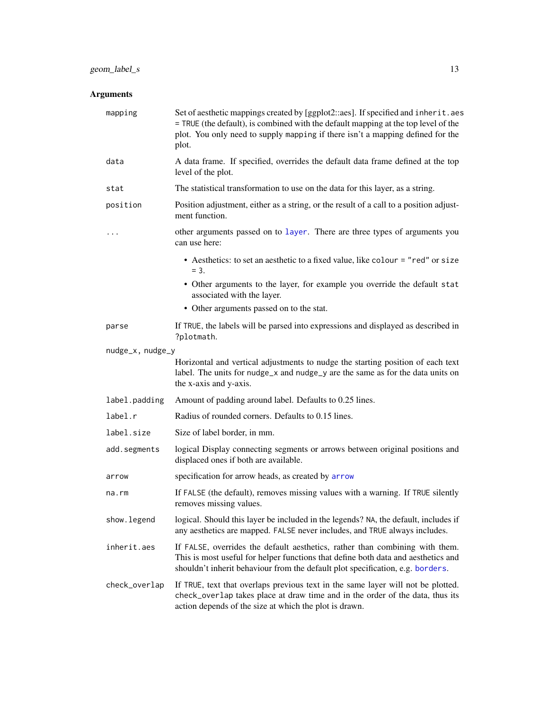### Arguments

| mapping          | Set of aesthetic mappings created by [ggplot2::aes]. If specified and inherit.aes<br>= TRUE (the default), is combined with the default mapping at the top level of the<br>plot. You only need to supply mapping if there isn't a mapping defined for the<br>plot. |
|------------------|--------------------------------------------------------------------------------------------------------------------------------------------------------------------------------------------------------------------------------------------------------------------|
| data             | A data frame. If specified, overrides the default data frame defined at the top<br>level of the plot.                                                                                                                                                              |
| stat             | The statistical transformation to use on the data for this layer, as a string.                                                                                                                                                                                     |
| position         | Position adjustment, either as a string, or the result of a call to a position adjust-<br>ment function.                                                                                                                                                           |
| .                | other arguments passed on to layer. There are three types of arguments you<br>can use here:                                                                                                                                                                        |
|                  | • Aesthetics: to set an aesthetic to a fixed value, like colour = "red" or size<br>$= 3.$                                                                                                                                                                          |
|                  | • Other arguments to the layer, for example you override the default stat<br>associated with the layer.                                                                                                                                                            |
|                  | • Other arguments passed on to the stat.                                                                                                                                                                                                                           |
| parse            | If TRUE, the labels will be parsed into expressions and displayed as described in<br>?plotmath.                                                                                                                                                                    |
| nudge_x, nudge_y |                                                                                                                                                                                                                                                                    |
|                  | Horizontal and vertical adjustments to nudge the starting position of each text<br>label. The units for nudge_x and nudge_y are the same as for the data units on<br>the x-axis and y-axis.                                                                        |
| label.padding    | Amount of padding around label. Defaults to 0.25 lines.                                                                                                                                                                                                            |
| label.r          | Radius of rounded corners. Defaults to 0.15 lines.                                                                                                                                                                                                                 |
| label.size       | Size of label border, in mm.                                                                                                                                                                                                                                       |
| add.segments     | logical Display connecting segments or arrows between original positions and<br>displaced ones if both are available.                                                                                                                                              |
| arrow            | specification for arrow heads, as created by arrow                                                                                                                                                                                                                 |
| na.rm            | If FALSE (the default), removes missing values with a warning. If TRUE silently<br>removes missing values.                                                                                                                                                         |
| show.legend      | logical. Should this layer be included in the legends? NA, the default, includes if<br>any aesthetics are mapped. FALSE never includes, and TRUE always includes.                                                                                                  |
| inherit.aes      | If FALSE, overrides the default aesthetics, rather than combining with them.<br>This is most useful for helper functions that define both data and aesthetics and<br>shouldn't inherit behaviour from the default plot specification, e.g. borders.                |
| check_overlap    | If TRUE, text that overlaps previous text in the same layer will not be plotted.<br>check_overlap takes place at draw time and in the order of the data, thus its<br>action depends of the size at which the plot is drawn.                                        |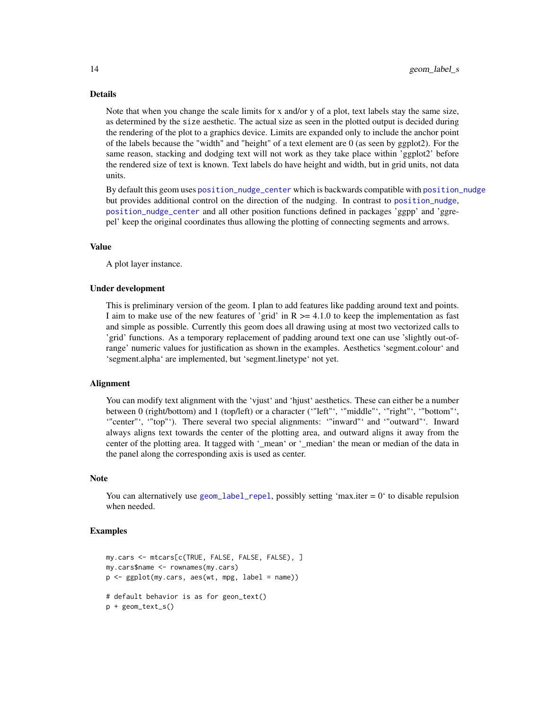### Details

Note that when you change the scale limits for x and/or y of a plot, text labels stay the same size, as determined by the size aesthetic. The actual size as seen in the plotted output is decided during the rendering of the plot to a graphics device. Limits are expanded only to include the anchor point of the labels because the "width" and "height" of a text element are 0 (as seen by ggplot2). For the same reason, stacking and dodging text will not work as they take place within 'ggplot2' before the rendered size of text is known. Text labels do have height and width, but in grid units, not data units.

By default this geom uses [position\\_nudge\\_center](#page-40-1) which is backwards compatible with [position\\_nudge](#page-0-0) but provides additional control on the direction of the nudging. In contrast to [position\\_nudge](#page-0-0), [position\\_nudge\\_center](#page-40-1) and all other position functions defined in packages 'ggpp' and 'ggrepel' keep the original coordinates thus allowing the plotting of connecting segments and arrows.

### Value

A plot layer instance.

### Under development

This is preliminary version of the geom. I plan to add features like padding around text and points. I aim to make use of the new features of 'grid' in  $R \ge 4.1.0$  to keep the implementation as fast and simple as possible. Currently this geom does all drawing using at most two vectorized calls to 'grid' functions. As a temporary replacement of padding around text one can use 'slightly out-ofrange' numeric values for justification as shown in the examples. Aesthetics 'segment.colour' and 'segment.alpha' are implemented, but 'segment.linetype' not yet.

### Alignment

You can modify text alignment with the 'vjust' and 'hjust' aesthetics. These can either be a number between 0 (right/bottom) and 1 (top/left) or a character ('"left"', '"middle"', '"right"', '"bottom"', '"center"', '"top"'). There several two special alignments: '"inward"' and '"outward"'. Inward always aligns text towards the center of the plotting area, and outward aligns it away from the center of the plotting area. It tagged with '\_mean' or '\_median' the mean or median of the data in the panel along the corresponding axis is used as center.

### Note

You can alternatively use  $geom\_label\_repel,$  possibly setting 'max.iter = 0' to disable repulsion when needed.

```
my.cars <- mtcars[c(TRUE, FALSE, FALSE, FALSE), ]
my.cars$name <- rownames(my.cars)
p \leftarrow \text{ggplot}(\text{my}.\text{cars}, \text{aes}(\text{wt}, \text{mpg}, \text{ label} = \text{name}))# default behavior is as for geon_text()
p + geom_text_s()
```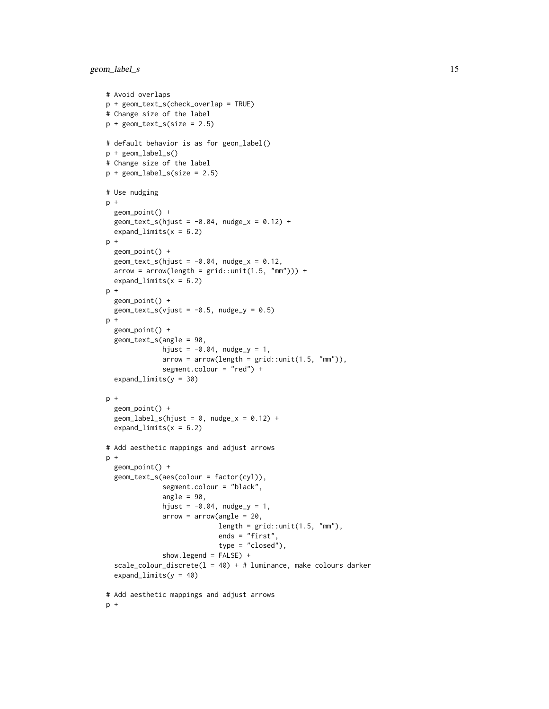geom\_label\_s 15

```
# Avoid overlaps
p + geom_text_s(check_overlap = TRUE)
# Change size of the label
p + geometry = 2.5)
# default behavior is as for geon_label()
p + geom_label_s()
# Change size of the label
p + geom\_label\_s(size = 2.5)# Use nudging
p +geom_point() +
  geom\_text_s(hjust = -0.04, nudge_x = 0.12) +expand_limits(x = 6.2)
p +
  geom_point() +
  geom\_text_s(hjust = -0.04, nudge_x = 0.12,arrow = arrow(length = grid::unit(1.5, "mm")) +expand_limits(x = 6.2)
p +geom_point() +
  geom\_text_s(vjust = -0.5, nudge_y = 0.5)p +
  geom_point() +
  geom_text_s(angle = 90,
             hjust = -0.04, nudge_y = 1,
             arrow = arrow(length = grid::unit(1.5, "mm")),
             segment.colour = "red") +
  expand_limits(y = 30)
p +
  geom_point() +
  geom\_label\_s(hjust = 0, nudge_x = 0.12) +expand_limits(x = 6.2)
# Add aesthetic mappings and adjust arrows
p +
  geom_point() +
  geom_text_s(aes(colour = factor(cyl)),
              segment.colour = "black",
              angle = 90,
             hjust = -0.04, nudge_y = 1,
              arrow = arrow(name = 20,length = grid::unit(1.5, "mm"),
                            ends = "first",
                            type = "closed"),
              show.legend = FALSE) +
  scale_colour_discrete(l = 40) + # luminance, make colours darker
  expand_limits(y = 40)
# Add aesthetic mappings and adjust arrows
p +
```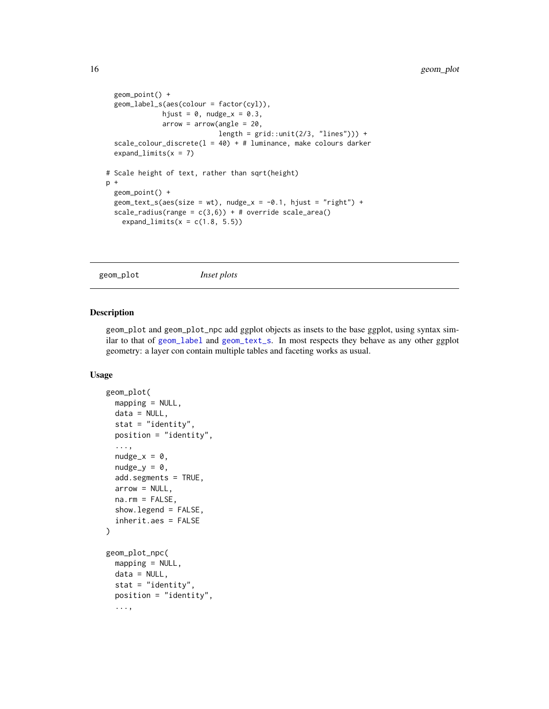```
geom_point() +
 geom_label_s(aes(colour = factor(cyl)),
             hjust = 0, nudge_x = 0.3,
             arrow = arrow(angle = 20,length = grid::unit(2/3, "lines")) +
 scale_colour_discrete(l = 40) + # luminance, make colours darker
 expand_limits(x = 7)
# Scale height of text, rather than sqrt(height)
p +
 geom_point() +
 geom_text_s(aes(size = wt), nudge_x = -0.1, hjust = "right") +
 scale_radius(range = c(3,6)) + # override scale_area()
    expand_limits(x = c(1.8, 5.5))
```

```
geom_plot Inset plots
```
### Description

geom\_plot and geom\_plot\_npc add ggplot objects as insets to the base ggplot, using syntax similar to that of [geom\\_label](#page-0-0) and [geom\\_text\\_s](#page-11-1). In most respects they behave as any other ggplot geometry: a layer con contain multiple tables and faceting works as usual.

```
geom_plot(
 mapping = NULL,
  data = NULL,stat = "identity",
 position = "identity",
  ...,
  nudge_x = 0,
  nudge_y = 0,
  add.segments = TRUE,
  arrow = NULL,na.rm = FALSE,showu = FALSE,inherit.aes = FALSE
\mathcal{L}geom_plot_npc(
 mapping = NULL,
 data = NULL,
  stat = "identity",position = "identity",
  ...,
```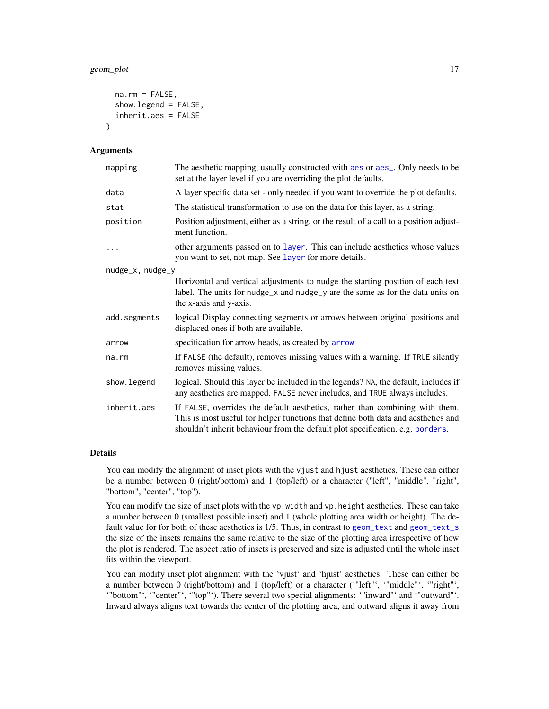### geom\_plot 17

```
na.rm = FALSE,show.legend = FALSE,
  inherit.aes = FALSE
\lambda
```
### Arguments

| mapping          | The aesthetic mapping, usually constructed with aes or aes_. Only needs to be<br>set at the layer level if you are overriding the plot defaults.                                                                                                    |
|------------------|-----------------------------------------------------------------------------------------------------------------------------------------------------------------------------------------------------------------------------------------------------|
| data             | A layer specific data set - only needed if you want to override the plot defaults.                                                                                                                                                                  |
| stat             | The statistical transformation to use on the data for this layer, as a string.                                                                                                                                                                      |
| position         | Position adjustment, either as a string, or the result of a call to a position adjust-<br>ment function.                                                                                                                                            |
| $\ddots$         | other arguments passed on to layer. This can include aesthetics whose values<br>you want to set, not map. See layer for more details.                                                                                                               |
| nudge_x, nudge_y |                                                                                                                                                                                                                                                     |
|                  | Horizontal and vertical adjustments to nudge the starting position of each text<br>label. The units for nudge_x and nudge_y are the same as for the data units on<br>the x-axis and y-axis.                                                         |
| add.segments     | logical Display connecting segments or arrows between original positions and<br>displaced ones if both are available.                                                                                                                               |
| arrow            | specification for arrow heads, as created by arrow                                                                                                                                                                                                  |
| na.rm            | If FALSE (the default), removes missing values with a warning. If TRUE silently<br>removes missing values.                                                                                                                                          |
| show.legend      | logical. Should this layer be included in the legends? NA, the default, includes if<br>any aesthetics are mapped. FALSE never includes, and TRUE always includes.                                                                                   |
| inherit.aes      | If FALSE, overrides the default aesthetics, rather than combining with them.<br>This is most useful for helper functions that define both data and aesthetics and<br>shouldn't inherit behaviour from the default plot specification, e.g. borders. |

### Details

You can modify the alignment of inset plots with the vjust and hjust aesthetics. These can either be a number between 0 (right/bottom) and 1 (top/left) or a character ("left", "middle", "right", "bottom", "center", "top").

You can modify the size of inset plots with the vp. width and vp. height aesthetics. These can take a number between 0 (smallest possible inset) and 1 (whole plotting area width or height). The default value for for both of these aesthetics is 1/5. Thus, in contrast to [geom\\_text](#page-0-0) and [geom\\_text\\_s](#page-11-1) the size of the insets remains the same relative to the size of the plotting area irrespective of how the plot is rendered. The aspect ratio of insets is preserved and size is adjusted until the whole inset fits within the viewport.

You can modify inset plot alignment with the 'vjust' and 'hjust' aesthetics. These can either be a number between 0 (right/bottom) and 1 (top/left) or a character ('"left"', '"middle"', '"right"', '"bottom"', '"center"', '"top"'). There several two special alignments: '"inward"' and '"outward"'. Inward always aligns text towards the center of the plotting area, and outward aligns it away from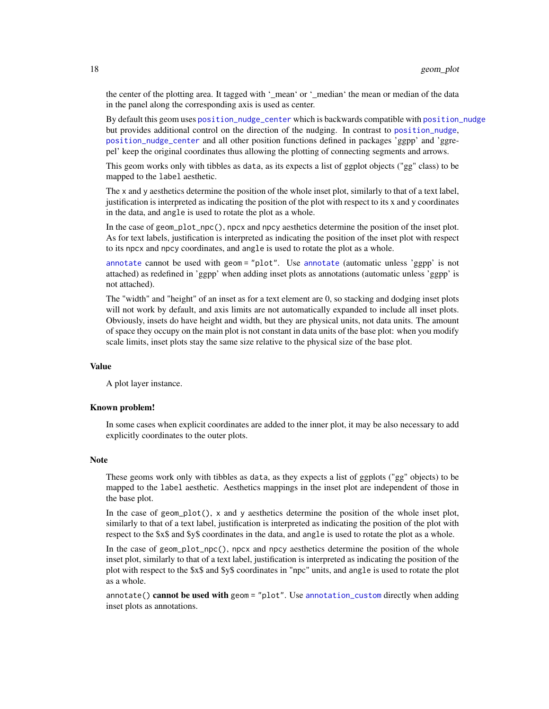the center of the plotting area. It tagged with '\_mean' or '\_median' the mean or median of the data in the panel along the corresponding axis is used as center.

By default this geom uses [position\\_nudge\\_center](#page-40-1) which is backwards compatible with [position\\_nudge](#page-0-0) but provides additional control on the direction of the nudging. In contrast to [position\\_nudge](#page-0-0), [position\\_nudge\\_center](#page-40-1) and all other position functions defined in packages 'ggpp' and 'ggrepel' keep the original coordinates thus allowing the plotting of connecting segments and arrows.

This geom works only with tibbles as data, as its expects a list of ggplot objects ("gg" class) to be mapped to the label aesthetic.

The x and y aesthetics determine the position of the whole inset plot, similarly to that of a text label, justification is interpreted as indicating the position of the plot with respect to its x and y coordinates in the data, and angle is used to rotate the plot as a whole.

In the case of geom\_plot\_npc(), npcx and npcy aesthetics determine the position of the inset plot. As for text labels, justification is interpreted as indicating the position of the inset plot with respect to its npcx and npcy coordinates, and angle is used to rotate the plot as a whole.

[annotate](#page-3-1) cannot be used with geom = "plot". Use [annotate](#page-3-1) (automatic unless 'ggpp' is not attached) as redefined in 'ggpp' when adding inset plots as annotations (automatic unless 'ggpp' is not attached).

The "width" and "height" of an inset as for a text element are 0, so stacking and dodging inset plots will not work by default, and axis limits are not automatically expanded to include all inset plots. Obviously, insets do have height and width, but they are physical units, not data units. The amount of space they occupy on the main plot is not constant in data units of the base plot: when you modify scale limits, inset plots stay the same size relative to the physical size of the base plot.

### Value

A plot layer instance.

### Known problem!

In some cases when explicit coordinates are added to the inner plot, it may be also necessary to add explicitly coordinates to the outer plots.

### Note

These geoms work only with tibbles as data, as they expects a list of ggplots ("gg" objects) to be mapped to the label aesthetic. Aesthetics mappings in the inset plot are independent of those in the base plot.

In the case of geom\_plot(), x and y aesthetics determine the position of the whole inset plot, similarly to that of a text label, justification is interpreted as indicating the position of the plot with respect to the \$x\$ and \$y\$ coordinates in the data, and angle is used to rotate the plot as a whole.

In the case of geom\_plot\_npc(), npcx and npcy aesthetics determine the position of the whole inset plot, similarly to that of a text label, justification is interpreted as indicating the position of the plot with respect to the \$x\$ and \$y\$ coordinates in "npc" units, and angle is used to rotate the plot as a whole.

annotate() cannot be used with geom = "plot". Use [annotation\\_custom](#page-0-0) directly when adding inset plots as annotations.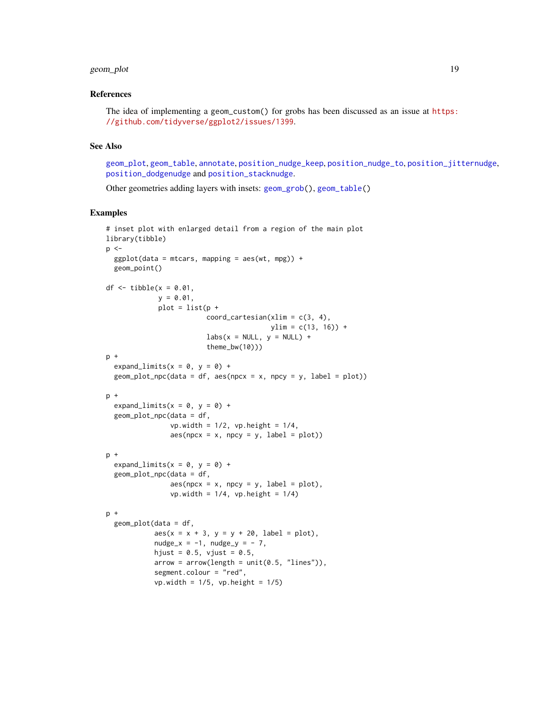### geom\_plot 19

### References

```
The idea of implementing a geom_custom() for grobs has been discussed as an issue at https:
//github.com/tidyverse/ggplot2/issues/1399.
```
### See Also

[geom\\_plot](#page-15-1), [geom\\_table](#page-23-1), [annotate](#page-3-1), [position\\_nudge\\_keep](#page-40-2), [position\\_nudge\\_to](#page-50-1), [position\\_jitternudge](#page-37-1), [position\\_dodgenudge](#page-35-1) and [position\\_stacknudge](#page-51-1).

Other geometries adding layers with insets: [geom\\_grob\(](#page-5-1)), [geom\\_table\(](#page-23-1))

```
# inset plot with enlarged detail from a region of the main plot
library(tibble)
p < -ggplot(data = mtcars, mapping = aes(wt, mpg)) +geom_point()
df \le tibble(x = 0.01,
             y = 0.01,
             plot = list(p +coord\_cartesian(xlim = c(3, 4),ylim = c(13, 16) +
                         \text{labs}(x = \text{NULL}, y = \text{NULL}) + \text{L}theme_bw(10)))
p +
  expand_limits(x = 0, y = 0) +
  geom\_plot\_npc(data = df, aes(npcx = x, npcy = y, label = plot))p +
  expand_limits(x = 0, y = 0) +
  geom_plot_npc(data = df,
                vp.width = 1/2, vp.height = 1/4,
                aes(npcx = x, npcy = y, label = plot)p +
  expand_limits(x = 0, y = 0) +
  geom_plot_npc(data = df,
                aes(npcx = x, npcy = y, label = plot),
                vp.width = 1/4, vp.height = 1/4p +
  geom_plot(data = df,
            aes(x = x + 3, y = y + 20, label = plot),nudge_x = -1, nudge_y = -7,
            hjust = 0.5, vjust = 0.5,
            arrow = arrow(length = unit(0.5, "lines")),
            segment.colour = "red",
            vp.width = 1/5, vp.height = 1/5)
```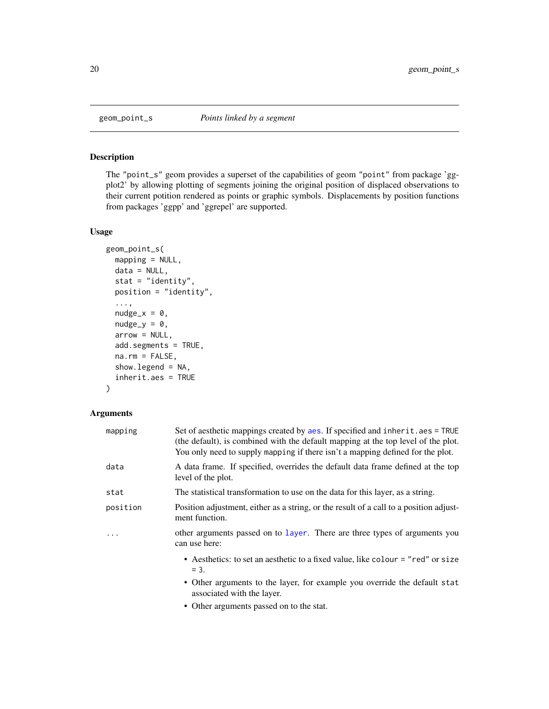<span id="page-19-0"></span>

### Description

The "point\_s" geom provides a superset of the capabilities of geom "point" from package 'ggplot2' by allowing plotting of segments joining the original position of displaced observations to their current potition rendered as points or graphic symbols. Displacements by position functions from packages 'ggpp' and 'ggrepel' are supported.

### Usage

```
geom_point_s(
 mapping = NULL,
 data = NULL,
  stat = "identity",
 position = "identity",
  ...,
  nudge_x = 0,
  nudge_y = 0,
  arrow = NULL,
  add.segments = TRUE,
  na.rm = FALSE,show.legend = NA,
  inherit.aes = TRUE
)
```
## Arguments

| mapping  | Set of aesthetic mappings created by aes. If specified and inherit.aes = TRUE<br>(the default), is combined with the default mapping at the top level of the plot.<br>You only need to supply mapping if there isn't a mapping defined for the plot. |
|----------|------------------------------------------------------------------------------------------------------------------------------------------------------------------------------------------------------------------------------------------------------|
| data     | A data frame. If specified, overrides the default data frame defined at the top<br>level of the plot.                                                                                                                                                |
| stat     | The statistical transformation to use on the data for this layer, as a string.                                                                                                                                                                       |
| position | Position adjustment, either as a string, or the result of a call to a position adjust-<br>ment function.                                                                                                                                             |
| .        | other arguments passed on to layer. There are three types of arguments you<br>can use here:                                                                                                                                                          |
|          | • Aesthetics: to set an aesthetic to a fixed value, like colour = "red" or size<br>$= 3.$                                                                                                                                                            |
|          | • Other arguments to the layer, for example you override the default stat<br>associated with the layer.                                                                                                                                              |

• Other arguments passed on to the stat.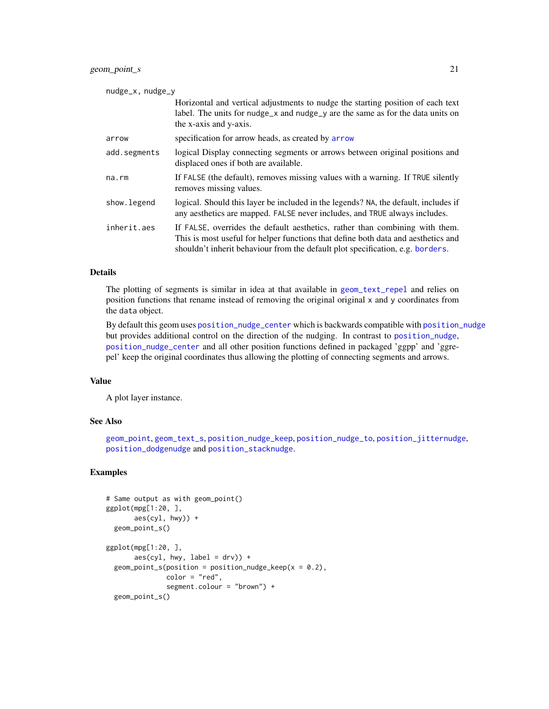### geom\_point\_s 21

| nudge_x, nudge_y |                                                                                                                                                                                                                                                     |  |
|------------------|-----------------------------------------------------------------------------------------------------------------------------------------------------------------------------------------------------------------------------------------------------|--|
|                  | Horizontal and vertical adjustments to nudge the starting position of each text<br>label. The units for nudge_x and nudge_y are the same as for the data units on<br>the x-axis and y-axis.                                                         |  |
| arrow            | specification for arrow heads, as created by arrow                                                                                                                                                                                                  |  |
| add.segments     | logical Display connecting segments or arrows between original positions and<br>displaced ones if both are available.                                                                                                                               |  |
| $na$ . $rm$      | If FALSE (the default), removes missing values with a warning. If TRUE silently<br>removes missing values.                                                                                                                                          |  |
| show.legend      | logical. Should this layer be included in the legends? NA, the default, includes if<br>any aesthetics are mapped. FALSE never includes, and TRUE always includes.                                                                                   |  |
| inherit.aes      | If FALSE, overrides the default aesthetics, rather than combining with them.<br>This is most useful for helper functions that define both data and aesthetics and<br>shouldn't inherit behaviour from the default plot specification, e.g. borders. |  |

### Details

The plotting of segments is similar in idea at that available in [geom\\_text\\_repel](#page-0-0) and relies on position functions that rename instead of removing the original original x and y coordinates from the data object.

By default this geom uses [position\\_nudge\\_center](#page-40-1) which is backwards compatible with [position\\_nudge](#page-0-0) but provides additional control on the direction of the nudging. In contrast to [position\\_nudge](#page-0-0), [position\\_nudge\\_center](#page-40-1) and all other position functions defined in packaged 'ggpp' and 'ggrepel' keep the original coordinates thus allowing the plotting of connecting segments and arrows.

### Value

A plot layer instance.

### See Also

[geom\\_point](#page-0-0), [geom\\_text\\_s](#page-11-1), [position\\_nudge\\_keep](#page-40-2), [position\\_nudge\\_to](#page-50-1), [position\\_jitternudge](#page-37-1), [position\\_dodgenudge](#page-35-1) and [position\\_stacknudge](#page-51-1).

```
# Same output as with geom_point()
ggplot(mpg[1:20, ],
       aes(cyl, hwy)) +
  geom_point_s()
ggplot(mpg[1:20, ],
       \text{aes(cyl}, \text{hwy}, \text{label} = \text{drv}) +
  geom\_point\_s (position = position\_nudge\_keep(x = 0.2),
                color = "red",
                segment.colour = "brown") +
  geom_point_s()
```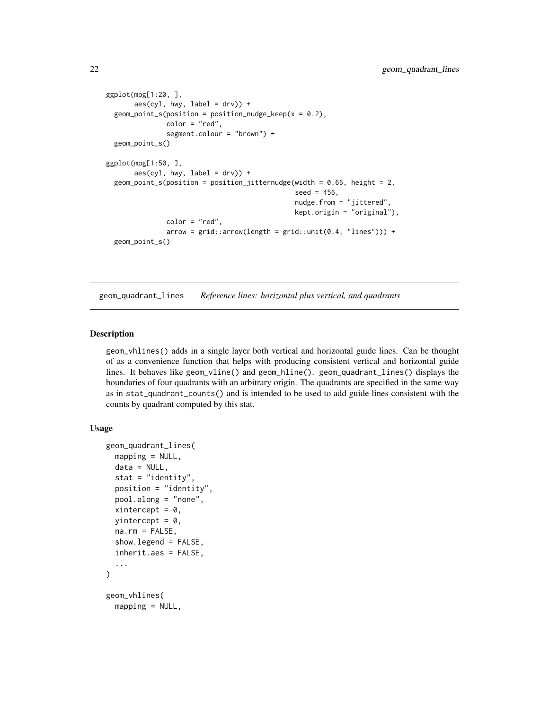```
ggplot(mpg[1:20, ],
        \text{aes(cyl}, \text{hwy}, \text{label} = \text{drv}) +
  geom\_point\_s(position = position\_nudge\_keep(x = 0.2),
                 color = "red",
                 segment.colour = "brown") +
  geom_point_s()
ggplot(mpg[1:50, ],
        \text{aes}(\text{cyl}, \text{hwy}, \text{label} = \text{drv})) +
  geom_point_s(position = position_jitternudge(width = 0.66, height = 2,
                                                      seed = 456,
                                                      nudge.from = "jittered",
                                                      kept.origin = "original"),
                 color = "red",
                 arrow = grid::arrow(length = grid::unit(0.4, "lines")) +geom_point_s()
```
geom\_quadrant\_lines *Reference lines: horizontal plus vertical, and quadrants*

### Description

geom\_vhlines() adds in a single layer both vertical and horizontal guide lines. Can be thought of as a convenience function that helps with producing consistent vertical and horizontal guide lines. It behaves like geom\_vline() and geom\_hline(). geom\_quadrant\_lines() displays the boundaries of four quadrants with an arbitrary origin. The quadrants are specified in the same way as in stat\_quadrant\_counts() and is intended to be used to add guide lines consistent with the counts by quadrant computed by this stat.

```
geom_quadrant_lines(
 mapping = NULL,data = NULL,stat = "identity",
 position = "identity",
 pool.along = "none",
  xintercept = 0,
 yintercept = 0,
  na.rm = FALSE,show.legend = FALSE,
  inherit.aes = FALSE,
  ...
)
geom_vhlines(
 mapping = NULL,
```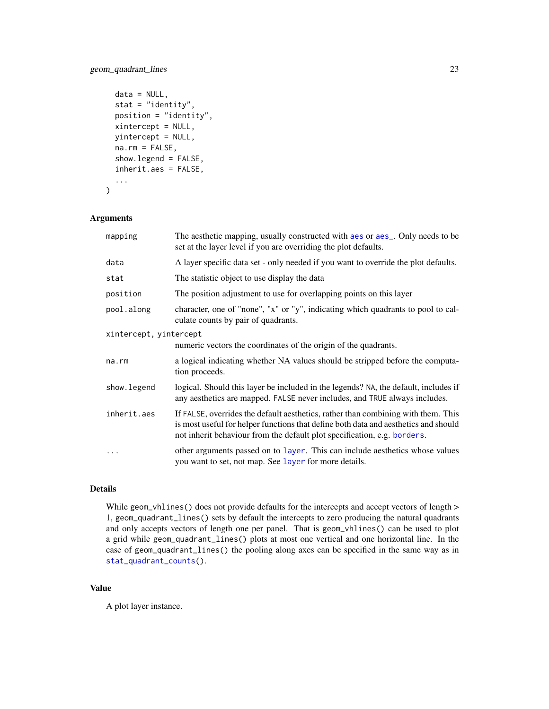### geom\_quadrant\_lines 23

```
data = NULL,
stat = "identity",
position = "identity",
xintercept = NULL,
yintercept = NULL,
na.rm = FALSE,
show.legend = FALSE,
inherit.aes = FALSE,
...
```
### Arguments

)

| mapping                | The aesthetic mapping, usually constructed with aes or aes <sub>-</sub> . Only needs to be<br>set at the layer level if you are overriding the plot defaults.                                                                                        |
|------------------------|------------------------------------------------------------------------------------------------------------------------------------------------------------------------------------------------------------------------------------------------------|
| data                   | A layer specific data set - only needed if you want to override the plot defaults.                                                                                                                                                                   |
| stat                   | The statistic object to use display the data                                                                                                                                                                                                         |
| position               | The position adjustment to use for overlapping points on this layer                                                                                                                                                                                  |
| pool.along             | character, one of "none", "x" or "y", indicating which quadrants to pool to cal-<br>culate counts by pair of quadrants.                                                                                                                              |
| xintercept, yintercept |                                                                                                                                                                                                                                                      |
|                        | numeric vectors the coordinates of the origin of the quadrants.                                                                                                                                                                                      |
| na.rm                  | a logical indicating whether NA values should be stripped before the computa-<br>tion proceeds.                                                                                                                                                      |
| show.legend            | logical. Should this layer be included in the legends? NA, the default, includes if<br>any aesthetics are mapped. FALSE never includes, and TRUE always includes.                                                                                    |
| inherit.aes            | If FALSE, overrides the default aesthetics, rather than combining with them. This<br>is most useful for helper functions that define both data and aesthetics and should<br>not inherit behaviour from the default plot specification, e.g. borders. |
|                        | other arguments passed on to layer. This can include aesthetics whose values<br>you want to set, not map. See layer for more details.                                                                                                                |

### Details

While geom\_vhlines() does not provide defaults for the intercepts and accept vectors of length > 1, geom\_quadrant\_lines() sets by default the intercepts to zero producing the natural quadrants and only accepts vectors of length one per panel. That is geom\_vhlines() can be used to plot a grid while geom\_quadrant\_lines() plots at most one vertical and one horizontal line. In the case of geom\_quadrant\_lines() the pooling along axes can be specified in the same way as in [stat\\_quadrant\\_counts\(](#page-75-1)).

### Value

A plot layer instance.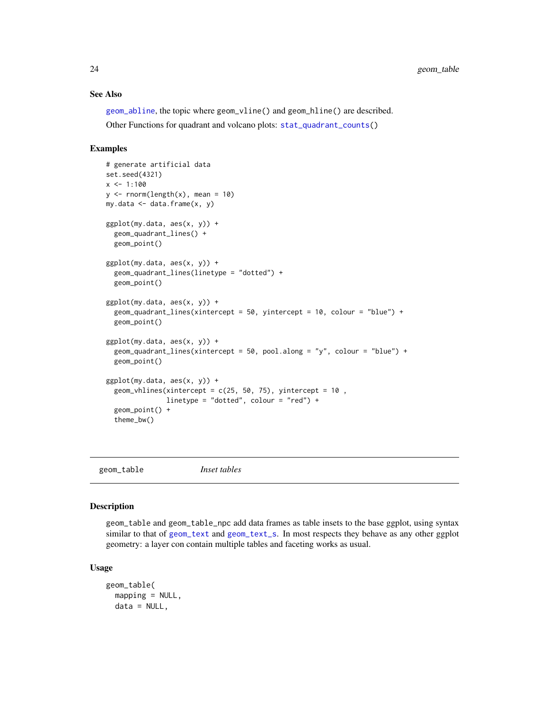### See Also

[geom\\_abline](#page-0-0), the topic where geom\_vline() and geom\_hline() are described.

Other Functions for quadrant and volcano plots: [stat\\_quadrant\\_counts\(](#page-75-1))

### Examples

```
# generate artificial data
set.seed(4321)
x < -1:100y \le - rnorm(length(x), mean = 10)
my.data \leq data.frame(x, y)ggplot(my.data, aes(x, y)) +
  geom_quadrant_lines() +
  geom_point()
ggplot(my.data, aes(x, y)) +geom_quadrant_lines(linetype = "dotted") +
  geom_point()
ggplot(my.data, aes(x, y)) +geom_quadrant_lines(xintercept = 50, yintercept = 10, colour = "blue") +
  geom_point()
ggplot(my.data, aes(x, y)) +
  geom_quadrant_lines(xintercept = 50, pool.along = "y", colour = "blue") +
  geom_point()
ggplot(my.data, aes(x, y)) +
  geom_vhlines(xintercept = c(25, 50, 75), yintercept = 10,
               linetype = "dotted", colour = "red") +
  geom_point() +
  theme_bw()
```
<span id="page-23-1"></span>geom\_table *Inset tables*

### Description

geom\_table and geom\_table\_npc add data frames as table insets to the base ggplot, using syntax similar to that of [geom\\_text](#page-0-0) and [geom\\_text\\_s](#page-11-1). In most respects they behave as any other ggplot geometry: a layer con contain multiple tables and faceting works as usual.

```
geom_table(
 mapping = NULL,
 data = NULL,
```
<span id="page-23-0"></span>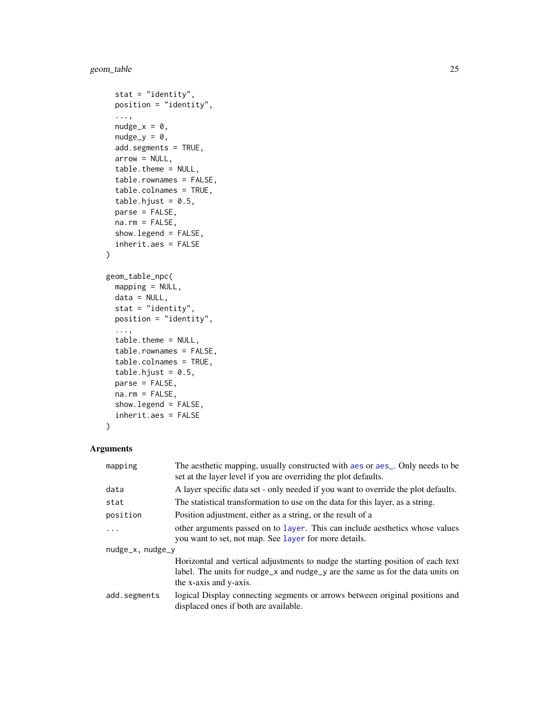```
stat = "identity",
 position = "identity",
  ...,
 nudge_x = 0,
 nudge_y = 0,
  add.segments = TRUE,
 arrow = NULL,table.theme = NULL,
  table.rownames = FALSE,
  table.colnames = TRUE,
  table.hjust = 0.5,
 parse = FALSE,
 na.rm = FALSE,show.legend = FALSE,
  inherit.aes = FALSE
)
geom_table_npc(
 mapping = NULL,
 data = NULL,stat = "identity",
 position = "identity",
  ...,
  table.theme = NULL,
  table.rownames = FALSE,
  table.colnames = TRUE,
  table.hjust = 0.5,
 parse = FALSE,
 na.rm = FALSE,show.legend = FALSE,
  inherit.aes = FALSE
\mathcal{L}
```
### Arguments

| mapping               | The aesthetic mapping, usually constructed with a es or a es_. Only needs to be<br>set at the layer level if you are overriding the plot defaults. |
|-----------------------|----------------------------------------------------------------------------------------------------------------------------------------------------|
| data                  | A layer specific data set - only needed if you want to override the plot defaults.                                                                 |
| stat                  | The statistical transformation to use on the data for this layer, as a string.                                                                     |
| position              | Position adjustment, either as a string, or the result of a                                                                                        |
| .                     | other arguments passed on to layer. This can include aesthetics whose values                                                                       |
|                       | you want to set, not map. See layer for more details.                                                                                              |
| $nudge_x$ , $nudge_y$ |                                                                                                                                                    |
|                       | Horizontal and vertical adjustments to nudge the starting position of each text                                                                    |
|                       | label. The units for nudge_x and nudge_y are the same as for the data units on                                                                     |
|                       | the x-axis and y-axis.                                                                                                                             |
| add.segments          | logical Display connecting segments or arrows between original positions and<br>displaced ones if both are available.                              |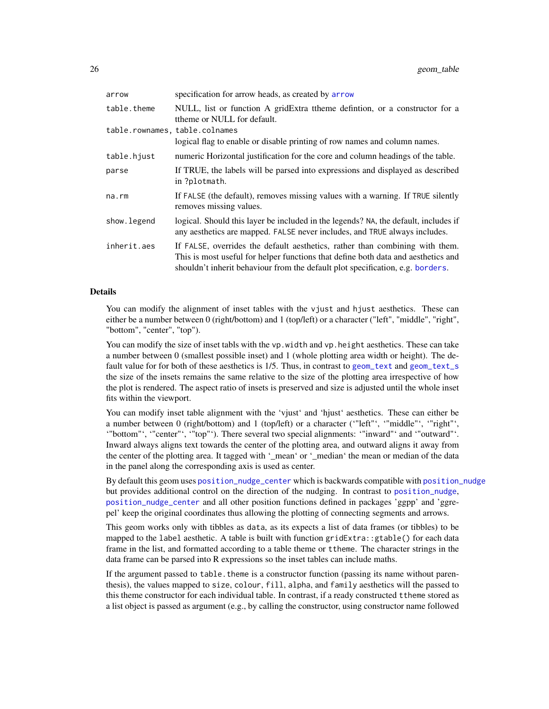| arrow                          | specification for arrow heads, as created by arrow                                                                                                                                                                                                  |
|--------------------------------|-----------------------------------------------------------------------------------------------------------------------------------------------------------------------------------------------------------------------------------------------------|
| table.theme                    | NULL, list or function A gridExtra theme definition, or a constructor for a<br>ttheme or NULL for default.                                                                                                                                          |
| table.rownames, table.colnames |                                                                                                                                                                                                                                                     |
|                                | logical flag to enable or disable printing of row names and column names.                                                                                                                                                                           |
| table.hjust                    | numeric Horizontal justification for the core and column headings of the table.                                                                                                                                                                     |
| parse                          | If TRUE, the labels will be parsed into expressions and displayed as described<br>in ?plotmath.                                                                                                                                                     |
| na.rm                          | If FALSE (the default), removes missing values with a warning. If TRUE silently<br>removes missing values.                                                                                                                                          |
| show.legend                    | logical. Should this layer be included in the legends? NA, the default, includes if<br>any aesthetics are mapped. FALSE never includes, and TRUE always includes.                                                                                   |
| inherit.aes                    | If FALSE, overrides the default aesthetics, rather than combining with them.<br>This is most useful for helper functions that define both data and aesthetics and<br>shouldn't inherit behaviour from the default plot specification, e.g. borders. |

### Details

You can modify the alignment of inset tables with the vjust and hjust aesthetics. These can either be a number between 0 (right/bottom) and 1 (top/left) or a character ("left", "middle", "right", "bottom", "center", "top").

You can modify the size of inset tabls with the vp. width and vp. height aesthetics. These can take a number between 0 (smallest possible inset) and 1 (whole plotting area width or height). The default value for for both of these aesthetics is 1/5. Thus, in contrast to [geom\\_text](#page-0-0) and [geom\\_text\\_s](#page-11-1) the size of the insets remains the same relative to the size of the plotting area irrespective of how the plot is rendered. The aspect ratio of insets is preserved and size is adjusted until the whole inset fits within the viewport.

You can modify inset table alignment with the 'vjust' and 'hjust' aesthetics. These can either be a number between 0 (right/bottom) and 1 (top/left) or a character ('"left"', '"middle"', '"right"', '"bottom"', '"center"', '"top"'). There several two special alignments: '"inward"' and '"outward"'. Inward always aligns text towards the center of the plotting area, and outward aligns it away from the center of the plotting area. It tagged with '\_mean' or '\_median' the mean or median of the data in the panel along the corresponding axis is used as center.

By default this geom uses [position\\_nudge\\_center](#page-40-1) which is backwards compatible with [position\\_nudge](#page-0-0) but provides additional control on the direction of the nudging. In contrast to [position\\_nudge](#page-0-0), [position\\_nudge\\_center](#page-40-1) and all other position functions defined in packages 'ggpp' and 'ggrepel' keep the original coordinates thus allowing the plotting of connecting segments and arrows.

This geom works only with tibbles as data, as its expects a list of data frames (or tibbles) to be mapped to the label aesthetic. A table is built with function gridExtra::gtable() for each data frame in the list, and formatted according to a table theme or ttheme. The character strings in the data frame can be parsed into R expressions so the inset tables can include maths.

If the argument passed to table. theme is a constructor function (passing its name without parenthesis), the values mapped to size, colour, fill, alpha, and family aesthetics will the passed to this theme constructor for each individual table. In contrast, if a ready constructed ttheme stored as a list object is passed as argument (e.g., by calling the constructor, using constructor name followed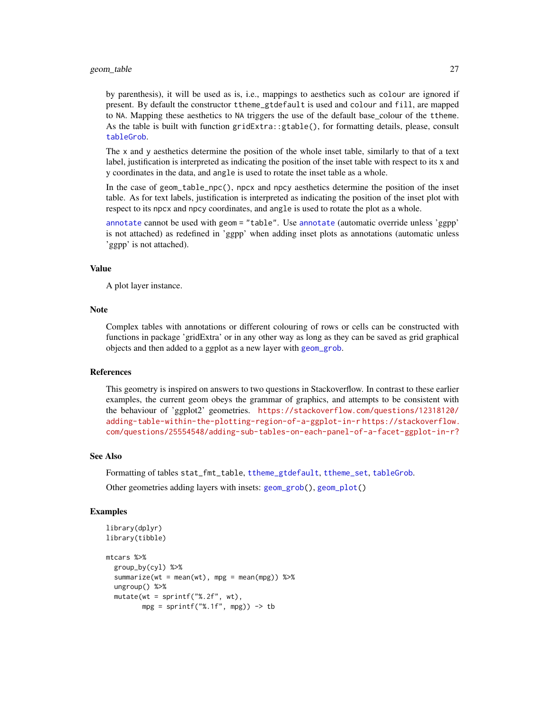### geom\_table 27

by parenthesis), it will be used as is, i.e., mappings to aesthetics such as colour are ignored if present. By default the constructor ttheme\_gtdefault is used and colour and fill, are mapped to NA. Mapping these aesthetics to NA triggers the use of the default base\_colour of the ttheme. As the table is built with function gridExtra::gtable(), for formatting details, please, consult [tableGrob](#page-0-0).

The x and y aesthetics determine the position of the whole inset table, similarly to that of a text label, justification is interpreted as indicating the position of the inset table with respect to its x and y coordinates in the data, and angle is used to rotate the inset table as a whole.

In the case of geom\_table\_npc(), npcx and npcy aesthetics determine the position of the inset table. As for text labels, justification is interpreted as indicating the position of the inset plot with respect to its npcx and npcy coordinates, and angle is used to rotate the plot as a whole.

[annotate](#page-3-1) cannot be used with geom = "table". Use [annotate](#page-3-1) (automatic override unless 'ggpp' is not attached) as redefined in 'ggpp' when adding inset plots as annotations (automatic unless 'ggpp' is not attached).

### Value

A plot layer instance.

### **Note**

Complex tables with annotations or different colouring of rows or cells can be constructed with functions in package 'gridExtra' or in any other way as long as they can be saved as grid graphical objects and then added to a ggplot as a new layer with [geom\\_grob](#page-5-1).

### References

This geometry is inspired on answers to two questions in Stackoverflow. In contrast to these earlier examples, the current geom obeys the grammar of graphics, and attempts to be consistent with the behaviour of 'ggplot2' geometries. [https://stackoverflow.com/questions/12318120/](https://stackoverflow.com/questions/12318120/adding-table-within-the-plotting-region-of-a-ggplot-in-r) [adding-table-within-the-plotting-region-of-a-ggplot-in-r](https://stackoverflow.com/questions/12318120/adding-table-within-the-plotting-region-of-a-ggplot-in-r) [https://stackoverflow.](https://stackoverflow.com/questions/25554548/adding-sub-tables-on-each-panel-of-a-facet-ggplot-in-r?) [com/questions/25554548/adding-sub-tables-on-each-panel-of-a-facet-ggplot-in-r?](https://stackoverflow.com/questions/25554548/adding-sub-tables-on-each-panel-of-a-facet-ggplot-in-r?)

### See Also

Formatting of tables stat\_fmt\_table, [ttheme\\_gtdefault](#page-79-1), [ttheme\\_set](#page-83-1), [tableGrob](#page-0-0). Other geometries adding layers with insets: [geom\\_grob\(](#page-5-1)), [geom\\_plot\(](#page-15-1))

```
library(dplyr)
library(tibble)
mtcars %>%
 group_by(cyl) %>%
 summarize(wt = mean(wt), mpg = mean(mpg)) %>%
 ungroup() %>%
 mutate(wt = sprintf("%.2f", wt),
         mpg = sprintf("%, 1f", mpg)) \rightarrow tb
```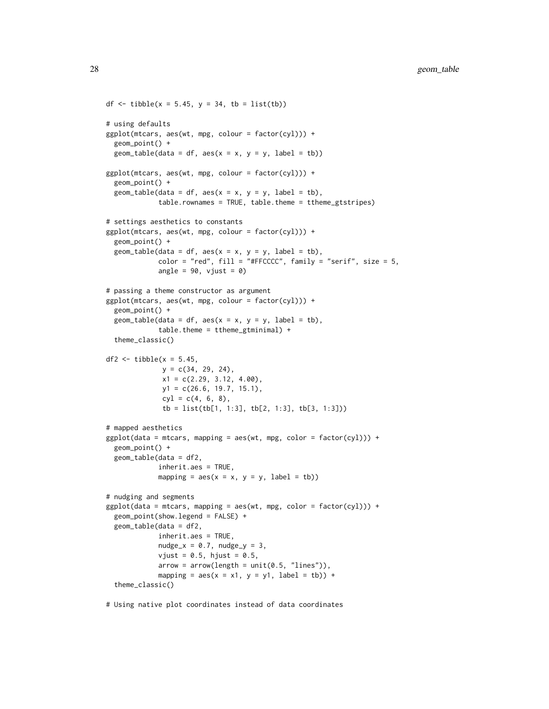```
df \leftarrow tibble(x = 5.45, y = 34, tb = list(tb))
# using defaults
ggplot(mtcars, aes(wt, mpg, colour = factor(cyl))) +geom_point() +
 geom_table(data = df, aes(x = x, y = y, label = tb))
ggplot(mtcars, aes(wt, mpg, colour = factor(cyl))) +geom_point() +
 geom\_table(data = df, aes(x = x, y = y, label = tb),table.rownames = TRUE, table.theme = ttheme_gtstripes)
# settings aesthetics to constants
ggplot(mtcars, aes(wt, mpg, colour = factor(cyl))) +
 geom_point() +
 geom_table(data = df, aes(x = x, y = y, label = tb),
             color = "red", fill = "#FFCCC", family = "serif", size = 5,angle = 90, vjust = 0)
# passing a theme constructor as argument
ggplot(mtcars, aes(wt, mpg, colour = factor(cyl))) +geom_point() +
 geom\_table(data = df, aes(x = x, y = y, label = tb),table.theme = ttheme_gtminimal) +
 theme_classic()
df2 \leftarrow tibble(x = 5.45,
              y = c(34, 29, 24),
              x1 = c(2.29, 3.12, 4.00),
              y1 = c(26.6, 19.7, 15.1),
              cyl = c(4, 6, 8),
              tb = list(tb[1, 1:3], tb[2, 1:3], tb[3, 1:3])# mapped aesthetics
ggplot(data = mtears, mapping = aes(wt, mpg, color = factor(cyl))) +geom_point() +
 geom_table(data = df2,
             inherit.aes = TRUE,
             mapping = \text{aes}(x = x, y = y, \text{ label} = \text{tb}))# nudging and segments
ggplot(data = mtcars, mapping = aes(wt, mpg, color = factor(cyl))) +geom_point(show.legend = FALSE) +
 geom_table(data = df2,
             inherit.aes = TRUE,
             nudge_x = 0.7, nudge_y = 3,
             vjust = 0.5, hjust = 0.5,
             arrow = arrow(length = unit(0.5, "lines")),
             mapping = aes(x = x1, y = y1, label = tb)) +
 theme_classic()
```
# Using native plot coordinates instead of data coordinates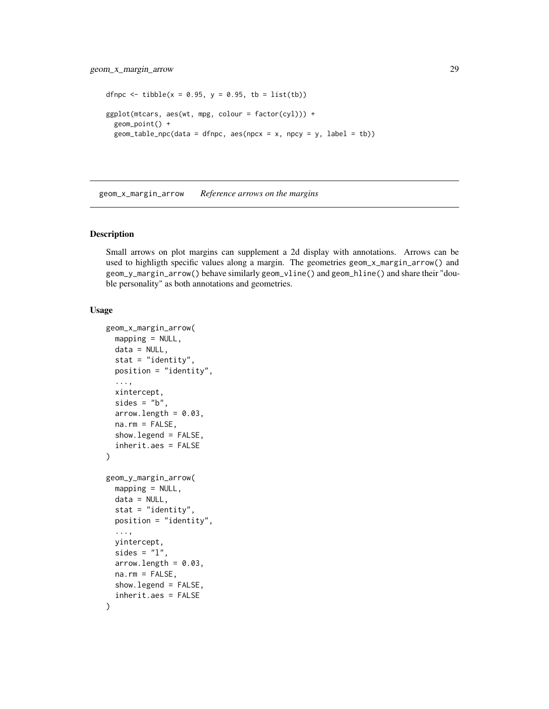```
dfnpc <- tibble(x = 0.95, y = 0.95, tb = list(tb))
ggplot(mtcars, aes(wt, mpg, colour = factor(cyl))) +
  geom_point() +
  geom_table\_npc(data = dfnpc, aes(npcx = x, npcy = y, label = tb))
```
<span id="page-28-1"></span>geom\_x\_margin\_arrow *Reference arrows on the margins*

### Description

Small arrows on plot margins can supplement a 2d display with annotations. Arrows can be used to highligth specific values along a margin. The geometries geom\_x\_margin\_arrow() and geom\_y\_margin\_arrow() behave similarly geom\_vline() and geom\_hline() and share their "double personality" as both annotations and geometries.

```
geom_x_margin_arrow(
  mapping = NULL,
  data = NULL,stat = "identity",
  position = "identity",
  ...,
  xintercept,
  sides = "b",
  arrow.length = 0.03,
  na.rm = FALSE,show.legend = FALSE,
  inherit.aes = FALSE
\lambdageom_y_margin_arrow(
  mapping = NULL,
  data = NULL,stat = "identity",
  position = "identity",
  ...,
  yintercept,
  sides = "1".
  arrow.length = 0.03,
  na.rm = FALSE,show.legend = FALSE,
  inherit.aes = FALSE
)
```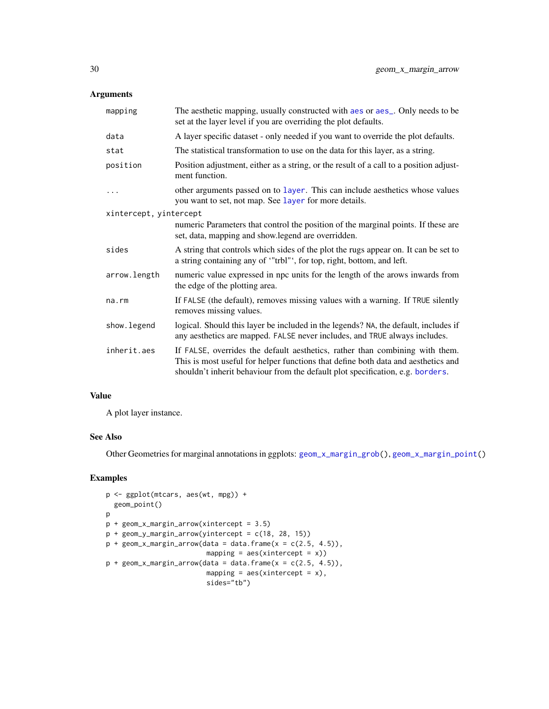### Arguments

| mapping                | The aesthetic mapping, usually constructed with aes or aes_. Only needs to be<br>set at the layer level if you are overriding the plot defaults.                                                                                                    |
|------------------------|-----------------------------------------------------------------------------------------------------------------------------------------------------------------------------------------------------------------------------------------------------|
| data                   | A layer specific dataset - only needed if you want to override the plot defaults.                                                                                                                                                                   |
| stat                   | The statistical transformation to use on the data for this layer, as a string.                                                                                                                                                                      |
| position               | Position adjustment, either as a string, or the result of a call to a position adjust-<br>ment function.                                                                                                                                            |
| $\cdots$               | other arguments passed on to layer. This can include aesthetics whose values<br>you want to set, not map. See layer for more details.                                                                                                               |
| xintercept, yintercept |                                                                                                                                                                                                                                                     |
|                        | numeric Parameters that control the position of the marginal points. If these are<br>set, data, mapping and show.legend are overridden.                                                                                                             |
| sides                  | A string that controls which sides of the plot the rugs appear on. It can be set to<br>a string containing any of "trbl"', for top, right, bottom, and left.                                                                                        |
| arrow.length           | numeric value expressed in npc units for the length of the arows inwards from<br>the edge of the plotting area.                                                                                                                                     |
| $na$ . $rm$            | If FALSE (the default), removes missing values with a warning. If TRUE silently<br>removes missing values.                                                                                                                                          |
| show. legend           | logical. Should this layer be included in the legends? NA, the default, includes if<br>any aesthetics are mapped. FALSE never includes, and TRUE always includes.                                                                                   |
| inherit.aes            | If FALSE, overrides the default aesthetics, rather than combining with them.<br>This is most useful for helper functions that define both data and aesthetics and<br>shouldn't inherit behaviour from the default plot specification, e.g. borders. |

### Value

A plot layer instance.

### See Also

Other Geometries for marginal annotations in ggplots: [geom\\_x\\_margin\\_grob\(](#page-30-1)), [geom\\_x\\_margin\\_point\(](#page-31-1))

```
p <- ggplot(mtcars, aes(wt, mpg)) +
  geom_point()
p
p + geom_x_margin_arrow(xintercept = 3.5)
p + geom_y_margin_arrow(yintercept = c(18, 28, 15))p + geom_x_margin_arrow(data = data-frame(x = c(2.5, 4.5)),mapping = \text{aes}(\text{xintercept} = x))p + geom_x_margin_arrow(data = data-frame(x = c(2.5, 4.5)),mapping = \text{aes}(\text{xintercept} = x),
                           sides="tb")
```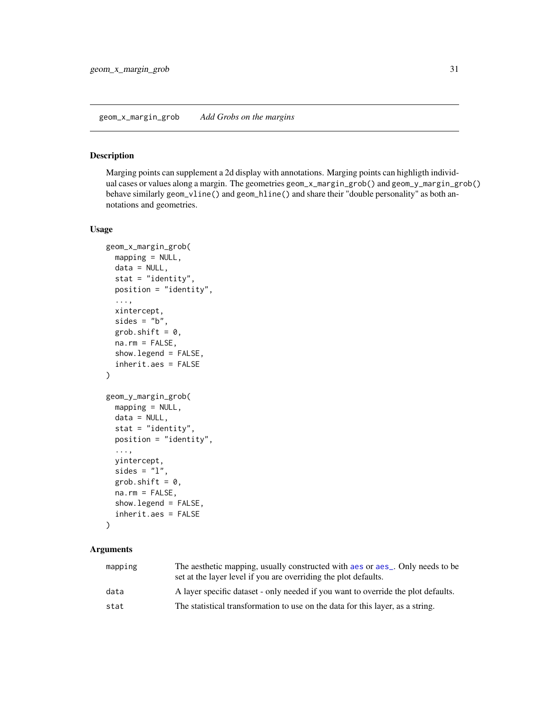### <span id="page-30-1"></span><span id="page-30-0"></span>Description

Marging points can supplement a 2d display with annotations. Marging points can highligth individual cases or values along a margin. The geometries geom\_x\_margin\_grob() and geom\_y\_margin\_grob() behave similarly geom\_vline() and geom\_hline() and share their "double personality" as both annotations and geometries.

### Usage

```
geom_x_margin_grob(
  mapping = NULL,data = NULL,stat = "identity",
  position = "identity",
  ...,
  xintercept,
  sides = "b",grob.shift = 0,
  na.rm = FALSE,show.legend = FALSE,
  inherit.aes = FALSE
\mathcal{L}geom_y_margin_grob(
  mapping = NULL,
  data = NULL,
  stat = "identity",
  position = "identity",
  ...,
  yintercept,
  sides = "1",grob.shift = 0,
  na.rm = FALSE,
  show.legend = FALSE,
  inherit.aes = FALSE
)
```
### Arguments

| mapping | The aesthetic mapping, usually constructed with a es or a es_. Only needs to be<br>set at the layer level if you are overriding the plot defaults. |
|---------|----------------------------------------------------------------------------------------------------------------------------------------------------|
| data    | A layer specific dataset - only needed if you want to override the plot defaults.                                                                  |
| stat    | The statistical transformation to use on the data for this layer, as a string.                                                                     |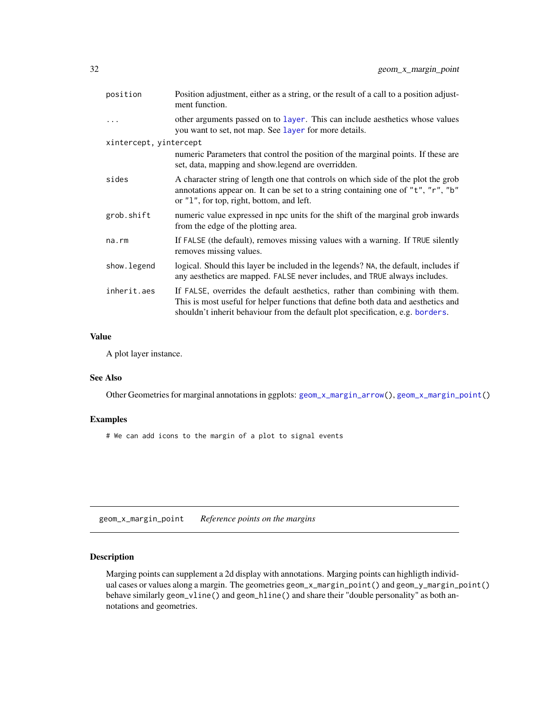<span id="page-31-0"></span>

| position               | Position adjustment, either as a string, or the result of a call to a position adjust-<br>ment function.                                                                                                                                            |
|------------------------|-----------------------------------------------------------------------------------------------------------------------------------------------------------------------------------------------------------------------------------------------------|
|                        | other arguments passed on to layer. This can include aesthetics whose values<br>you want to set, not map. See layer for more details.                                                                                                               |
| xintercept, yintercept |                                                                                                                                                                                                                                                     |
|                        | numeric Parameters that control the position of the marginal points. If these are<br>set, data, mapping and show.legend are overridden.                                                                                                             |
| sides                  | A character string of length one that controls on which side of the plot the grob<br>annotations appear on. It can be set to a string containing one of "t", "r", "b"<br>or "1", for top, right, bottom, and left.                                  |
| grob.shift             | numeric value expressed in npc units for the shift of the marginal grob inwards<br>from the edge of the plotting area.                                                                                                                              |
| na.rm                  | If FALSE (the default), removes missing values with a warning. If TRUE silently<br>removes missing values.                                                                                                                                          |
| show.legend            | logical. Should this layer be included in the legends? NA, the default, includes if<br>any aesthetics are mapped. FALSE never includes, and TRUE always includes.                                                                                   |
| inherit.aes            | If FALSE, overrides the default aesthetics, rather than combining with them.<br>This is most useful for helper functions that define both data and aesthetics and<br>shouldn't inherit behaviour from the default plot specification, e.g. borders. |

### Value

A plot layer instance.

### See Also

Other Geometries for marginal annotations in ggplots: [geom\\_x\\_margin\\_arrow\(](#page-28-1)), [geom\\_x\\_margin\\_point\(](#page-31-1))

### Examples

# We can add icons to the margin of a plot to signal events

<span id="page-31-1"></span>geom\_x\_margin\_point *Reference points on the margins*

### Description

Marging points can supplement a 2d display with annotations. Marging points can highligth individual cases or values along a margin. The geometries geom\_x\_margin\_point() and geom\_y\_margin\_point() behave similarly geom\_vline() and geom\_hline() and share their "double personality" as both annotations and geometries.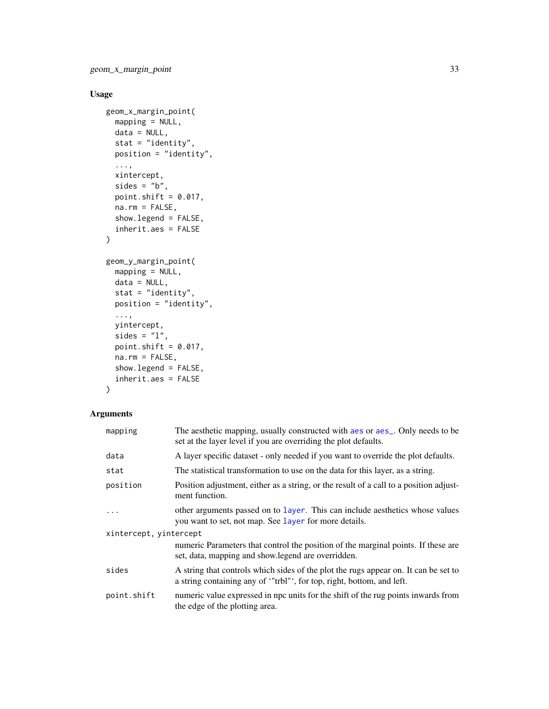### Usage

```
geom_x_margin_point(
 mapping = NULL,
 data = NULL,
 stat = "identity",
 position = "identity",
  ...,
 xintercept,
  sides = "b",point.shift = 0.017,
 na.rm = FALSE,show.legend = FALSE,
  inherit.aes = FALSE
\mathcal{L}geom_y_margin_point(
 mapping = NULL,
 data = NULL,
 stat = "identity",
 position = "identity",
  ...,
 yintercept,
 sides = "1",point.shift = 0.017,
 na.rm = FALSE,show.legend = FALSE,
  inherit.aes = FALSE
\mathcal{L}
```
### Arguments

| mapping                | The aesthetic mapping, usually constructed with aes or aes <sub>-</sub> . Only needs to be<br>set at the layer level if you are overriding the plot defaults. |  |
|------------------------|---------------------------------------------------------------------------------------------------------------------------------------------------------------|--|
| data                   | A layer specific dataset - only needed if you want to override the plot defaults.                                                                             |  |
| stat                   | The statistical transformation to use on the data for this layer, as a string.                                                                                |  |
| position               | Position adjustment, either as a string, or the result of a call to a position adjust-<br>ment function.                                                      |  |
|                        | other arguments passed on to layer. This can include aesthetics whose values<br>you want to set, not map. See layer for more details.                         |  |
| xintercept, yintercept |                                                                                                                                                               |  |
|                        | numeric Parameters that control the position of the marginal points. If these are<br>set, data, mapping and show. legend are overridden.                      |  |
| sides                  | A string that controls which sides of the plot the rugs appear on. It can be set to<br>a string containing any of "trbl"', for top, right, bottom, and left.  |  |
| point.shift            | numeric value expressed in npc units for the shift of the rug points inwards from<br>the edge of the plotting area.                                           |  |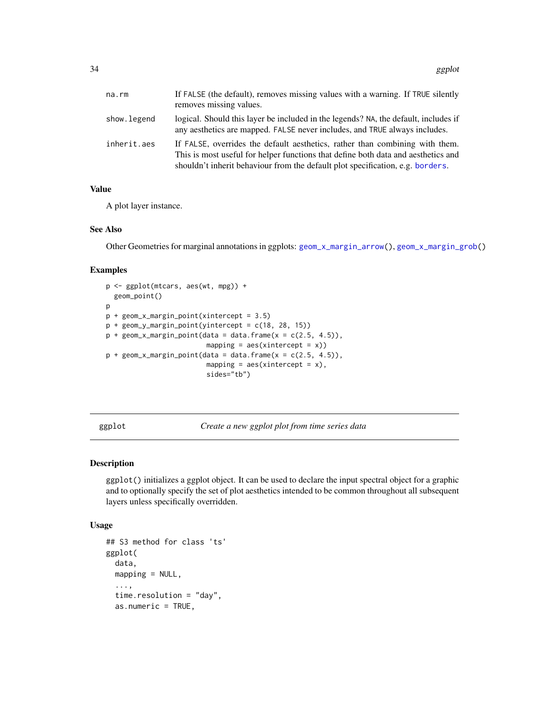<span id="page-33-0"></span>

| na.rm       | If FALSE (the default), removes missing values with a warning. If TRUE silently<br>removes missing values.                                                                                                                                          |
|-------------|-----------------------------------------------------------------------------------------------------------------------------------------------------------------------------------------------------------------------------------------------------|
| show.legend | logical. Should this layer be included in the legends? NA, the default, includes if<br>any aesthetics are mapped. FALSE never includes, and TRUE always includes.                                                                                   |
| inherit.aes | If FALSE, overrides the default aesthetics, rather than combining with them.<br>This is most useful for helper functions that define both data and aesthetics and<br>shouldn't inherit behaviour from the default plot specification, e.g. borders. |

### Value

A plot layer instance.

### See Also

Other Geometries for marginal annotations in ggplots: [geom\\_x\\_margin\\_arrow\(](#page-28-1)), [geom\\_x\\_margin\\_grob\(](#page-30-1))

### Examples

```
p <- ggplot(mtcars, aes(wt, mpg)) +
  geom_point()
\mathbf{p}p + geom_x_margin_point(xintercept = 3.5)
p + geom_y_margin_point(yintercept = c(18, 28, 15))p + geom_x_margin\_point(data = data-frame(x = c(2.5, 4.5)),mapping = \text{aes}(\text{xintercept} = x))p + geom_x_margin\_point(data = data-frame(x = c(2.5, 4.5)),mapping = aes(xintercept = x),
                          sides="tb")
```
<span id="page-33-1"></span>ggplot *Create a new ggplot plot from time series data*

### Description

ggplot() initializes a ggplot object. It can be used to declare the input spectral object for a graphic and to optionally specify the set of plot aesthetics intended to be common throughout all subsequent layers unless specifically overridden.

```
## S3 method for class 'ts'
ggplot(
 data,
 mapping = NULL,...,
  time.resolution = "day",
  as.numeric = TRUE,
```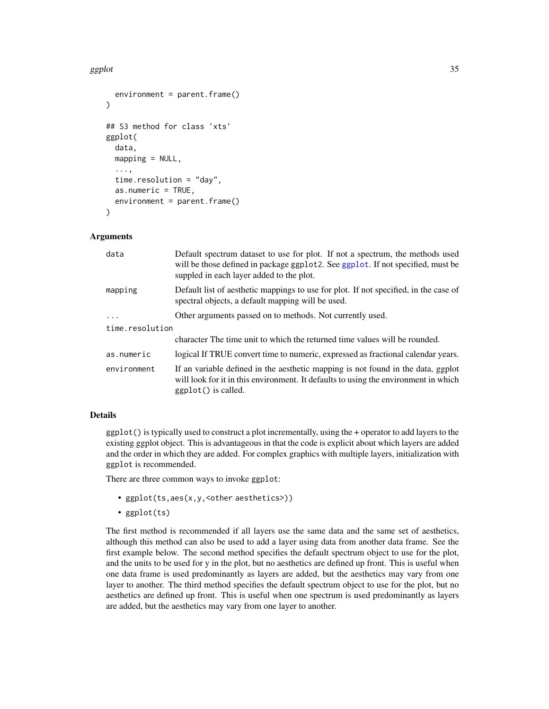### ggplot 35

```
environment = parent.frame()\lambda## S3 method for class 'xts'
ggplot(
  data,
 mapping = NULL,...,
  time.resolution = "day",
  as.numeric = TRUE,
  environment = parent.frame()
)
```
### Arguments

| data            | Default spectrum dataset to use for plot. If not a spectrum, the methods used<br>will be those defined in package ggplot 2. See ggplot. If not specified, must be<br>suppled in each layer added to the plot. |  |
|-----------------|---------------------------------------------------------------------------------------------------------------------------------------------------------------------------------------------------------------|--|
| mapping         | Default list of aesthetic mappings to use for plot. If not specified, in the case of<br>spectral objects, a default mapping will be used.                                                                     |  |
| $\ddots$ .      | Other arguments passed on to methods. Not currently used.                                                                                                                                                     |  |
| time.resolution |                                                                                                                                                                                                               |  |
|                 | character The time unit to which the returned time values will be rounded.                                                                                                                                    |  |
| as.numeric      | logical If TRUE convert time to numeric, expressed as fractional calendar years.                                                                                                                              |  |
| environment     | If an variable defined in the aesthetic mapping is not found in the data, ggplot<br>will look for it in this environment. It defaults to using the environment in which<br>$ggplot()$ is called.              |  |

### Details

ggplot() is typically used to construct a plot incrementally, using the + operator to add layers to the existing ggplot object. This is advantageous in that the code is explicit about which layers are added and the order in which they are added. For complex graphics with multiple layers, initialization with ggplot is recommended.

There are three common ways to invoke ggplot:

- ggplot(ts,aes(x,y,<other aesthetics>))
- ggplot(ts)

The first method is recommended if all layers use the same data and the same set of aesthetics, although this method can also be used to add a layer using data from another data frame. See the first example below. The second method specifies the default spectrum object to use for the plot, and the units to be used for y in the plot, but no aesthetics are defined up front. This is useful when one data frame is used predominantly as layers are added, but the aesthetics may vary from one layer to another. The third method specifies the default spectrum object to use for the plot, but no aesthetics are defined up front. This is useful when one spectrum is used predominantly as layers are added, but the aesthetics may vary from one layer to another.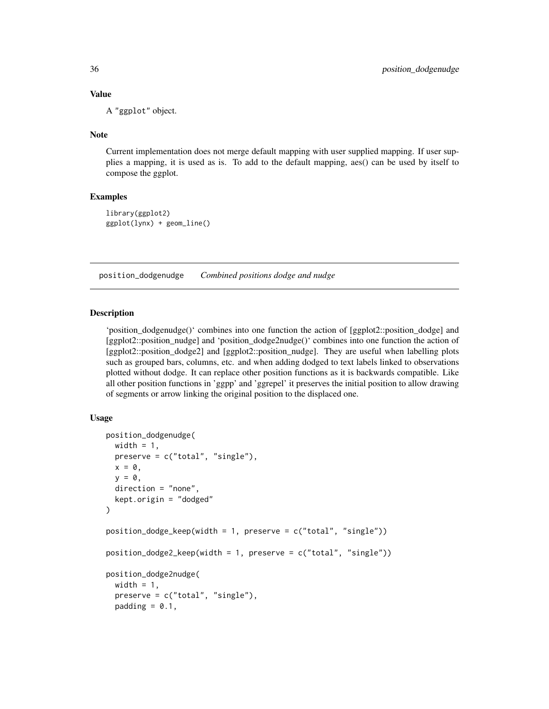### Value

A "ggplot" object.

### **Note**

Current implementation does not merge default mapping with user supplied mapping. If user supplies a mapping, it is used as is. To add to the default mapping, aes() can be used by itself to compose the ggplot.

### Examples

```
library(ggplot2)
ggplot(lynx) + geom_line()
```
<span id="page-35-1"></span>position\_dodgenudge *Combined positions dodge and nudge*

### Description

'position\_dodgenudge()' combines into one function the action of [ggplot2::position\_dodge] and [ggplot2::position\_nudge] and 'position\_dodge2nudge()' combines into one function the action of [ggplot2::position\_dodge2] and [ggplot2::position\_nudge]. They are useful when labelling plots such as grouped bars, columns, etc. and when adding dodged to text labels linked to observations plotted without dodge. It can replace other position functions as it is backwards compatible. Like all other position functions in 'ggpp' and 'ggrepel' it preserves the initial position to allow drawing of segments or arrow linking the original position to the displaced one.

```
position_dodgenudge(
  width = 1,
  preserve = c("total", "single"),
  x = 0,
 y = 0,
  direction = "none",
  kept.origin = "dodged"
)
position_dodge_keep(width = 1, preserve = c("total", "single"))
position_dodge2_keep(width = 1, preserve = c("total", "single"))
position_dodge2nudge(
  width = 1,
  preserve = c("total", "single"),
  padding = 0.1,
```
<span id="page-35-0"></span>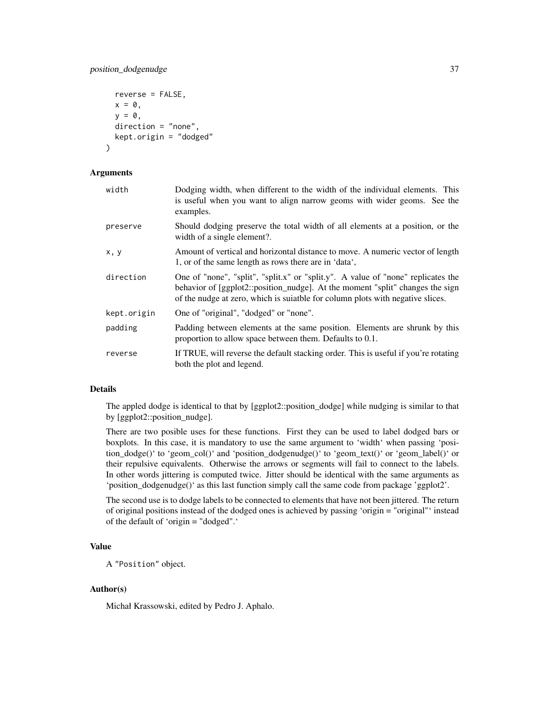# position\_dodgenudge 37

```
reverse = FALSE,
 x = 0,
 y = 0,
 direction = "none",
 kept.origin = "dodged"
)
```
# Arguments

| width       | Dodging width, when different to the width of the individual elements. This<br>is useful when you want to align narrow geoms with wider geoms. See the<br>examples.                                                                                |
|-------------|----------------------------------------------------------------------------------------------------------------------------------------------------------------------------------------------------------------------------------------------------|
| preserve    | Should dodging preserve the total width of all elements at a position, or the<br>width of a single element?.                                                                                                                                       |
| x, y        | Amount of vertical and horizontal distance to move. A numeric vector of length<br>1, or of the same length as rows there are in 'data',                                                                                                            |
| direction   | One of "none", "split", "split.x" or "split.y". A value of "none" replicates the<br>behavior of [ggplot2::position_nudge]. At the moment "split" changes the sign<br>of the nudge at zero, which is suiable for column plots with negative slices. |
| kept.origin | One of "original", "dodged" or "none".                                                                                                                                                                                                             |
| padding     | Padding between elements at the same position. Elements are shrunk by this<br>proportion to allow space between them. Defaults to 0.1.                                                                                                             |
| reverse     | If TRUE, will reverse the default stacking order. This is useful if you're rotating<br>both the plot and legend.                                                                                                                                   |

# Details

The appled dodge is identical to that by [ggplot2::position\_dodge] while nudging is similar to that by [ggplot2::position\_nudge].

There are two posible uses for these functions. First they can be used to label dodged bars or boxplots. In this case, it is mandatory to use the same argument to 'width' when passing 'position\_dodge()' to 'geom\_col()' and 'position\_dodgenudge()' to 'geom\_text()' or 'geom\_label()' or their repulsive equivalents. Otherwise the arrows or segments will fail to connect to the labels. In other words jittering is computed twice. Jitter should be identical with the same arguments as 'position\_dodgenudge()' as this last function simply call the same code from package 'ggplot2'.

The second use is to dodge labels to be connected to elements that have not been jittered. The return of original positions instead of the dodged ones is achieved by passing 'origin = "original"' instead of the default of 'origin = "dodged".'

# Value

A "Position" object.

# Author(s)

Michał Krassowski, edited by Pedro J. Aphalo.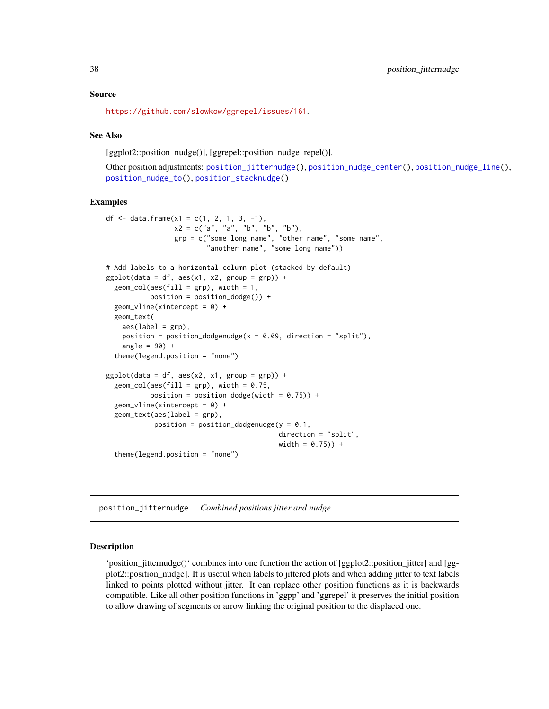### Source

<https://github.com/slowkow/ggrepel/issues/161>.

## See Also

[ggplot2::position\_nudge()], [ggrepel::position\_nudge\_repel()].

Other position adjustments: [position\\_jitternudge\(](#page-37-0)), [position\\_nudge\\_center\(](#page-40-0)), [position\\_nudge\\_line\(](#page-45-0)), [position\\_nudge\\_to\(](#page-50-0)), [position\\_stacknudge\(](#page-51-0))

### Examples

```
df <- data.frame(x1 = c(1, 2, 1, 3, -1),
                 x2 = c("a", "a", "b", "b", "b",grp = c("some long name", "other name", "some name",
                         "another name", "some long name"))
# Add labels to a horizontal column plot (stacked by default)
ggplot(data = df, aes(x1, x2, group = grp)) +geom\_col(aes(fill = grp), width = 1,position = position_dodge()) +
 geom\_vline(xintercept = 0) +geom_text(
   aes(label = grp),position = position_dodgenudge(x = 0.09, direction = "split"),
   angle = 90) +
 theme(legend.position = "none")
ggplot(data = df, aes(x2, x1, group = grp)) +geom_{col(aes(fill = grp), width = 0.75,position = position_dodge(width = 0.75)) +
 geom\_vline(xintercept = 0) +geom\_text(aes(label = grp),
            position = position_dodgenudge(y = 0.1,
                                           direction = "split",
                                           width = 0.75) +
 theme(legend.position = "none")
```
<span id="page-37-0"></span>position\_jitternudge *Combined positions jitter and nudge*

#### Description

'position\_jitternudge()' combines into one function the action of [ggplot2::position\_jitter] and [ggplot2::position\_nudge]. It is useful when labels to jittered plots and when adding jitter to text labels linked to points plotted without jitter. It can replace other position functions as it is backwards compatible. Like all other position functions in 'ggpp' and 'ggrepel' it preserves the initial position to allow drawing of segments or arrow linking the original position to the displaced one.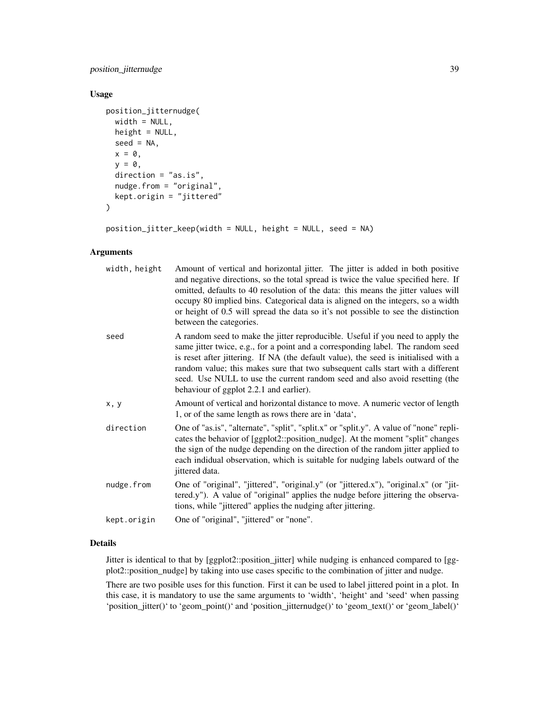position\_jitternudge 39

### Usage

```
position_jitternudge(
 width = NULL,
 height = NULL,seed = NA,
 x = 0,
  y = 0,
  direction = "as.is",
  nudge.from = "original",
 kept.origin = "jittered"
\mathcal{L}
```
position\_jitter\_keep(width = NULL, height = NULL, seed = NA)

# Arguments

| width, height | Amount of vertical and horizontal jitter. The jitter is added in both positive<br>and negative directions, so the total spread is twice the value specified here. If<br>omitted, defaults to 40 resolution of the data: this means the jitter values will<br>occupy 80 implied bins. Categorical data is aligned on the integers, so a width<br>or height of 0.5 will spread the data so it's not possible to see the distinction<br>between the categories.         |
|---------------|----------------------------------------------------------------------------------------------------------------------------------------------------------------------------------------------------------------------------------------------------------------------------------------------------------------------------------------------------------------------------------------------------------------------------------------------------------------------|
| seed          | A random seed to make the jitter reproducible. Useful if you need to apply the<br>same jitter twice, e.g., for a point and a corresponding label. The random seed<br>is reset after jittering. If NA (the default value), the seed is initialised with a<br>random value; this makes sure that two subsequent calls start with a different<br>seed. Use NULL to use the current random seed and also avoid resetting (the<br>behaviour of ggplot 2.2.1 and earlier). |
| x, y          | Amount of vertical and horizontal distance to move. A numeric vector of length<br>1, or of the same length as rows there are in 'data',                                                                                                                                                                                                                                                                                                                              |
| direction     | One of "as.is", "alternate", "split", "split.x" or "split.y". A value of "none" repli-<br>cates the behavior of [ggplot2::position_nudge]. At the moment "split" changes<br>the sign of the nudge depending on the direction of the random jitter applied to<br>each indidual observation, which is suitable for nudging labels outward of the<br>jittered data.                                                                                                     |
| nudge.from    | One of "original", "jittered", "original.y" (or "jittered.x"), "original.x" (or "jit-<br>tered.y"). A value of "original" applies the nudge before jittering the observa-<br>tions, while "jittered" applies the nudging after jittering.                                                                                                                                                                                                                            |
| kept.origin   | One of "original", "jittered" or "none".                                                                                                                                                                                                                                                                                                                                                                                                                             |
|               |                                                                                                                                                                                                                                                                                                                                                                                                                                                                      |

# Details

Jitter is identical to that by [ggplot2::position\_jitter] while nudging is enhanced compared to [ggplot2::position\_nudge] by taking into use cases specific to the combination of jitter and nudge.

There are two posible uses for this function. First it can be used to label jittered point in a plot. In this case, it is mandatory to use the same arguments to 'width', 'height' and 'seed' when passing 'position\_jitter()' to 'geom\_point()' and 'position\_jitternudge()' to 'geom\_text()' or 'geom\_label()'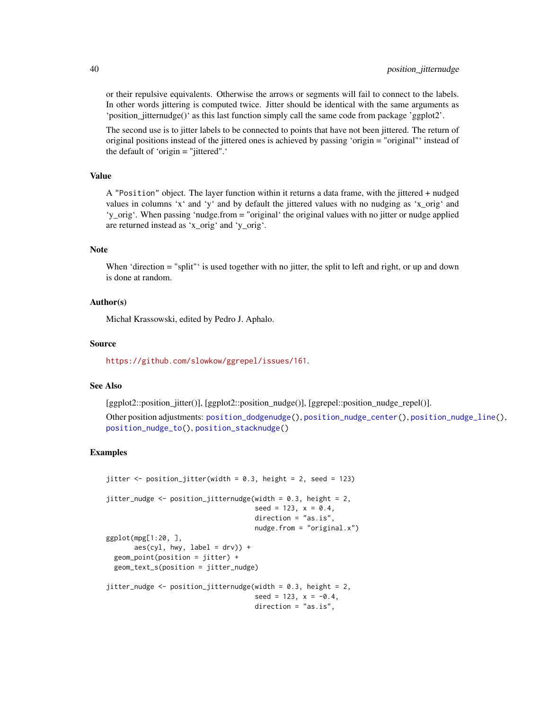or their repulsive equivalents. Otherwise the arrows or segments will fail to connect to the labels. In other words jittering is computed twice. Jitter should be identical with the same arguments as 'position\_jitternudge()' as this last function simply call the same code from package 'ggplot2'.

The second use is to jitter labels to be connected to points that have not been jittered. The return of original positions instead of the jittered ones is achieved by passing 'origin = "original"' instead of the default of 'origin = "jittered".'

# Value

A "Position" object. The layer function within it returns a data frame, with the jittered + nudged values in columns 'x' and 'y' and by default the jittered values with no nudging as 'x\_orig' and 'y\_orig'. When passing 'nudge.from = "original' the original values with no jitter or nudge applied are returned instead as 'x\_orig' and 'y\_orig'.

### Note

When 'direction = "split" is used together with no jitter, the split to left and right, or up and down is done at random.

#### Author(s)

Michał Krassowski, edited by Pedro J. Aphalo.

#### Source

<https://github.com/slowkow/ggrepel/issues/161>.

# See Also

[ggplot2::position\_jitter()], [ggplot2::position\_nudge()], [ggrepel::position\_nudge\_repel()].

Other position adjustments: [position\\_dodgenudge\(](#page-35-0)), [position\\_nudge\\_center\(](#page-40-0)), [position\\_nudge\\_line\(](#page-45-0)), [position\\_nudge\\_to\(](#page-50-0)), [position\\_stacknudge\(](#page-51-0))

```
jitter \leq position_jitter(width = 0.3, height = 2, seed = 123)
jitter_nudge <- position_jitternudge(width = 0.3, height = 2,
                                     seed = 123, x = 0.4,
                                     direction = "as.is",
                                     nudge.from = "original.x")
ggplot(mpg[1:20, ],
      aes(cyl, hwy, label = dry) +
 geom_point(position = jitter) +
 geom_text_s(position = jitter_nudge)
jitter_nudge <- position_jitternudge(width = 0.3, height = 2,
                                     seed = 123, x = -0.4,
                                     direction = "as.is",
```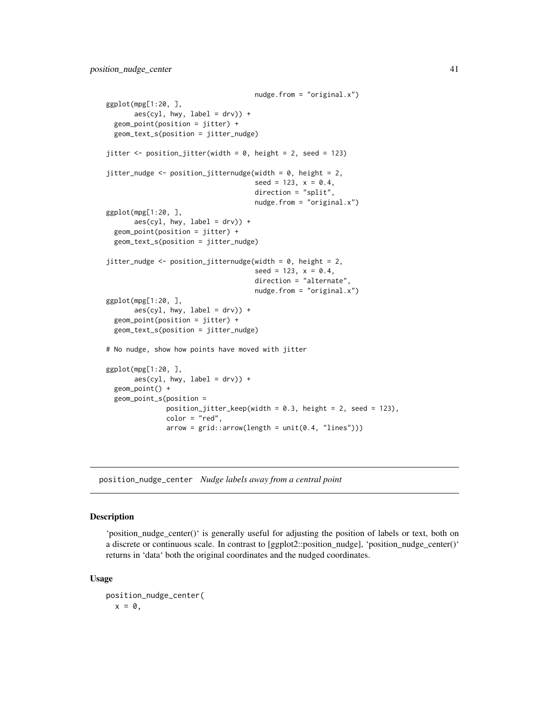```
nudge.from = "original.x")
ggplot(mpg[1:20, ],
       aes(cyl, hwy, label = dry) +
 geom_point(position = jitter) +
 geom_text_s(position = jitter_nudge)
jitter <- position_jitter(width = 0, height = 2, seed = 123)
jitter_nudge <- position_jitternudge(width = 0, height = 2,
                                      seed = 123, x = 0.4,
                                      direction = "split",
                                      nudge.from = "original.x")
ggplot(mpg[1:20, ],
       \text{aes}(\text{cyl}, \text{hwy}, \text{label} = \text{drv}) +
 geom_point(position = jitter) +
 geom_text_s(position = jitter_nudge)
jitter_nudge <- position_jitternudge(width = 0, height = 2,
                                      seed = 123, x = 0.4,
                                      direction = "alternate",
                                      nudge.from = "original.x")
ggplot(mpg[1:20, ],
       aes(cyl, hwy, label = dry) +
 geom_point(position = jitter) +
 geom_text_s(position = jitter_nudge)
# No nudge, show how points have moved with jitter
ggplot(mpg[1:20, ],
       aes(cyl, hwy, label = dry) +
 geom_point() +
 geom_point_s(position =
               position_jitter_keep(width = 0.3, height = 2, seed = 123),
               color = "red",
               arrow = grid::arrow(length = unit(0.4, "lines")))
```
<span id="page-40-0"></span>position\_nudge\_center *Nudge labels away from a central point*

# Description

'position nudge center()' is generally useful for adjusting the position of labels or text, both on a discrete or continuous scale. In contrast to [ggplot2::position\_nudge], 'position\_nudge\_center()' returns in 'data' both the original coordinates and the nudged coordinates.

```
position_nudge_center(
  x = 0,
```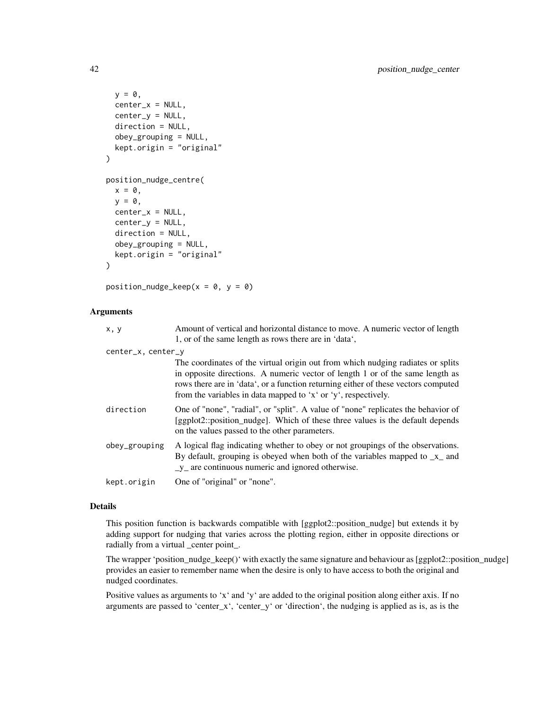```
y = 0,
  center_x = NULL,center_v = NULL,
 direction = NULL,
  obey_grouping = NULL,
 kept.origin = "original"
)
position_nudge_centre(
  x = 0,
 y = 0,
  center_x = NULL,center_y = NULL,
  direction = NULL,
  obey_grouping = NULL,
  kept.origin = "original"
\mathcal{L}
```
position\_nudge\_keep( $x = 0$ ,  $y = 0$ )

# Arguments

| x, y               | Amount of vertical and horizontal distance to move. A numeric vector of length<br>1, or of the same length as rows there are in 'data',                                                                                                                                                                                  |
|--------------------|--------------------------------------------------------------------------------------------------------------------------------------------------------------------------------------------------------------------------------------------------------------------------------------------------------------------------|
| center_x, center_y |                                                                                                                                                                                                                                                                                                                          |
|                    | The coordinates of the virtual origin out from which nudging radiates or splits<br>in opposite directions. A numeric vector of length 1 or of the same length as<br>rows there are in 'data', or a function returning either of these vectors computed<br>from the variables in data mapped to 'x' or 'y', respectively. |
| direction          | One of "none", "radial", or "split". A value of "none" replicates the behavior of<br>[ggplot2::position_nudge]. Which of these three values is the default depends<br>on the values passed to the other parameters.                                                                                                      |
| obey_grouping      | A logical flag indicating whether to obey or not groupings of the observations.<br>By default, grouping is obeyed when both of the variables mapped to $\mathbf{x}_-$ and<br>$_y$ are continuous numeric and ignored otherwise.                                                                                          |
| kept.origin        | One of "original" or "none".                                                                                                                                                                                                                                                                                             |

## Details

This position function is backwards compatible with [ggplot2::position\_nudge] but extends it by adding support for nudging that varies across the plotting region, either in opposite directions or radially from a virtual \_center point\_.

The wrapper 'position\_nudge\_keep()' with exactly the same signature and behaviour as [ggplot2::position\_nudge] provides an easier to remember name when the desire is only to have access to both the original and nudged coordinates.

Positive values as arguments to 'x' and 'y' are added to the original position along either axis. If no arguments are passed to 'center\_x', 'center\_y' or 'direction', the nudging is applied as is, as is the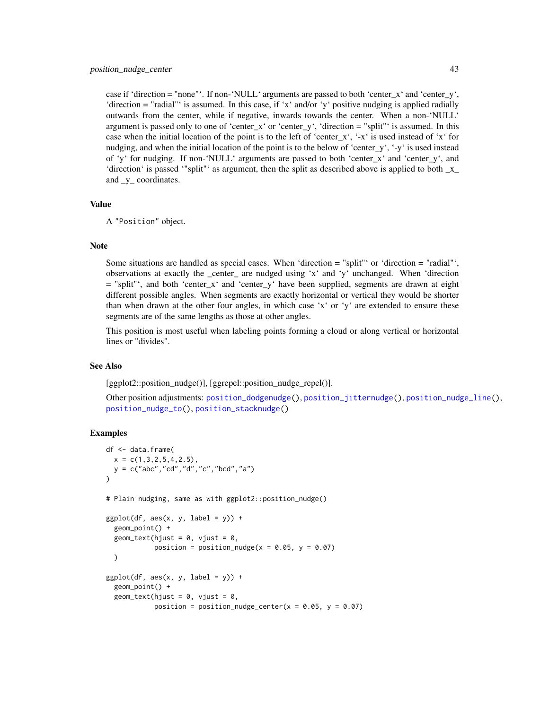case if 'direction = "none"'. If non-'NULL' arguments are passed to both 'center\_x' and 'center\_y', 'direction = "radial"' is assumed. In this case, if 'x' and/or 'y' positive nudging is applied radially outwards from the center, while if negative, inwards towards the center. When a non-'NULL' argument is passed only to one of 'center\_x' or 'center\_y', 'direction = "split"' is assumed. In this case when the initial location of the point is to the left of 'center\_x', '-x' is used instead of 'x' for nudging, and when the initial location of the point is to the below of 'center\_y', '-y' is used instead of 'y' for nudging. If non-'NULL' arguments are passed to both 'center\_x' and 'center\_y', and 'direction' is passed '"split"' as argument, then the split as described above is applied to both  $_x$ and y coordinates.

#### Value

A "Position" object.

#### **Note**

Some situations are handled as special cases. When 'direction = "split"' or 'direction = "radial"', observations at exactly the \_center\_ are nudged using 'x' and 'y' unchanged. When 'direction = "split"', and both 'center\_x' and 'center\_y' have been supplied, segments are drawn at eight different possible angles. When segments are exactly horizontal or vertical they would be shorter than when drawn at the other four angles, in which case 'x' or 'y' are extended to ensure these segments are of the same lengths as those at other angles.

This position is most useful when labeling points forming a cloud or along vertical or horizontal lines or "divides".

### See Also

[ggplot2::position\_nudge()], [ggrepel::position\_nudge\_repel()].

Other position adjustments: [position\\_dodgenudge\(](#page-35-0)), [position\\_jitternudge\(](#page-37-0)), [position\\_nudge\\_line\(](#page-45-0)), [position\\_nudge\\_to\(](#page-50-0)), [position\\_stacknudge\(](#page-51-0))

```
df <- data.frame(
 x = c(1, 3, 2, 5, 4, 2.5),
 y = c("abc","cd","d","c","bcd","a")
)
# Plain nudging, same as with ggplot2::position_nudge()
ggplot(df, aes(x, y, label = y)) +geom_point() +
 geom_text(hjust = 0, vjust = 0,
            position = position_nudge(x = 0.05, y = 0.07)
 )
ggplot(df, aes(x, y, label = y)) +
 geom_point() +
 geom_text(hjust = 0, vjust = 0,
            position = position_nudge_center(x = 0.05, y = 0.07)
```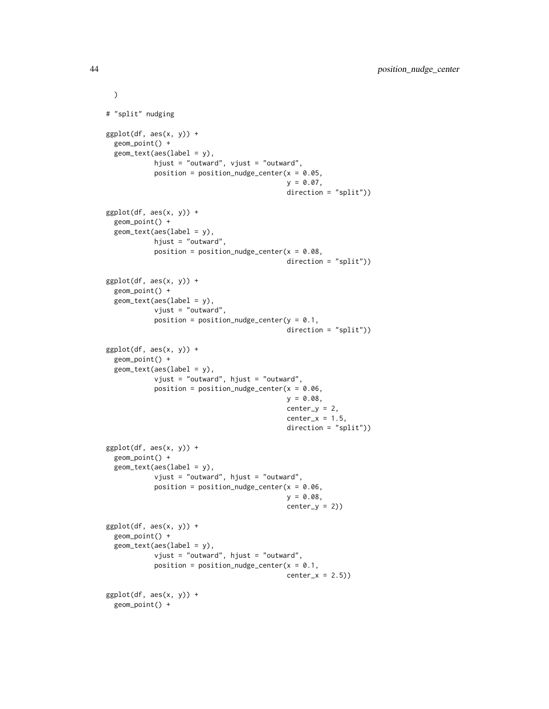```
)
# "split" nudging
ggplot(df, aes(x, y)) +geom_point() +
 geom\_text(aes(label = y),
            hjust = "outward", vjust = "outward",
            position = position_nudge_center(x = 0.05,
                                             y = 0.07,
                                             direction = "split"))
ggplot(df, aes(x, y)) +geom_point() +
 geom_text(aes(label = y),
            hjust = "outward",
            position = position\_nudge\_center(x = 0.08,direction = "split"))
ggplot(df, aes(x, y)) +
 geom_point() +
 geom_text(aes(label = y),
            vjust = "outward",
            position = position_nudge_center(y = 0.1,
                                             direction = "split"))
ggplot(df, aes(x, y)) +geom_point() +
 geom_text(aes(label = y),
            vjust = "outward", hjust = "outward",
            position = position_nudge_center(x = 0.06,
                                             y = 0.08,
                                             center_y = 2,
                                             center_x = 1.5,
                                             direction = "split"))
ggplot(df, aes(x, y)) +geom_point() +
 geom_text(aes(label = y),
            vjust = "outward", hjust = "outward",
            position = position_nudge_center(x = 0.06,
                                             y = 0.08,
                                             center_y = 2)ggplot(df, aes(x, y)) +geom_point() +
 geom_text(aes(label = y),
            vjust = "outward", hjust = "outward",
            position = position\_nudge\_center(x = 0.1,center_x = 2.5)
ggplot(df, aes(x, y)) +geom_point() +
```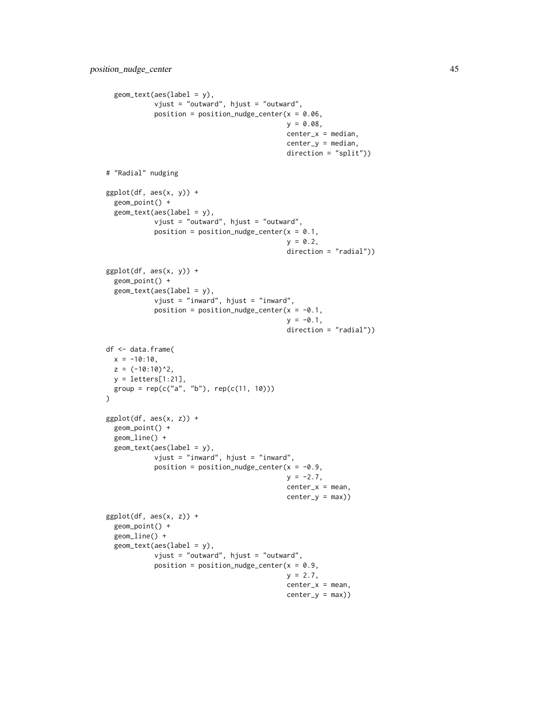```
geom\_text(aes(label = y),
            vjust = "outward", hjust = "outward",
            position = position_nudge_center(x = 0.06,
                                             y = 0.08,
                                             center_x = median,center_y = median,direction = "split"))
# "Radial" nudging
ggplot(df, aes(x, y)) +geom_point() +
  geom_text(aes(label = y),
            vjust = "outward", hjust = "outward",
            position = position_nudge_center(x = 0.1,
                                             y = 0.2,
                                             direction = "radial"))
ggplot(df, aes(x, y)) +geom_point() +
  geom_text(aes(label = y),
            vjust = "inward", hjust = "inward",
            position = position\_nudge\_center(x = -0.1,y = -0.1,
                                             direction = "radial"))
df <- data.frame(
 x = -10:10,
  z = (-10:10)^2,
  y = letters[1:21],
  group = rep(c("a", "b"), rep(c(11, 10)))\lambdaggplot(df, aes(x, z)) +
  geom_point() +
  geom_line() +
  geom_text(aes(label = y),
            vjust = "inward", hjust = "inward",
            position = position_nudge_center(x = -0.9,
                                              y = -2.7,
                                             center_x = mean,center_y = max))
ggplot(df, aes(x, z)) +
  geom_point() +
  geom_line() +
  geom_text(aes(label = y),
            vjust = "outward", hjust = "outward",
            position = position_nudge_center(x = 0.9,
                                             y = 2.7,
                                             center_x = mean,center_y = max)
```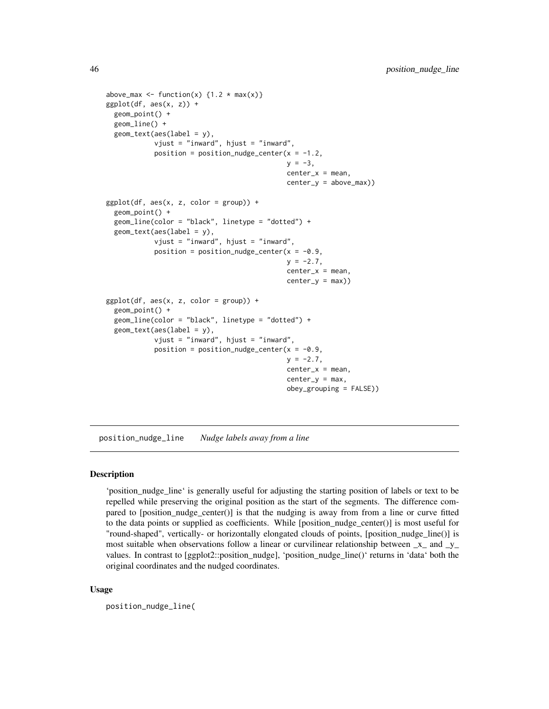```
above_max <- function(x) \{1.2 * max(x)\}ggplot(df, aes(x, z)) +geom_point() +
 geom_line() +
 geom_text(aes(label = y),
            vjust = "inward", hjust = "inward",
            position = position_nudge_center(x = -1.2,
                                             y = -3,
                                             center_x = mean,center_y = above_max))
ggplot(df, aes(x, z, color = group)) +geom_point() +
 geom_line(color = "black", linetype = "dotted") +
 geom_text(aes(label = y),
            vjust = "inward", hjust = "inward",
            position = position_nudge_center(x = -0.9,
                                             y = -2.7,
                                             center_x = mean,center_y = max)ggplot(df, aes(x, z, color = group)) +
 geom_point() +
 geom_line(color = "black", linetype = "dotted") +
 geom\_text(aes(label = y),
            vjust = "inward", hjust = "inward",
            position = position_nudge_center(x = -0.9,
                                             y = -2.7,
                                             center_x = mean,center_y = max,obey_grouping = FALSE))
```
<span id="page-45-0"></span>position\_nudge\_line *Nudge labels away from a line*

#### **Description**

'position\_nudge\_line' is generally useful for adjusting the starting position of labels or text to be repelled while preserving the original position as the start of the segments. The difference compared to [position\_nudge\_center()] is that the nudging is away from from a line or curve fitted to the data points or supplied as coefficients. While [position\_nudge\_center()] is most useful for "round-shaped", vertically- or horizontally elongated clouds of points, [position\_nudge\_line()] is most suitable when observations follow a linear or curvilinear relationship between  $\mathbf{x}_-$  and  $\mathbf{y}_$ values. In contrast to [ggplot2::position\_nudge], 'position\_nudge\_line()' returns in 'data' both the original coordinates and the nudged coordinates.

```
position_nudge_line(
```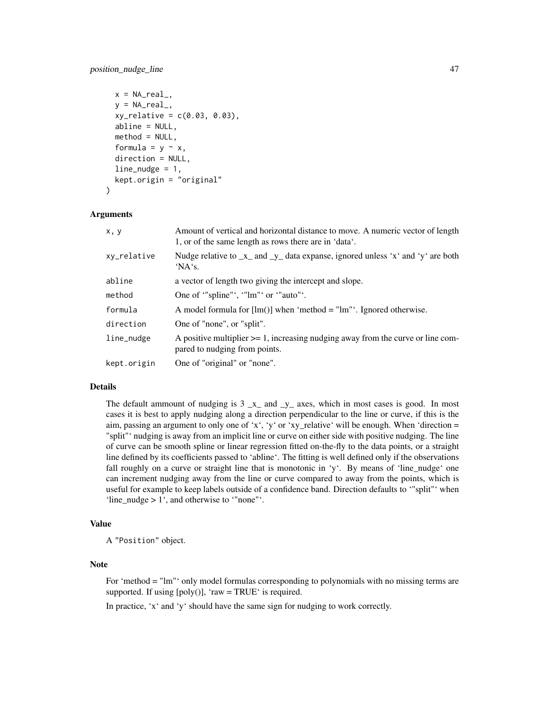```
x = NA\_real_y = NA_{real},
  xy_{relative} = c(0.03, 0.03),
  abline = NULL,
  method = NULL,formula = y \sim x,
  direction = NULL,
  line\_nudge = 1,
  kept.origin = "original"
)
```
#### Arguments

| x, y        | Amount of vertical and horizontal distance to move. A numeric vector of length<br>1, or of the same length as rows there are in 'data'. |
|-------------|-----------------------------------------------------------------------------------------------------------------------------------------|
| xy_relative | Nudge relative to $\mathbf{x}_-$ and $\mathbf{y}_-$ data expanse, ignored unless 'x' and 'y' are both<br>'NA's.                         |
| abline      | a vector of length two giving the intercept and slope.                                                                                  |
| method      | One of "spline"', "lm"' or "auto"'.                                                                                                     |
| formula     | A model formula for $[Im()]$ when 'method = "lm"'. Ignored otherwise.                                                                   |
| direction   | One of "none", or "split".                                                                                                              |
| line_nudge  | A positive multiplier $\geq$ 1, increasing nudging away from the curve or line com-<br>pared to nudging from points.                    |
| kept.origin | One of "original" or "none".                                                                                                            |

# Details

The default ammount of nudging is  $3 \text{ x}$  and  $\text{ y}$  axes, which in most cases is good. In most cases it is best to apply nudging along a direction perpendicular to the line or curve, if this is the aim, passing an argument to only one of 'x', 'y' or 'xy\_relative' will be enough. When 'direction = "split"' nudging is away from an implicit line or curve on either side with positive nudging. The line of curve can be smooth spline or linear regression fitted on-the-fly to the data points, or a straight line defined by its coefficients passed to 'abline'. The fitting is well defined only if the observations fall roughly on a curve or straight line that is monotonic in 'y'. By means of 'line\_nudge' one can increment nudging away from the line or curve compared to away from the points, which is useful for example to keep labels outside of a confidence band. Direction defaults to '"split"' when 'line\_nudge > 1', and otherwise to '"none"'.

#### Value

A "Position" object.

#### Note

For 'method = "lm"' only model formulas corresponding to polynomials with no missing terms are supported. If using  $[poly()]$ , 'raw = TRUE' is required.

In practice, 'x' and 'y' should have the same sign for nudging to work correctly.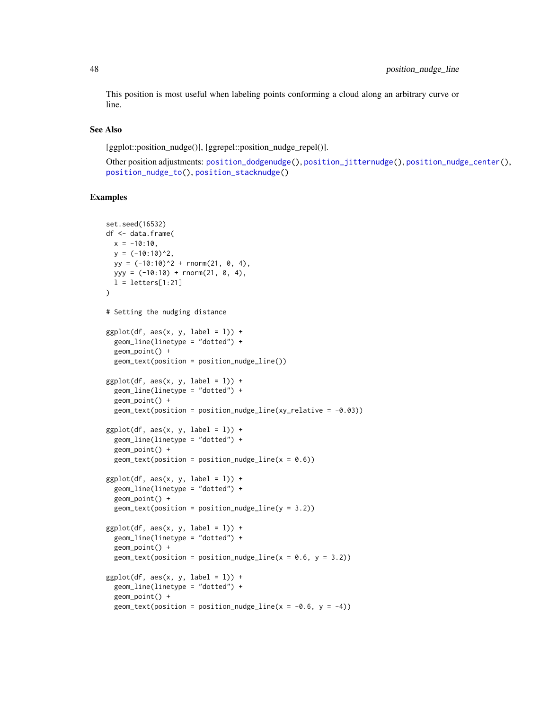This position is most useful when labeling points conforming a cloud along an arbitrary curve or line.

#### See Also

[ggplot::position\_nudge()], [ggrepel::position\_nudge\_repel()].

Other position adjustments: [position\\_dodgenudge\(](#page-35-0)), [position\\_jitternudge\(](#page-37-0)), [position\\_nudge\\_center\(](#page-40-0)), [position\\_nudge\\_to\(](#page-50-0)), [position\\_stacknudge\(](#page-51-0))

```
set.seed(16532)
df <- data.frame(
 x = -10:10,
 y = (-10:10)^{2},
  yy = (-10:10)^2 + \text{rnorm}(21, 0, 4),yyy = (-10:10) + rnorm(21, 0, 4),l = letters[1:21])
# Setting the nudging distance
ggplot(df, aes(x, y, label = 1)) +geom_line(linetype = "dotted") +
  geom_point() +
  geom_text(position = position_nudge_line())
ggplot(df, aes(x, y, label = 1)) +geom_line(linetype = "dotted") +
  geom_point() +
  geom_text(position = position_nudge_line(xy_relative = -0.03))
ggplot(df, aes(x, y, label = 1)) +geom_line(linetype = "dotted") +
  geom_point() +
  geom_text(position = position_nudge_line(x = 0.6))
ggplot(df, aes(x, y, label = 1)) +geom_line(linetype = "dotted") +
  geom_point() +
  geom\_text(position = position\_nudge\_line(y = 3.2))ggplot(df, aes(x, y, label = 1)) +geom_line(linetype = "dotted") +
  geom_point() +
  geom_text(position = position_nudge_line(x = 0.6, y = 3.2))
ggplot(df, aes(x, y, label = 1)) +geom_line(linetype = "dotted") +
  geom_point() +
  geom_text(position = position_nudge_line(x = -0.6, y = -4))
```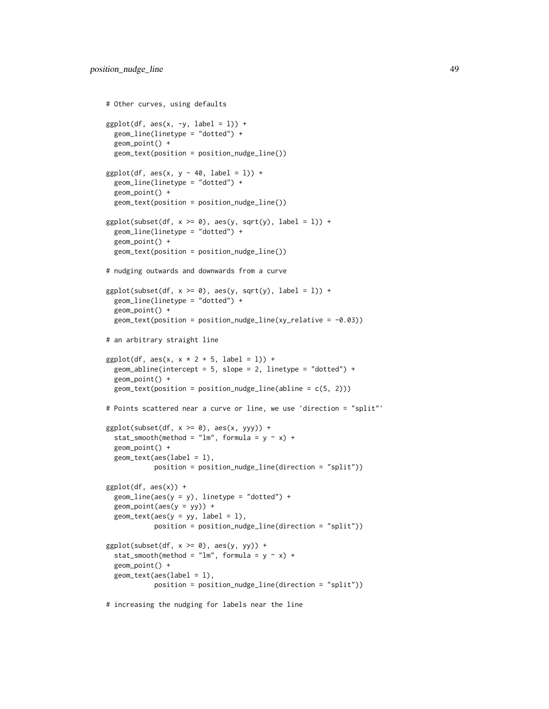```
# Other curves, using defaults
ggplot(df, aes(x, -y, label = 1)) +geom_line(linetype = "dotted") +
 geom_point() +
 geom_text(position = position_nudge_line())
ggplot(df, aes(x, y - 40, label = 1)) +geom_line(linetype = "dotted") +
 geom_point() +
 geom_text(position = position_nudge_line())
ggplot(subset(df, x >= 0), aes(y, sqrt(y), label = 1)) +geom_line(linetype = "dotted") +
 geom_point() +
 geom_text(position = position_nudge_line())
# nudging outwards and downwards from a curve
ggplot(subset(df, x >= 0), aes(y, sqrt(y), label = 1)) +geom_line(linetype = "dotted") +
 geom_point() +
 geom_text(position = position_nudge_line(xy_relative = -0.03))
# an arbitrary straight line
ggplot(df, aes(x, x * 2 + 5, label = 1)) +geom_abline(intercept = 5, slope = 2, linetype = "dotted") +
 geom_point() +
 geom_text(position = position_nudge_line(abline = c(5, 2)))
# Points scattered near a curve or line, we use 'direction = "split"'
ggplot(subset(df, x >= 0), aes(x, yy)) +stat_smooth(method = "lm", formula = y \sim x) +
 geom_point() +
 geom_text(aes(label = l),
           position = position_nudge_line(direction = "split"))
ggplot(df, aes(x)) +geom\_line(aes(y = y), linetype = "dotted") +
 geom_point(aes(y = yy)) +
 geom\_text(aes(y = yy, label = 1),position = position_nudge_line(direction = "split"))
ggplot(subset(df, x >= 0), aes(y, yy)) +stat_smooth(method = "lm", formula = y \sim x) +
 geom_point() +
 geom_text(aes(label = l),
           position = position_nudge_line(direction = "split"))
# increasing the nudging for labels near the line
```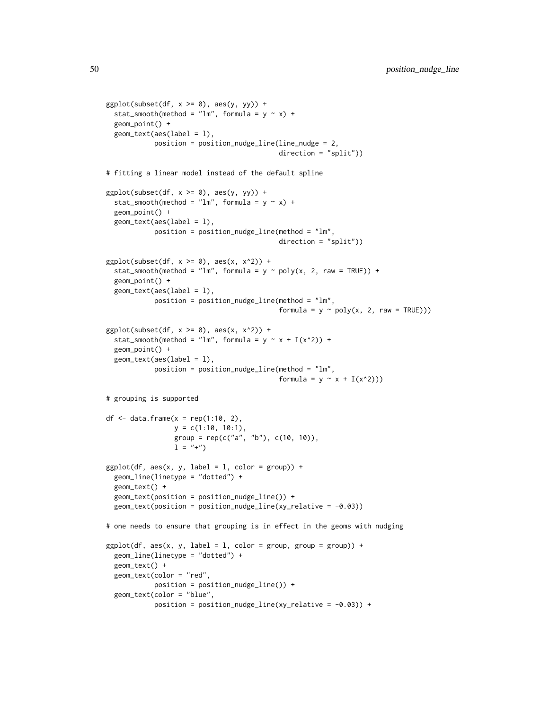```
ggplot(subset(df, x >= 0), aes(y, yy)) +stat_smooth(method = "lm", formula = y \sim x) +
 geom_point() +
 geom_text(aes(label = l),
            position = position_nudge_line(line_nudge = 2,
                                           direction = "split"))
# fitting a linear model instead of the default spline
ggplot(subset(df, x >= 0), aes(y, yy)) +stat_smooth(method = "lm", formula = y \sim x) +
 geom_point() +
 geom_text(aes(label = l),
            position = position_nudge_line(method = "lm",
                                           direction = "split"))
ggplot(subset(df, x >= 0), aes(x, x^2)) +stat_smooth(method = "lm", formula = y \sim poly(x, 2, raw = TRUE)) +
 geom_point() +
 geom_text(aes(label = l),
            position = position_nudge_line(method = "lm",
                                           formula = y \sim poly(x, 2, raw = TRUE))ggplot(subset(df, x >= 0), aes(x, x^2)) +stat_smooth(method = "lm", formula = y \sim x + I(x^2)) +
 geom_point() +
 geom_text(aes(label = l),
            position = position_nudge_line(method = "lm",
                                           formula = y \sim x + I(x^2))# grouping is supported
df \leq data.frame(x = rep(1:10, 2),
                 y = c(1:10, 10:1),
                 group = rep(c("a", "b"), c(10, 10)),1 = "+")
ggplot(df, aes(x, y, label = 1, color = group)) +geom_line(linetype = "dotted") +
 geom_text() +
 geom_text(position = position_nudge_line()) +
 geom_text(position = position_nudge_line(xy_relative = -0.03))
# one needs to ensure that grouping is in effect in the geoms with nudging
ggplot(df, aes(x, y, label = 1, color = group, group = group)) +geom_line(linetype = "dotted") +
 geom_text() +
 geom_text(color = "red",
            position = position_nudge_line()) +
 geom_text(color = "blue",
            position = position\_nudge\_line(xy\_relative = -0.03) +
```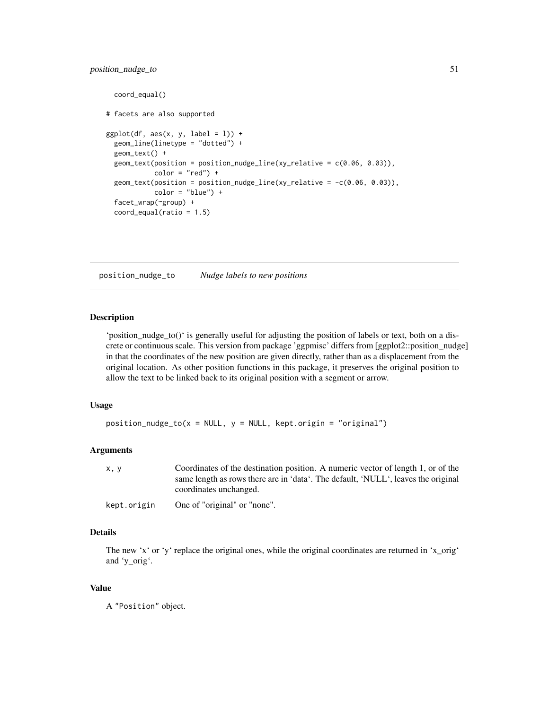# position\_nudge\_to 51

```
coord_equal()
# facets are also supported
ggplot(df, aes(x, y, label = 1)) +geom_line(linetype = "dotted") +
 geom_text() +
 geom_text(position = position_nudge_line(xy_relative = c(0.06, 0.03)),
            color = "red") +
 geom\_text(position = position\_nudge\_line(xy\_relative = -c(0.06, 0.03)),color = "blue") +facet_wrap(~group) +
 coord_equal(ratio = 1.5)
```
<span id="page-50-0"></span>position\_nudge\_to *Nudge labels to new positions*

### Description

'position\_nudge\_to()' is generally useful for adjusting the position of labels or text, both on a discrete or continuous scale. This version from package 'ggpmisc' differs from [ggplot2::position\_nudge] in that the coordinates of the new position are given directly, rather than as a displacement from the original location. As other position functions in this package, it preserves the original position to allow the text to be linked back to its original position with a segment or arrow.

# Usage

```
position_nudge_to(x = NULL, y = NULL, kept.origin = "original")
```
### Arguments

| x, y | Coordinates of the destination position. A numeric vector of length 1, or of the  |
|------|-----------------------------------------------------------------------------------|
|      | same length as rows there are in 'data'. The default, 'NULL', leaves the original |
|      | coordinates unchanged.                                                            |
|      |                                                                                   |

#### kept.origin One of "original" or "none".

# Details

The new 'x' or 'y' replace the original ones, while the original coordinates are returned in 'x\_orig' and 'y\_orig'.

#### Value

A "Position" object.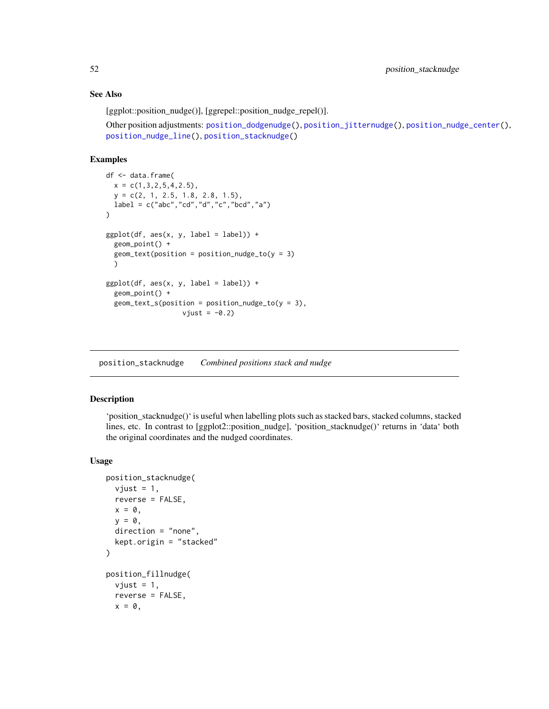## See Also

[ggplot::position\_nudge()], [ggrepel::position\_nudge\_repel()].

```
Other position adjustments: position_dodgenudge(), position_jitternudge(), position_nudge_center(),
position_nudge_line(), position_stacknudge()
```
#### Examples

```
df <- data.frame(
  x = c(1, 3, 2, 5, 4, 2.5),
  y = c(2, 1, 2.5, 1.8, 2.8, 1.5),
 label = c("abc", "cd", "d", "c", "bcd", "a")\mathcal{L}ggplot(df, aes(x, y, label = label)) +geom_point() +
  geom\_text(position = position\_nudge\_to(y = 3))
ggplot(df, aes(x, y, label = label)) +geom_point() +
  geom\_text_s(position = position\_nudge_to(y = 3),
                    vjust = -0.2
```
<span id="page-51-0"></span>position\_stacknudge *Combined positions stack and nudge*

# Description

'position\_stacknudge()' is useful when labelling plots such as stacked bars, stacked columns, stacked lines, etc. In contrast to [ggplot2::position\_nudge], 'position\_stacknudge()' returns in 'data' both the original coordinates and the nudged coordinates.

```
position_stacknudge(
  vjust = 1,
  reverse = FALSE,
  x = 0,
  y = 0,
  direction = "none",
  kept.origin = "stacked"
)
position_fillnudge(
  vjust = 1,
  reverse = FALSE,
  x = 0,
```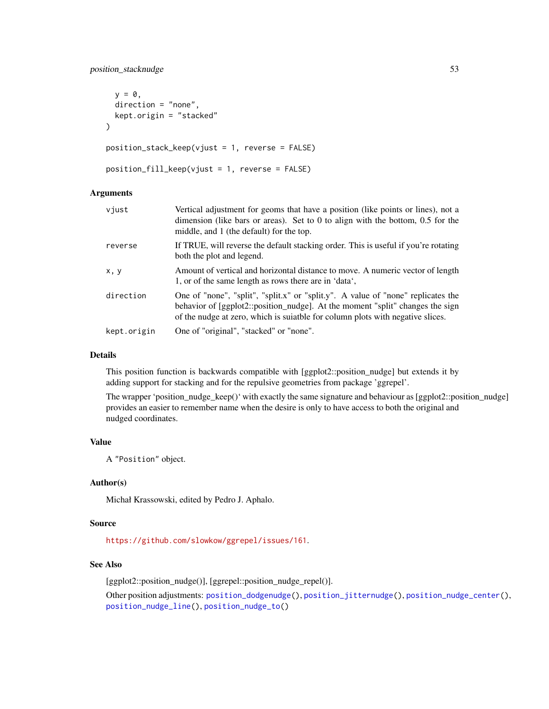position\_stacknudge 53

```
y = 0,
 direction = "none",
 kept.origin = "stacked"
\lambdaposition_stack_keep(vjust = 1, reverse = FALSE)
position_fill_keep(vjust = 1, reverse = FALSE)
```
### Arguments

| vjust       | Vertical adjustment for geoms that have a position (like points or lines), not a<br>dimension (like bars or areas). Set to $0$ to align with the bottom, $0.5$ for the<br>middle, and 1 (the default) for the top.                                 |
|-------------|----------------------------------------------------------------------------------------------------------------------------------------------------------------------------------------------------------------------------------------------------|
| reverse     | If TRUE, will reverse the default stacking order. This is useful if you're rotating<br>both the plot and legend.                                                                                                                                   |
| x, y        | Amount of vertical and horizontal distance to move. A numeric vector of length<br>1, or of the same length as rows there are in 'data',                                                                                                            |
| direction   | One of "none", "split", "split.x" or "split.y". A value of "none" replicates the<br>behavior of [ggplot2::position_nudge]. At the moment "split" changes the sign<br>of the nudge at zero, which is suiable for column plots with negative slices. |
| kept.origin | One of "original", "stacked" or "none".                                                                                                                                                                                                            |

# Details

This position function is backwards compatible with [ggplot2::position\_nudge] but extends it by adding support for stacking and for the repulsive geometries from package 'ggrepel'.

The wrapper 'position\_nudge\_keep()' with exactly the same signature and behaviour as [ggplot2::position\_nudge] provides an easier to remember name when the desire is only to have access to both the original and nudged coordinates.

# Value

A "Position" object.

### Author(s)

Michał Krassowski, edited by Pedro J. Aphalo.

### Source

<https://github.com/slowkow/ggrepel/issues/161>.

#### See Also

[ggplot2::position\_nudge()], [ggrepel::position\_nudge\_repel()].

Other position adjustments: [position\\_dodgenudge\(](#page-35-0)), [position\\_jitternudge\(](#page-37-0)), [position\\_nudge\\_center\(](#page-40-0)), [position\\_nudge\\_line\(](#page-45-0)), [position\\_nudge\\_to\(](#page-50-0))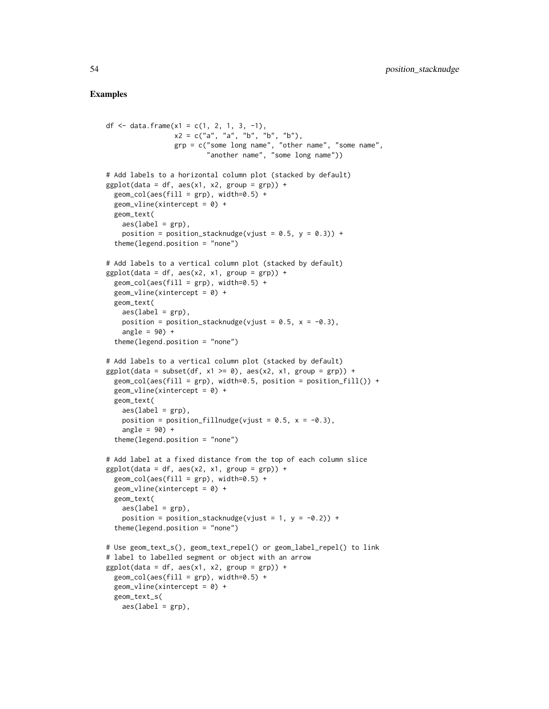```
df <- data.frame(x1 = c(1, 2, 1, 3, -1),
                 x2 = c("a", "a", "b", "b", "b"),
                 grp = c("some long name", "other name", "some name",
                         "another name", "some long name"))
# Add labels to a horizontal column plot (stacked by default)
ggplot(data = df, aes(x1, x2, group = grp)) +geom\_col(aes(fill = grp), width=0.5) +
 geom\_vline(xintercept = 0) +geom_text(
   aes(label = grp),
   position = position_stacknudge(vjust = 0.5, y = 0.3)) +
  theme(legend.position = "none")
# Add labels to a vertical column plot (stacked by default)
ggplot(data = df, aes(x2, x1, group = grp)) +geom\_col(aes(fill = grp), width=0.5) +
 geom\_vline(xintercept = 0) +geom_text(
   aes(label = grp),
   position = position_stacknudge(vjust = 0.5, x = -0.3),
    angle = 90) +
 theme(legend.position = "none")
# Add labels to a vertical column plot (stacked by default)
ggplot(data = subset(df, x1 >= 0), aes(x2, x1, group = grp)) +geom\_col(aes(fill = grp), width=0.5, position = position_fill() +
 geom\_vline(xintercept = 0) +geom_text(
   aes(label = grp),
   position = position_fillnudge(vjust = 0.5, x = -0.3),
    angle = 90) +
 theme(legend.position = "none")
# Add label at a fixed distance from the top of each column slice
ggplot(data = df, aes(x2, x1, group = grp)) +geom\_col(aes(fill = grp), width=0.5) +
 geom\_vline(xintercept = 0) +geom_text(
   aes(label = grp),
   position = position_stacknudge(vjust = 1, y = -0.2)) +
 theme(legend.position = "none")
# Use geom_text_s(), geom_text_repel() or geom_label_repel() to link
# label to labelled segment or object with an arrow
ggplot(data = df, aes(x1, x2, group = grp)) +geom\_col(aes(fill = grp), width=0.5) +
 geom_vline(xintercept = 0) +
 geom_text_s(
   aes(label = grp),
```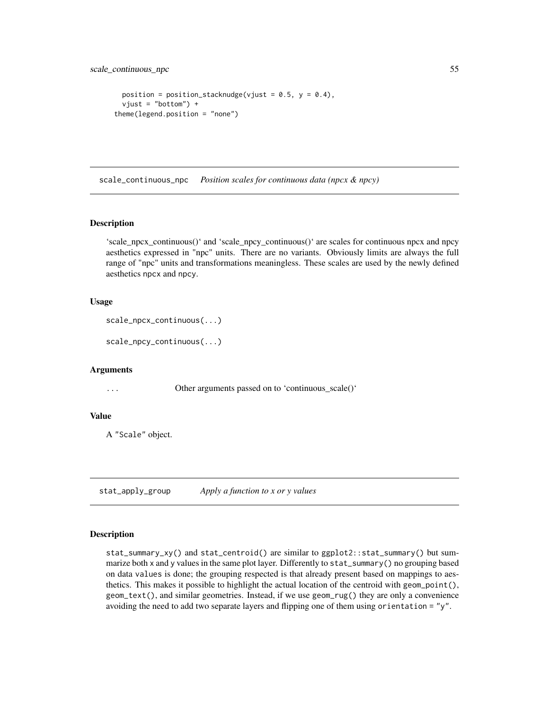```
position = position_stacknudge(vjust = 0.5, y = 0.4),
  vjust = "bottom") +theme(legend.position = "none")
```
scale\_continuous\_npc *Position scales for continuous data (npcx & npcy)*

# **Description**

'scale\_npcx\_continuous()' and 'scale\_npcy\_continuous()' are scales for continuous npcx and npcy aesthetics expressed in "npc" units. There are no variants. Obviously limits are always the full range of "npc" units and transformations meaningless. These scales are used by the newly defined aesthetics npcx and npcy.

#### Usage

```
scale_npcx_continuous(...)
```

```
scale_npcy_continuous(...)
```
# Arguments

... Other arguments passed on to 'continuous\_scale()'

#### Value

A "Scale" object.

stat\_apply\_group *Apply a function to x or y values*

### **Description**

stat\_summary\_xy() and stat\_centroid() are similar to ggplot2::stat\_summary() but summarize both x and y values in the same plot layer. Differently to stat\_summary() no grouping based on data values is done; the grouping respected is that already present based on mappings to aesthetics. This makes it possible to highlight the actual location of the centroid with geom\_point(), geom\_text(), and similar geometries. Instead, if we use geom\_rug() they are only a convenience avoiding the need to add two separate layers and flipping one of them using orientation = "y".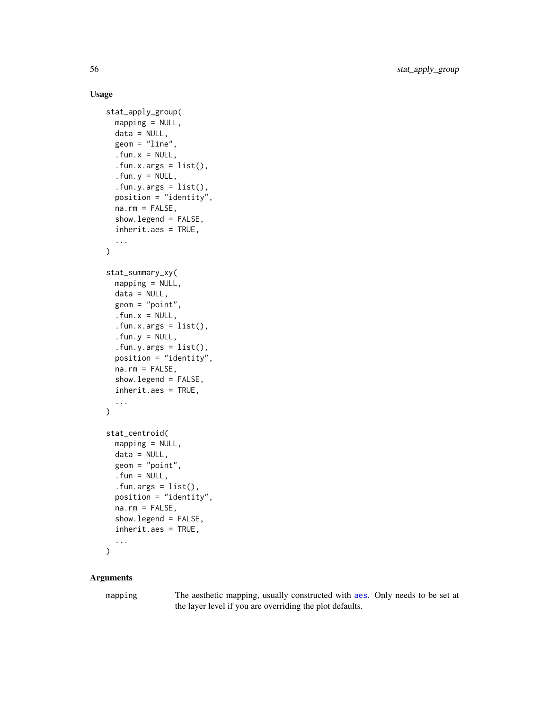# Usage

```
stat_apply_group(
  mapping = NULL,
  data = NULL,geom = "line",. fun.x = NULL,.fun.x.args = list(),
  .fun.y = NULL,.fun.y.args = list(),
  position = "identity",
  na.rm = FALSE,show.legend = FALSE,
  inherit.aes = TRUE,
  ...
\mathcal{L}stat_summary_xy(
  mapping = NULL,
  data = NULL,geom = "point",
  . fun.x = NULL,.fun.x.args = list(),
  . fun.y = NULL,
  .fun.y.args = list(),position = "identity",
  na.rm = FALSE,
  show.legend = FALSE,
  inherit.aes = TRUE,
  ...
)
stat_centroid(
  mapping = NULL,
  data = NULL,geom = "point",
  . fun = NULL,
  .fun.args = list(),
  position = "identity",
  na.rm = FALSE,
  show.legend = FALSE,
  inherit.aes = TRUE,
  ...
)
```
# Arguments

mapping The [aes](#page-0-0)thetic mapping, usually constructed with aes. Only needs to be set at the layer level if you are overriding the plot defaults.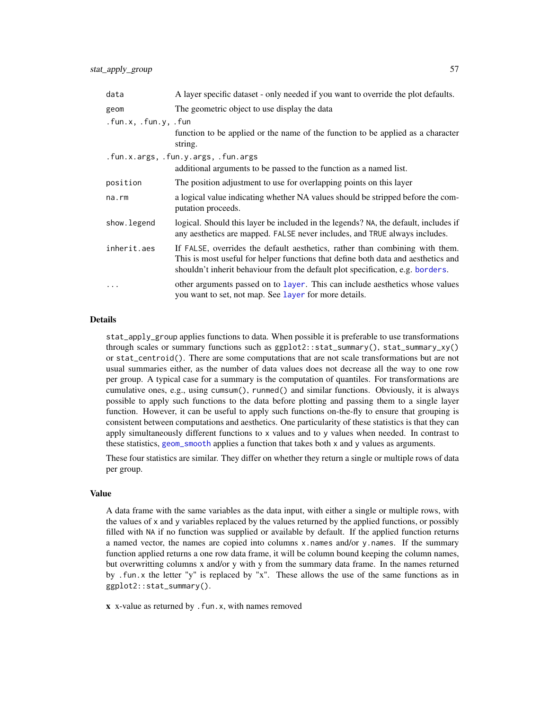| data                 | A layer specific dataset - only needed if you want to override the plot defaults.                                                                                                                                                                   |
|----------------------|-----------------------------------------------------------------------------------------------------------------------------------------------------------------------------------------------------------------------------------------------------|
| geom                 | The geometric object to use display the data                                                                                                                                                                                                        |
| .fun.x, .fun.y, .fun |                                                                                                                                                                                                                                                     |
|                      | function to be applied or the name of the function to be applied as a character<br>string.                                                                                                                                                          |
|                      | .fun.x.args, .fun.y.args, .fun.args                                                                                                                                                                                                                 |
|                      | additional arguments to be passed to the function as a named list.                                                                                                                                                                                  |
| position             | The position adjustment to use for overlapping points on this layer                                                                                                                                                                                 |
| na.rm                | a logical value indicating whether NA values should be stripped before the com-<br>putation proceeds.                                                                                                                                               |
| show.legend          | logical. Should this layer be included in the legends? NA, the default, includes if<br>any aesthetics are mapped. FALSE never includes, and TRUE always includes.                                                                                   |
| inherit.aes          | If FALSE, overrides the default aesthetics, rather than combining with them.<br>This is most useful for helper functions that define both data and aesthetics and<br>shouldn't inherit behaviour from the default plot specification, e.g. borders. |
| .                    | other arguments passed on to layer. This can include aesthetics whose values<br>you want to set, not map. See layer for more details.                                                                                                               |

# Details

stat\_apply\_group applies functions to data. When possible it is preferable to use transformations through scales or summary functions such as ggplot2::stat\_summary(), stat\_summary\_xy() or stat\_centroid(). There are some computations that are not scale transformations but are not usual summaries either, as the number of data values does not decrease all the way to one row per group. A typical case for a summary is the computation of quantiles. For transformations are cumulative ones, e.g., using cumsum(), runmed() and similar functions. Obviously, it is always possible to apply such functions to the data before plotting and passing them to a single layer function. However, it can be useful to apply such functions on-the-fly to ensure that grouping is consistent between computations and aesthetics. One particularity of these statistics is that they can apply simultaneously different functions to x values and to y values when needed. In contrast to these statistics, [geom\\_smooth](#page-0-0) applies a function that takes both x and y values as arguments.

These four statistics are similar. They differ on whether they return a single or multiple rows of data per group.

#### Value

A data frame with the same variables as the data input, with either a single or multiple rows, with the values of x and y variables replaced by the values returned by the applied functions, or possibly filled with NA if no function was supplied or available by default. If the applied function returns a named vector, the names are copied into columns x names and/or y names. If the summary function applied returns a one row data frame, it will be column bound keeping the column names, but overwritting columns x and/or y with y from the summary data frame. In the names returned by .fun.x the letter "y" is replaced by "x". These allows the use of the same functions as in ggplot2::stat\_summary().

 $x$  x-value as returned by . fun.x, with names removed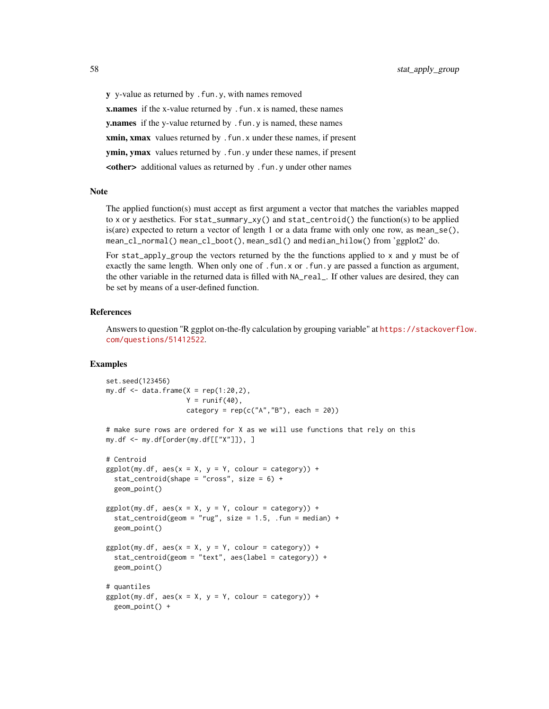y y-value as returned by .fun.y, with names removed **x.names** if the x-value returned by . fun. x is named, these names y.names if the y-value returned by . fun.y is named, these names xmin, xmax values returned by . fun. x under these names, if present ymin, ymax values returned by . fun.y under these names, if present <other> additional values as returned by .fun.y under other names

### Note

The applied function(s) must accept as first argument a vector that matches the variables mapped to x or y aesthetics. For stat\_summary\_xy() and stat\_centroid() the function(s) to be applied is(are) expected to return a vector of length 1 or a data frame with only one row, as mean\_se(), mean\_cl\_normal() mean\_cl\_boot(), mean\_sdl() and median\_hilow() from 'ggplot2' do.

For stat\_apply\_group the vectors returned by the the functions applied to x and y must be of exactly the same length. When only one of .fun.x or .fun.y are passed a function as argument, the other variable in the returned data is filled with NA\_real\_. If other values are desired, they can be set by means of a user-defined function.

### References

Answers to question "R ggplot on-the-fly calculation by grouping variable" at [https://stackoverf](https://stackoverflow.com/questions/51412522)low. [com/questions/51412522](https://stackoverflow.com/questions/51412522).

```
set.seed(123456)
my.df \leq data.frame(X = rep(1:20,2),
                    Y = runif(40),
                    category = rep(c("A", "B"), each = 20))
```

```
# make sure rows are ordered for X as we will use functions that rely on this
my.df <- my.df[order(my.df[["X"]]), ]
```

```
# Centroid
ggplot(my.df, aes(x = X, y = Y, colour = category)) +stat_centroid(shape = "cross", size = 6) +
 geom_point()
ggplot(my.df, aes(x = X, y = Y, colour = category)) +stat_centroid(geom = "rug", size = 1.5, .fun = median) +
 geom_point()
ggplot(my.df, aes(x = X, y = Y, colour = category)) +stat_centroid(geom = "text", aes(label = category)) +
 geom_point()
# quantiles
ggplot(my.df, aes(x = X, y = Y, colour = category)) +geom_point() +
```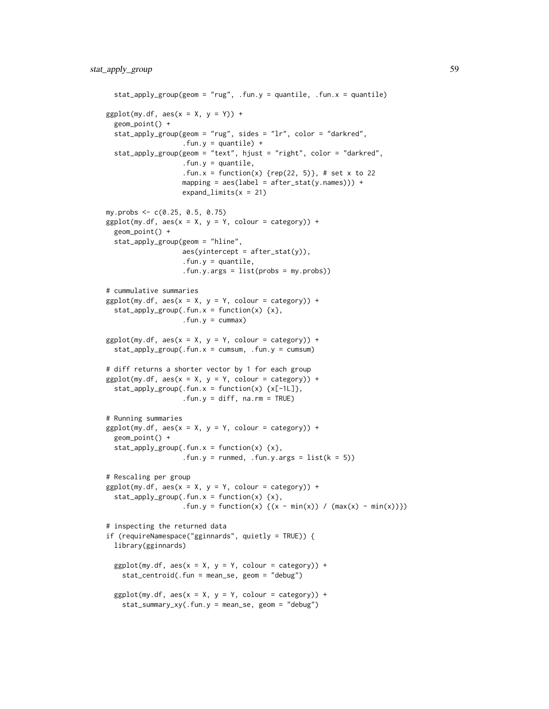```
stat_apply_group(geom = "rug", .fun.y = quantile, .fun.x = quantile)
ggplot(my.df, aes(x = X, y = Y)) +geom_point() +
 stat_apply_group(geom = "rug", sides = "lr", color = "darkred",
                   fun.y = quantile) +stat_apply_group(geom = "text", hjust = "right", color = "darkred",
                   .fun.y = quantile,
                   .fun.x = function(x) \{rep(22, 5)\}, # set x to 22
                  mapping = aes(label = after_stat(y.name))) +expand_limits(x = 21)
my.probs <- c(0.25, 0.5, 0.75)
ggplot(my.df, aes(x = X, y = Y, colour = category)) +
 geom_point() +
 stat_apply_group(geom = "hline",
                  aes(yintercept = after_stat(y)),
                   .fun.y = quantile,
                   .fun.y.args = list(probs = my.probs))
# cummulative summaries
ggplot(my.df, aes(x = X, y = Y, colour = category)) +
 stat_apply_group(.fun.x = function(x) \{x\},
                   .fun.y = cummax)ggplot(my.df, aes(x = X, y = Y, colour = category)) +stat\_apply\_group(.fun.x = cumsum, .fun.y = cumsum)# diff returns a shorter vector by 1 for each group
ggplot(my.df, aes(x = X, y = Y, colour = category)) +stat_apply_group(.fun.x = function(x) \{x[-1L]\},\. fun.y = diff, na.rm = TRUE)
# Running summaries
ggplot(my.df, aes(x = X, y = Y, colour = category)) +geom_point() +
 stat\_apply\_group(.fun.x = function(x) {x},.fun.y = runmed, .fun.y.args = list(k = 5))
# Rescaling per group
ggplot(my.df, aes(x = X, y = Y, colour = category)) +stat\_apply\_group( .fun.x = function(x) \{x\},.fun.y = function(x) {(x - min(x)) / (max(x) - min(x))})
# inspecting the returned data
if (requireNamespace("gginnards", quietly = TRUE)) {
 library(gginnards)
 ggplot(my.df, aes(x = X, y = Y, colour = category)) +stat_centroid(.fun = mean_se, geom = "debug")
 ggplot(my.df, aes(x = X, y = Y, colour = category)) +stat_summary_xy(.fun.y = mean_se, geom = "debug")
```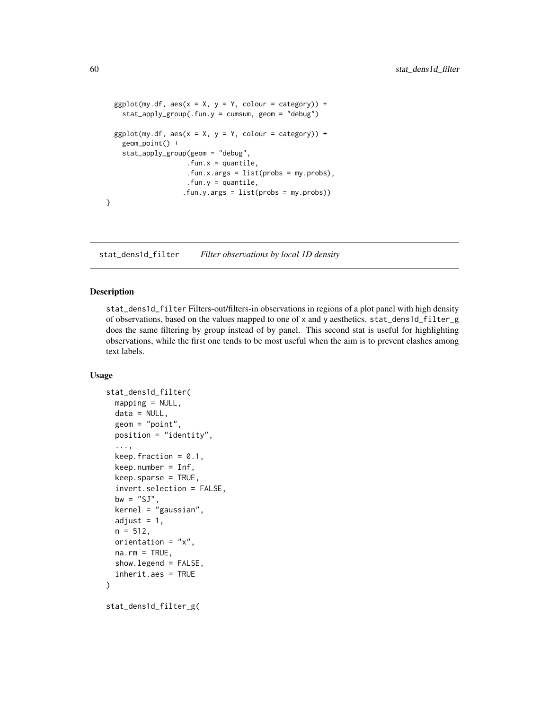```
ggplot(my.df, aes(x = X, y = Y, colour = category)) +stat_apply_group(.fun.y = cumsum, geom = "debug")
 ggplot(my.df, aes(x = X, y = Y, colour = category)) +
   geom_point() +
    stat_apply_group(geom = "debug",
                    . fun.x = quantile,
                    .fun.x.args = list(probs = my.probs),
                    fun.y = quantile,.fun.y.args = list(probs = my.probs))
}
```
<span id="page-59-0"></span>stat\_dens1d\_filter *Filter observations by local 1D density*

#### Description

stat\_dens1d\_filter Filters-out/filters-in observations in regions of a plot panel with high density of observations, based on the values mapped to one of x and y aesthetics. stat\_dens1d\_filter\_g does the same filtering by group instead of by panel. This second stat is useful for highlighting observations, while the first one tends to be most useful when the aim is to prevent clashes among text labels.

```
stat_dens1d_filter(
  mapping = NULL,
  data = NULL,geom = "point",
 position = "identity",
  ...,
  keep.fraction = 0.1,
  keep.number = Inf,
  keep.sparse = TRUE,
  invert.selection = FALSE,
  bw = "SJ",kernel = "gaussian",
  adjust = 1,
 n = 512,
  orientation = "x",na.rm = TRUE,show.legend = FALSE,
  inherit.aes = TRUE
)
stat_dens1d_filter_g(
```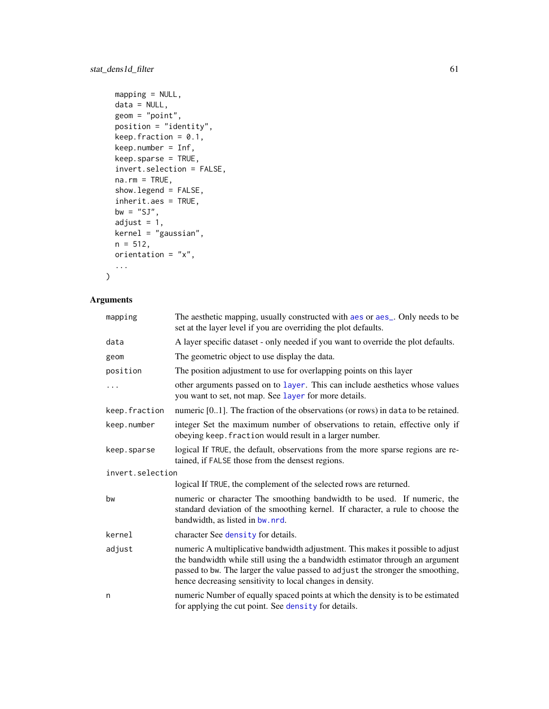# stat\_dens1d\_filter 61

```
mapping = NULL,
data = NULL,geom = "point",position = "identity",
keep.fraction = 0.1,
keep.number = Inf,
keep.sparse = TRUE,
invert.selection = FALSE,
na.rm = TRUE,show.legend = FALSE,
inherit.aes = TRUE,
bw = "SJ",adjust = 1,kernel = "gaussian",
n = 512,orientation = "x",...
```
# Arguments

 $\mathcal{L}$ 

| mapping          | The aesthetic mapping, usually constructed with aes or aes_. Only needs to be<br>set at the layer level if you are overriding the plot defaults.                                                                                                                                                                 |  |
|------------------|------------------------------------------------------------------------------------------------------------------------------------------------------------------------------------------------------------------------------------------------------------------------------------------------------------------|--|
| data             | A layer specific dataset - only needed if you want to override the plot defaults.                                                                                                                                                                                                                                |  |
| geom             | The geometric object to use display the data.                                                                                                                                                                                                                                                                    |  |
| position         | The position adjustment to use for overlapping points on this layer                                                                                                                                                                                                                                              |  |
| $\ddots$         | other arguments passed on to layer. This can include aesthetics whose values<br>you want to set, not map. See layer for more details.                                                                                                                                                                            |  |
| keep.fraction    | numeric $[01]$ . The fraction of the observations (or rows) in data to be retained.                                                                                                                                                                                                                              |  |
| keep.number      | integer Set the maximum number of observations to retain, effective only if<br>obeying keep. fraction would result in a larger number.                                                                                                                                                                           |  |
| keep.sparse      | logical If TRUE, the default, observations from the more sparse regions are re-<br>tained, if FALSE those from the densest regions.                                                                                                                                                                              |  |
| invert.selection |                                                                                                                                                                                                                                                                                                                  |  |
|                  | logical If TRUE, the complement of the selected rows are returned.                                                                                                                                                                                                                                               |  |
| bw               | numeric or character The smoothing bandwidth to be used. If numeric, the<br>standard deviation of the smoothing kernel. If character, a rule to choose the<br>bandwidth, as listed in bw. nrd.                                                                                                                   |  |
| kernel           | character See density for details.                                                                                                                                                                                                                                                                               |  |
| adjust           | numeric A multiplicative bandwidth adjustment. This makes it possible to adjust<br>the bandwidth while still using the a bandwidth estimator through an argument<br>passed to bw. The larger the value passed to adjust the stronger the smoothing,<br>hence decreasing sensitivity to local changes in density. |  |
| n                | numeric Number of equally spaced points at which the density is to be estimated<br>for applying the cut point. See density for details.                                                                                                                                                                          |  |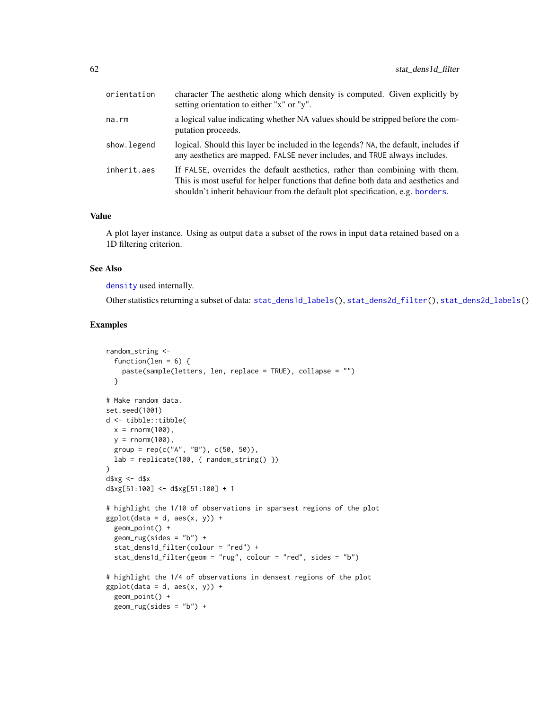| orientation | character The aesthetic along which density is computed. Given explicitly by<br>setting orientation to either "x" or "y".                                                                                                                           |
|-------------|-----------------------------------------------------------------------------------------------------------------------------------------------------------------------------------------------------------------------------------------------------|
| na.rm       | a logical value indicating whether NA values should be stripped before the com-<br>putation proceeds.                                                                                                                                               |
| show.legend | logical. Should this layer be included in the legends? NA, the default, includes if<br>any aesthetics are mapped. FALSE never includes, and TRUE always includes.                                                                                   |
| inherit.aes | If FALSE, overrides the default aesthetics, rather than combining with them.<br>This is most useful for helper functions that define both data and aesthetics and<br>shouldn't inherit behaviour from the default plot specification, e.g. borders. |

# Value

A plot layer instance. Using as output data a subset of the rows in input data retained based on a 1D filtering criterion.

# See Also

[density](#page-0-0) used internally.

Other statistics returning a subset of data: [stat\\_dens1d\\_labels\(](#page-63-0)), [stat\\_dens2d\\_filter\(](#page-66-0)), [stat\\_dens2d\\_labels\(](#page-70-0))

```
random_string <-
  function(len = 6) {
   paste(sample(letters, len, replace = TRUE), collapse = "")
  }
# Make random data.
set.seed(1001)
d <- tibble::tibble(
 x = \text{norm}(100),
 y = rnorm(100),
  group = rep(c("A", "B"), c(50, 50)),lab = replicate(100, { random_string() })
)
d$xg <- d$x
d$xg[51:100] <- d$xg[51:100] + 1
# highlight the 1/10 of observations in sparsest regions of the plot
ggplot(data = d, aes(x, y)) +geom_point() +
  geom_rug(sides = "b") +
  stat_dens1d_filter(colour = "red") +
  stat_dens1d_filter(geom = "rug", colour = "red", sides = "b")
# highlight the 1/4 of observations in densest regions of the plot
ggplot(data = d, aes(x, y)) +geom_point() +
  geom_rug(sides = "b") +
```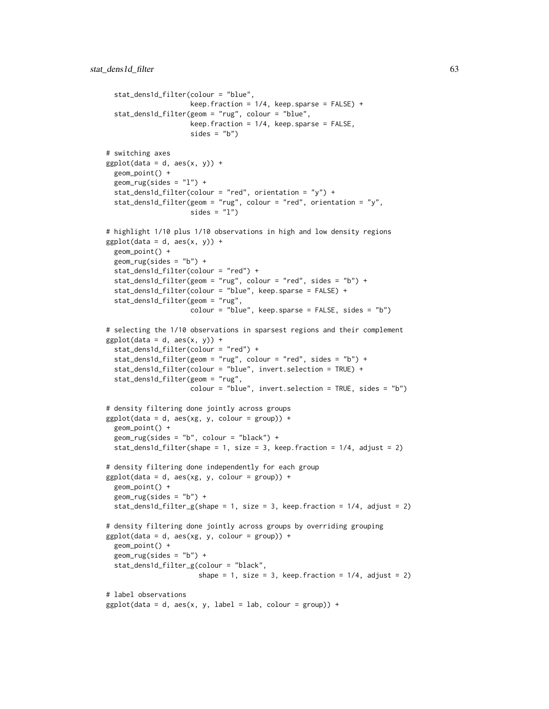```
stat_dens1d_filter(colour = "blue",
                    keep.fraction = 1/4, keep.sparse = FALSE) +
 stat_dens1d_filter(geom = "rug", colour = "blue",
                    keep.fraction = 1/4, keep.sparse = FALSE,
                     sides = "b")
# switching axes
ggplot(data = d, aes(x, y)) +geom_point() +
 geom_rug(sides = "l") +
 stat_dens1d_filter(colour = "red", orientation = "y") +
 stat_dens1d_filter(geom = "rug", colour = "red", orientation = "y",
                     sides = "1")
# highlight 1/10 plus 1/10 observations in high and low density regions
ggplot(data = d, aes(x, y)) +geom_point() +
 geom_rug(sides = "b") +
 stat_dens1d_filter(colour = "red") +
 stat_dens1d_filter(geom = "rug", colour = "red", sides = "b") +
 stat_dens1d_filter(colour = "blue", keep.sparse = FALSE) +
 stat_dens1d_filter(geom = "rug",
                    colour = "blue", keep.sparse = FALSE, sides = "b")
# selecting the 1/10 observations in sparsest regions and their complement
ggplot(data = d, aes(x, y)) +stat_dens1d_filter(colour = "red") +
 stat_dens1d_filter(geom = "rug", colour = "red", sides = "b") +
 stat_dens1d_filter(colour = "blue", invert.selection = TRUE) +
 stat_dens1d_filter(geom = "rug",
                    colour = "blue", invert.selection = TRUE, sides = "b")
# density filtering done jointly across groups
ggplot(data = d, aes(xg, y, colour = group)) +geom_point() +
 geom_rug(sides = "b", colour = "black") +stat_dens1d_filter(shape = 1, size = 3, keep.fraction = 1/4, adjust = 2)
# density filtering done independently for each group
ggplot(data = d, aes(xg, y, colour = group)) +geom_point() +
 geom_rug(sides = "b") +stat_dens1d_filter_g(shape = 1, size = 3, keep.fraction = 1/4, adjust = 2)
# density filtering done jointly across groups by overriding grouping
ggplot(data = d, aes(xg, y, colour = group)) +geom_point() +
 geom_rug(sides = "b") +stat_dens1d_filter_g(colour = "black",
                       shape = 1, size = 3, keep. fraction = 1/4, adjust = 2)
# label observations
ggplot(data = d, aes(x, y, label = lab, colour = group)) +
```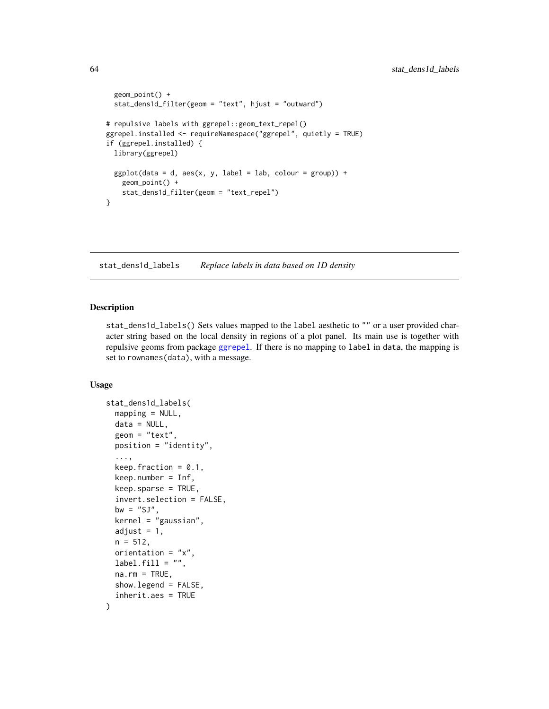```
geom_point() +
 stat_dens1d_filter(geom = "text", hjust = "outward")
# repulsive labels with ggrepel::geom_text_repel()
ggrepel.installed <- requireNamespace("ggrepel", quietly = TRUE)
if (ggrepel.installed) {
 library(ggrepel)
 ggplot(data = d, aes(x, y, label = lab, colour = group)) +geom_point() +
   stat_dens1d_filter(geom = "text_repel")
}
```
<span id="page-63-0"></span>stat\_dens1d\_labels *Replace labels in data based on 1D density*

#### Description

stat\_dens1d\_labels() Sets values mapped to the label aesthetic to "" or a user provided character string based on the local density in regions of a plot panel. Its main use is together with repulsive geoms from package [ggrepel](#page-0-0). If there is no mapping to label in data, the mapping is set to rownames(data), with a message.

```
stat_dens1d_labels(
 mapping = NULL,data = NULL,geom = "text"position = "identity",
  ...,
  keep.fraction = 0.1,
 keep.number = Inf,
 keep.sparse = TRUE,
  invert.selection = FALSE,
 bw = "SJ",kernel = "gaussian",
  adjust = 1,
 n = 512,
  orientation = "x".label.fill = "",na.rm = TRUE,show.legend = FALSE,
  inherit.aes = TRUE
)
```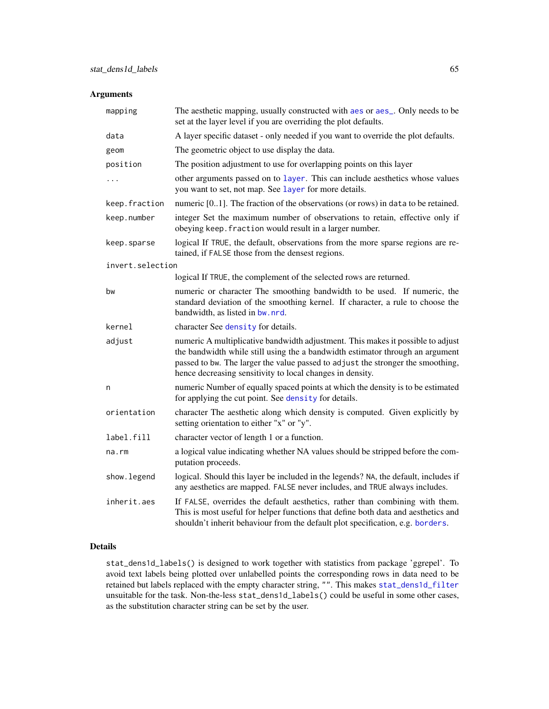# Arguments

| mapping          | The aesthetic mapping, usually constructed with aes or aes_. Only needs to be<br>set at the layer level if you are overriding the plot defaults.                                                                                                                                                                 |
|------------------|------------------------------------------------------------------------------------------------------------------------------------------------------------------------------------------------------------------------------------------------------------------------------------------------------------------|
| data             | A layer specific dataset - only needed if you want to override the plot defaults.                                                                                                                                                                                                                                |
| geom             | The geometric object to use display the data.                                                                                                                                                                                                                                                                    |
| position         | The position adjustment to use for overlapping points on this layer                                                                                                                                                                                                                                              |
| $\ddots$         | other arguments passed on to layer. This can include aesthetics whose values<br>you want to set, not map. See layer for more details.                                                                                                                                                                            |
| keep.fraction    | numeric [01]. The fraction of the observations (or rows) in data to be retained.                                                                                                                                                                                                                                 |
| keep.number      | integer Set the maximum number of observations to retain, effective only if<br>obeying keep. fraction would result in a larger number.                                                                                                                                                                           |
| keep.sparse      | logical If TRUE, the default, observations from the more sparse regions are re-<br>tained, if FALSE those from the densest regions.                                                                                                                                                                              |
| invert.selection |                                                                                                                                                                                                                                                                                                                  |
|                  | logical If TRUE, the complement of the selected rows are returned.                                                                                                                                                                                                                                               |
| bw               | numeric or character The smoothing bandwidth to be used. If numeric, the<br>standard deviation of the smoothing kernel. If character, a rule to choose the<br>bandwidth, as listed in bw. nrd.                                                                                                                   |
| kernel           | character See density for details.                                                                                                                                                                                                                                                                               |
| adjust           | numeric A multiplicative bandwidth adjustment. This makes it possible to adjust<br>the bandwidth while still using the a bandwidth estimator through an argument<br>passed to bw. The larger the value passed to adjust the stronger the smoothing,<br>hence decreasing sensitivity to local changes in density. |
| n                | numeric Number of equally spaced points at which the density is to be estimated<br>for applying the cut point. See density for details.                                                                                                                                                                          |
| orientation      | character The aesthetic along which density is computed. Given explicitly by<br>setting orientation to either "x" or "y".                                                                                                                                                                                        |
| label.fill       | character vector of length 1 or a function.                                                                                                                                                                                                                                                                      |
| na.rm            | a logical value indicating whether NA values should be stripped before the com-<br>putation proceeds.                                                                                                                                                                                                            |
| show.legend      | logical. Should this layer be included in the legends? NA, the default, includes if<br>any aesthetics are mapped. FALSE never includes, and TRUE always includes.                                                                                                                                                |
| inherit.aes      | If FALSE, overrides the default aesthetics, rather than combining with them.<br>This is most useful for helper functions that define both data and aesthetics and<br>shouldn't inherit behaviour from the default plot specification, e.g. borders.                                                              |

# Details

stat\_dens1d\_labels() is designed to work together with statistics from package 'ggrepel'. To avoid text labels being plotted over unlabelled points the corresponding rows in data need to be retained but labels replaced with the empty character string, "". This makes [stat\\_dens1d\\_filter](#page-59-0) unsuitable for the task. Non-the-less stat\_dens1d\_labels() could be useful in some other cases, as the substitution character string can be set by the user.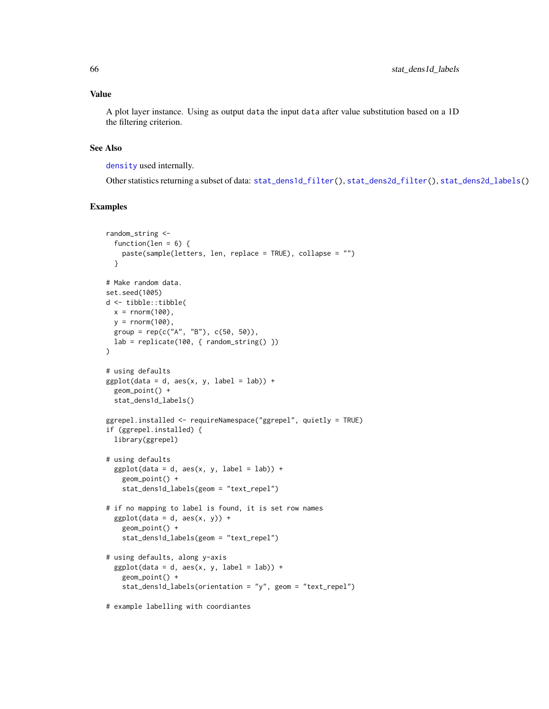# Value

A plot layer instance. Using as output data the input data after value substitution based on a 1D the filtering criterion.

# See Also

[density](#page-0-0) used internally.

Other statistics returning a subset of data: [stat\\_dens1d\\_filter\(](#page-59-0)), [stat\\_dens2d\\_filter\(](#page-66-0)), [stat\\_dens2d\\_labels\(](#page-70-0))

```
random_string <-
  function(len = 6) {
   paste(sample(letters, len, replace = TRUE), collapse = "")
  }
# Make random data.
set.seed(1005)
d <- tibble::tibble(
 x = rnorm(100),
 y = rnorm(100),
 group = rep(c("A", "B"), c(50, 50)),lab = replicate(100, { random_string() })
\lambda# using defaults
ggplot(data = d, aes(x, y, label = lab)) +geom_point() +
  stat_dens1d_labels()
ggrepel.installed <- requireNamespace("ggrepel", quietly = TRUE)
if (ggrepel.installed) {
  library(ggrepel)
# using defaults
  ggplot(data = d, aes(x, y, label = lab)) +geom_point() +
    stat_dens1d_labels(geom = "text_repel")
# if no mapping to label is found, it is set row names
  ggplot(data = d, aes(x, y)) +geom_point() +
    stat_dens1d_labels(geom = "text_repel")
# using defaults, along y-axis
  ggplot(data = d, aes(x, y, label = lab)) +geom_point() +
    stat_dens1d_labels(orientation = "y", geom = "text_repel")
# example labelling with coordiantes
```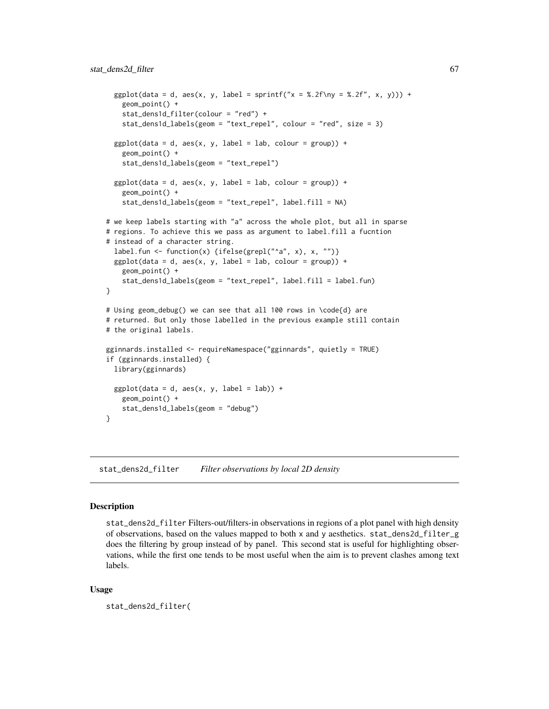```
ggplot(data = d, aes(x, y, label = sprintf("x = %.2f\ny = %.2f", x, y))) +geom_point() +
    stat_dens1d_filter(colour = "red") +
   stat_dens1d_labels(geom = "text_repel", colour = "red", size = 3)
  ggplot(data = d, aes(x, y, label = lab, colour = group)) +geom_point() +
    stat_dens1d_labels(geom = "text_repel")
 ggplot(data = d, aes(x, y, label = lab, colour = group)) +geom_point() +
    stat_dens1d_labels(geom = "text_repel", label.fill = NA)
# we keep labels starting with "a" across the whole plot, but all in sparse
# regions. To achieve this we pass as argument to label.fill a fucntion
# instead of a character string.
 label.fun <- function(x) {ifelse(grepl("^a", x), x, "")}
 ggplot(data = d, aes(x, y, label = lab, colour = group)) +geom_point() +
    stat_dens1d_labels(geom = "text_repel", label.fill = label.fun)
}
# Using geom_debug() we can see that all 100 rows in \code{d} are
# returned. But only those labelled in the previous example still contain
# the original labels.
gginnards.installed <- requireNamespace("gginnards", quietly = TRUE)
if (gginnards.installed) {
 library(gginnards)
 ggplot(data = d, aes(x, y, label = lab)) +geom_point() +
    stat_dens1d_labels(geom = "debug")
}
```
<span id="page-66-0"></span>stat\_dens2d\_filter *Filter observations by local 2D density*

## Description

stat\_dens2d\_filter Filters-out/filters-in observations in regions of a plot panel with high density of observations, based on the values mapped to both x and y aesthetics. stat\_dens2d\_filter\_g does the filtering by group instead of by panel. This second stat is useful for highlighting observations, while the first one tends to be most useful when the aim is to prevent clashes among text labels.

```
stat_dens2d_filter(
```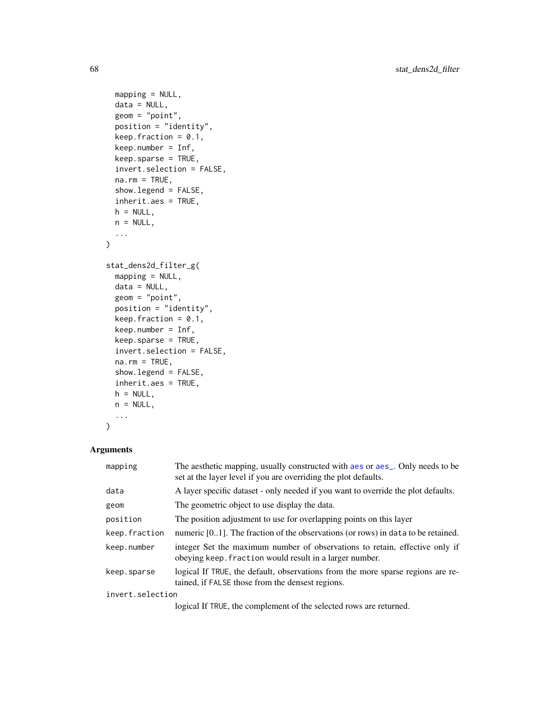```
mapping = NULL,
  data = NULL,geom = "point",
 position = "identity",
  keep.fraction = 0.1,
  keep.number = Inf,
  keep.sparse = TRUE,
  invert.selection = FALSE,
  na.rm = TRUE,show.legend = FALSE,
  inherit.aes = TRUE,
 h = NULL,n = NULL,...
\mathcal{L}stat_dens2d_filter_g(
 mapping = NULL,data = NULL,geom = "point",
  position = "identity",
  keep.fraction = 0.1,
  keep.number = Inf,
  keep.sparse = TRUE,
  invert.selection = FALSE,
  na.rm = TRUE,show.legend = FALSE,
  inherit.aes = TRUE,
  h = NULL,n = NULL,...
\mathcal{L}
```
# Arguments

| The aesthetic mapping, usually constructed with a es or a es_. Only needs to be<br>set at the layer level if you are overriding the plot defaults. |  |
|----------------------------------------------------------------------------------------------------------------------------------------------------|--|
| A layer specific dataset - only needed if you want to override the plot defaults.                                                                  |  |
| The geometric object to use display the data.                                                                                                      |  |
| The position adjustment to use for overlapping points on this layer                                                                                |  |
| numeric $[01]$ . The fraction of the observations (or rows) in data to be retained.                                                                |  |
| integer Set the maximum number of observations to retain, effective only if<br>obeying keep. fraction would result in a larger number.             |  |
| logical If TRUE, the default, observations from the more sparse regions are re-<br>tained, if FALSE those from the densest regions.                |  |
| invert.selection                                                                                                                                   |  |
|                                                                                                                                                    |  |

logical If TRUE, the complement of the selected rows are returned.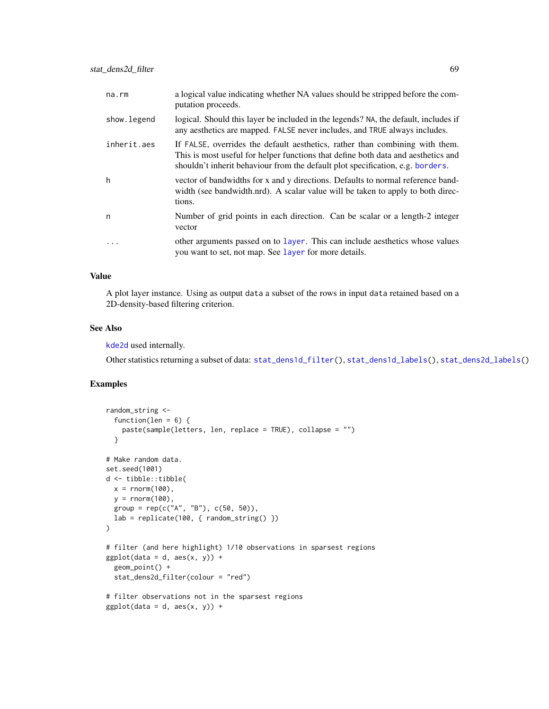| na.rm        | a logical value indicating whether NA values should be stripped before the com-<br>putation proceeds.                                                                                                                                               |
|--------------|-----------------------------------------------------------------------------------------------------------------------------------------------------------------------------------------------------------------------------------------------------|
| show. legend | logical. Should this layer be included in the legends? NA, the default, includes if<br>any aesthetics are mapped. FALSE never includes, and TRUE always includes.                                                                                   |
| inherit.aes  | If FALSE, overrides the default aesthetics, rather than combining with them.<br>This is most useful for helper functions that define both data and aesthetics and<br>shouldn't inherit behaviour from the default plot specification, e.g. borders. |
| h            | vector of bandwidths for x and y directions. Defaults to normal reference band-<br>width (see bandwidth.nrd). A scalar value will be taken to apply to both direc-<br>tions.                                                                        |
| n            | Number of grid points in each direction. Can be scalar or a length-2 integer<br>vector                                                                                                                                                              |
| $\cdot$      | other arguments passed on to layer. This can include aesthetics whose values<br>you want to set, not map. See layer for more details.                                                                                                               |

#### Value

A plot layer instance. Using as output data a subset of the rows in input data retained based on a 2D-density-based filtering criterion.

# See Also

[kde2d](#page-0-0) used internally.

Other statistics returning a subset of data: [stat\\_dens1d\\_filter\(](#page-59-0)), [stat\\_dens1d\\_labels\(](#page-63-0)), [stat\\_dens2d\\_labels\(](#page-70-0))

```
random_string <-
  function(len = 6) {
    paste(sample(letters, len, replace = TRUE), collapse = "")
  }
# Make random data.
set.seed(1001)
d <- tibble::tibble(
 x = rnorm(100),
 y = rnorm(100),
 group = rep(c("A", "B"), c(50, 50)),lab = replicate(100, { random_string() })
\mathcal{L}# filter (and here highlight) 1/10 observations in sparsest regions
ggplot(data = d, aes(x, y)) +geom_point() +
  stat_dens2d_filter(colour = "red")
# filter observations not in the sparsest regions
ggplot(data = d, aes(x, y)) +
```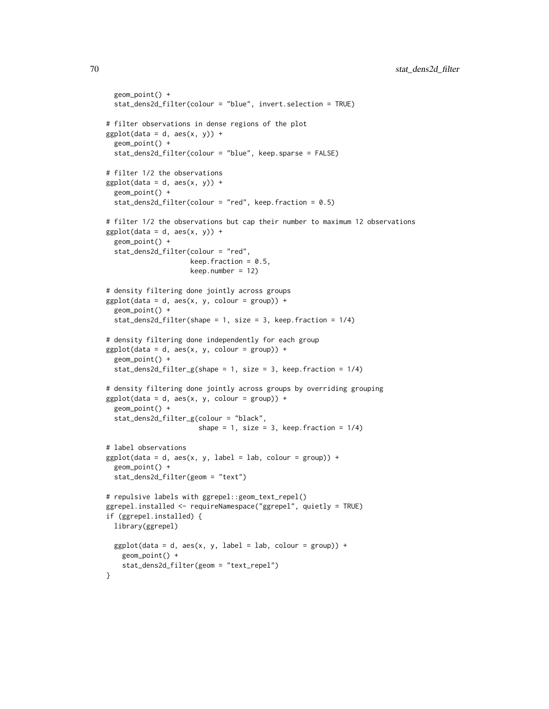```
geom_point() +
 stat_dens2d_filter(colour = "blue", invert.selection = TRUE)
# filter observations in dense regions of the plot
ggplot(data = d, aes(x, y)) +geom_point() +
 stat_dens2d_filter(colour = "blue", keep.sparse = FALSE)
# filter 1/2 the observations
ggplot(data = d, aes(x, y)) +geom_point() +
 stat_dens2d_filter(colour = "red", keep.fraction = 0.5)
# filter 1/2 the observations but cap their number to maximum 12 observations
ggplot(data = d, aes(x, y)) +geom_point() +
 stat_dens2d_filter(colour = "red",
                    keep.fraction = 0.5,
                    keep.number = 12)
# density filtering done jointly across groups
ggplot(data = d, aes(x, y, colour = group)) +geom_point() +
 stat_dens2d_filter(shape = 1, size = 3, keep.fraction = 1/4)
# density filtering done independently for each group
ggplot(data = d, aes(x, y, colour = group)) +geom_point() +
 stat_dens2d_filter_g(shape = 1, size = 3, keep.fraction = 1/4)
# density filtering done jointly across groups by overriding grouping
ggplot(data = d, aes(x, y, colour = group)) +geom_point() +
 stat_dens2d_filter_g(colour = "black",
                       shape = 1, size = 3, keep. fraction = 1/4)
# label observations
ggplot(data = d, aes(x, y, label = lab, colour = group)) +geom_point() +
 stat_dens2d_filter(geom = "text")
# repulsive labels with ggrepel::geom_text_repel()
ggrepel.installed <- requireNamespace("ggrepel", quietly = TRUE)
if (ggrepel.installed) {
 library(ggrepel)
 ggplot(data = d, aes(x, y, label = lab, colour = group)) +geom_point() +
   stat_dens2d_filter(geom = "text_repel")
}
```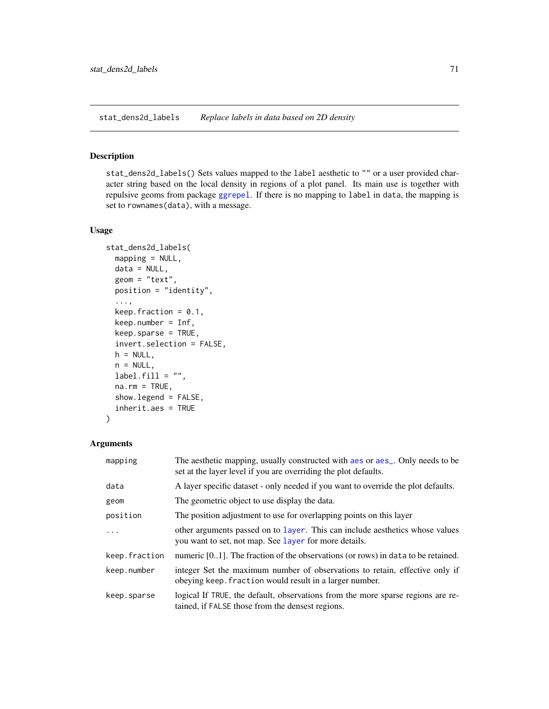<span id="page-70-0"></span>stat\_dens2d\_labels *Replace labels in data based on 2D density*

### Description

stat\_dens2d\_labels() Sets values mapped to the label aesthetic to "" or a user provided character string based on the local density in regions of a plot panel. Its main use is together with repulsive geoms from package [ggrepel](#page-0-0). If there is no mapping to label in data, the mapping is set to rownames(data), with a message.

#### Usage

```
stat_dens2d_labels(
 mapping = NULL,
 data = NULL,
  geom = "text",
 position = "identity",
  ...,
  keep.fraction = 0.1,
 keep.number = Inf,
 keep.sparse = TRUE,
  invert.selection = FALSE,
 h = NULL,n = NULL,label.fill = "",na.rm = TRUE,show.legend = FALSE,
  inherit.aes = TRUE
\mathcal{E}
```
# Arguments

| mapping       | The aesthetic mapping, usually constructed with a es or a es_. Only needs to be<br>set at the layer level if you are overriding the plot defaults. |
|---------------|----------------------------------------------------------------------------------------------------------------------------------------------------|
| data          | A layer specific dataset - only needed if you want to override the plot defaults.                                                                  |
| geom          | The geometric object to use display the data.                                                                                                      |
| position      | The position adjustment to use for overlapping points on this layer                                                                                |
| .             | other arguments passed on to layer. This can include aesthetics whose values<br>you want to set, not map. See layer for more details.              |
| keep.fraction | numeric $[01]$ . The fraction of the observations (or rows) in data to be retained.                                                                |
| keep.number   | integer Set the maximum number of observations to retain, effective only if<br>obeying keep. fraction would result in a larger number.             |
| keep.sparse   | logical If TRUE, the default, observations from the more sparse regions are re-<br>tained, if FALSE those from the densest regions.                |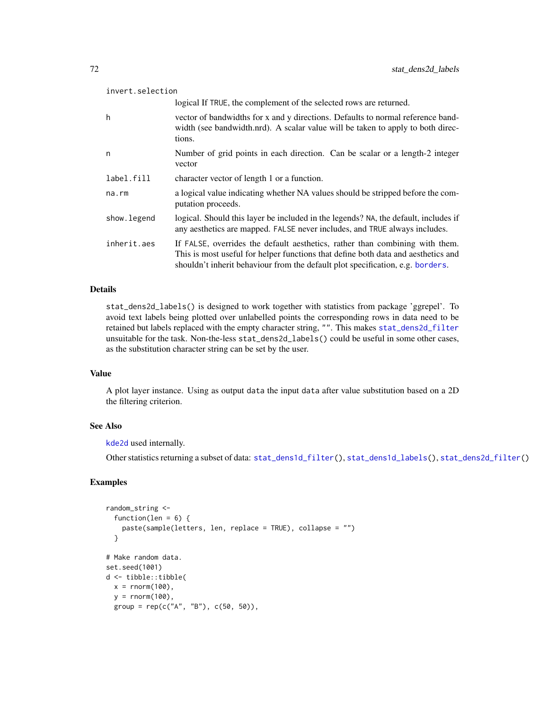| invert.selection |                                                                                                                                                                                                                                                     |  |
|------------------|-----------------------------------------------------------------------------------------------------------------------------------------------------------------------------------------------------------------------------------------------------|--|
|                  | logical If TRUE, the complement of the selected rows are returned.                                                                                                                                                                                  |  |
| h                | vector of bandwidths for x and y directions. Defaults to normal reference band-<br>width (see bandwidth.nrd). A scalar value will be taken to apply to both direc-<br>tions.                                                                        |  |
| n                | Number of grid points in each direction. Can be scalar or a length-2 integer<br>vector                                                                                                                                                              |  |
| label.fill       | character vector of length 1 or a function.                                                                                                                                                                                                         |  |
| $na$ . $rm$      | a logical value indicating whether NA values should be stripped before the com-<br>putation proceeds.                                                                                                                                               |  |
| show. legend     | logical. Should this layer be included in the legends? NA, the default, includes if<br>any aesthetics are mapped. FALSE never includes, and TRUE always includes.                                                                                   |  |
| inherit.aes      | If FALSE, overrides the default aesthetics, rather than combining with them.<br>This is most useful for helper functions that define both data and aesthetics and<br>shouldn't inherit behaviour from the default plot specification, e.g. borders. |  |

# Details

stat\_dens2d\_labels() is designed to work together with statistics from package 'ggrepel'. To avoid text labels being plotted over unlabelled points the corresponding rows in data need to be retained but labels replaced with the empty character string, "". This makes [stat\\_dens2d\\_filter](#page-66-0) unsuitable for the task. Non-the-less stat\_dens2d\_labels() could be useful in some other cases, as the substitution character string can be set by the user.

# Value

A plot layer instance. Using as output data the input data after value substitution based on a 2D the filtering criterion.

# See Also

[kde2d](#page-0-0) used internally.

Other statistics returning a subset of data: [stat\\_dens1d\\_filter\(](#page-59-0)), [stat\\_dens1d\\_labels\(](#page-63-0)), [stat\\_dens2d\\_filter\(](#page-66-0))

```
random_string <-
 function(len = 6) {
   paste(sample(letters, len, replace = TRUE), collapse = "")
 }
# Make random data.
set.seed(1001)
d <- tibble::tibble(
 x = \text{norm}(100),
 y = rnorm(100),
 group = rep(c("A", "B"), c(50, 50)),
```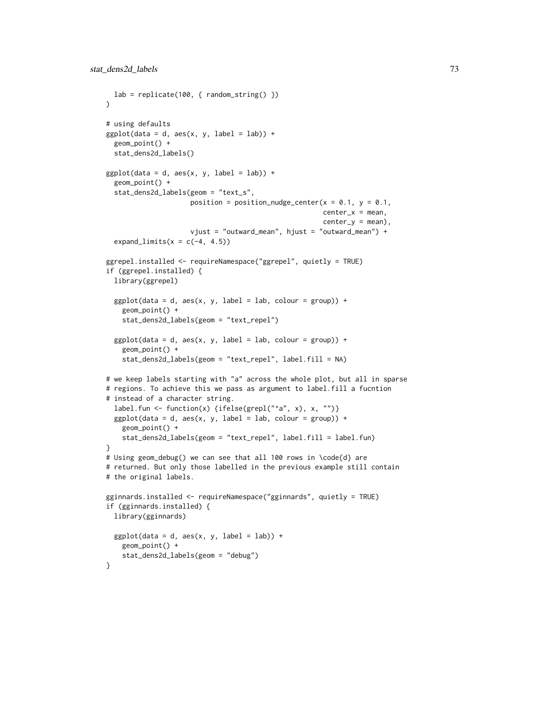```
lab = replicate(100, { random\_string() })\lambda# using defaults
ggplot(data = d, aes(x, y, label = lab)) +geom_point() +
 stat_dens2d_labels()
ggplot(data = d, aes(x, y, label = lab)) +geom_point() +
 stat_dens2d_labels(geom = "text_s",
                    position = position_nudge_center(x = 0.1, y = 0.1,
                                                      center_x = mean,center_y = mean),vjust = "outward_mean", hjust = "outward_mean") +
 expand_limits(x = c(-4, 4.5))
ggrepel.installed <- requireNamespace("ggrepel", quietly = TRUE)
if (ggrepel.installed) {
 library(ggrepel)
 ggplot(data = d, aes(x, y, label = lab, colour = group)) +geom_point() +
   stat_dens2d_labels(geom = "text_repel")
 ggplot(data = d, aes(x, y, label = lab, colour = group)) +geom_point() +
    stat_dens2d_labels(geom = "text_repel", label.fill = NA)
# we keep labels starting with "a" across the whole plot, but all in sparse
# regions. To achieve this we pass as argument to label.fill a fucntion
# instead of a character string.
 label.fun <- function(x) {ifelse(grepl("^a", x), x, "")}
 ggplot(data = d, aes(x, y, label = lab, colour = group)) +geom_point() +
   stat_dens2d_labels(geom = "text_repel", label.fill = label.fun)
}
# Using geom_debug() we can see that all 100 rows in \code{d} are
# returned. But only those labelled in the previous example still contain
# the original labels.
gginnards.installed <- requireNamespace("gginnards", quietly = TRUE)
if (gginnards.installed) {
 library(gginnards)
 ggplot(data = d, aes(x, y, label = lab)) +geom_point() +
   stat_dens2d_labels(geom = "debug")
}
```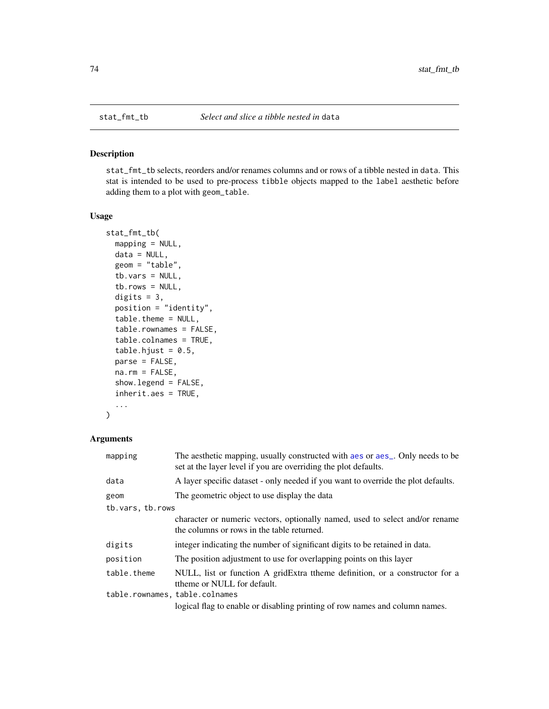<span id="page-73-0"></span>

## Description

stat\_fmt\_tb selects, reorders and/or renames columns and or rows of a tibble nested in data. This stat is intended to be used to pre-process tibble objects mapped to the label aesthetic before adding them to a plot with geom\_table.

## Usage

```
stat_fmt_tb(
 mapping = NULL,
 data = NULL,geom = "table",
  tb.vars = NULL,
  tb.rows = NULL,
  digits = 3,
 position = "identity",
  table.theme = NULL,
  table.rownames = FALSE,
  table.colnames = TRUE,
  table.hjust = 0.5,
 parse = FALSE,
 na.rm = FALSE,
  show.legend = FALSE,
  inherit.aes = TRUE,
  ...
)
```
## Arguments

| mapping                        | The aesthetic mapping, usually constructed with a es or a es_. Only needs to be<br>set at the layer level if you are overriding the plot defaults. |  |
|--------------------------------|----------------------------------------------------------------------------------------------------------------------------------------------------|--|
| data                           | A layer specific dataset - only needed if you want to override the plot defaults.                                                                  |  |
| geom                           | The geometric object to use display the data                                                                                                       |  |
| tb.vars, tb.rows               |                                                                                                                                                    |  |
|                                | character or numeric vectors, optionally named, used to select and/or rename<br>the columns or rows in the table returned.                         |  |
| digits                         | integer indicating the number of significant digits to be retained in data.                                                                        |  |
| position                       | The position adjustment to use for overlapping points on this layer                                                                                |  |
| table.theme                    | NULL, list or function A gridExtra theme definition, or a constructor for a<br>ttheme or NULL for default.                                         |  |
| table.rownames, table.colnames |                                                                                                                                                    |  |
|                                | logical flag to enable or disabling printing of row names and column names.                                                                        |  |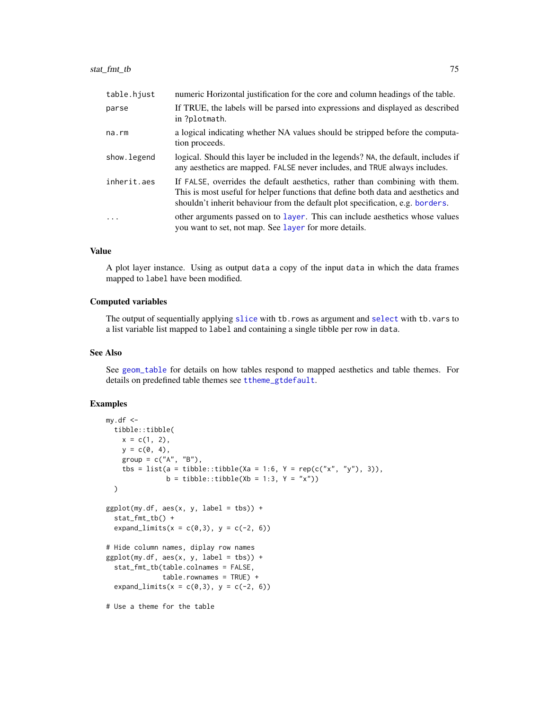<span id="page-74-0"></span>

| table.hjust | numeric Horizontal justification for the core and column headings of the table.                                                                                                                                                                     |
|-------------|-----------------------------------------------------------------------------------------------------------------------------------------------------------------------------------------------------------------------------------------------------|
| parse       | If TRUE, the labels will be parsed into expressions and displayed as described<br>in ?plotmath.                                                                                                                                                     |
| na.rm       | a logical indicating whether NA values should be stripped before the computa-<br>tion proceeds.                                                                                                                                                     |
| show.legend | logical. Should this layer be included in the legends? NA, the default, includes if<br>any aesthetics are mapped. FALSE never includes, and TRUE always includes.                                                                                   |
| inherit.aes | If FALSE, overrides the default aesthetics, rather than combining with them.<br>This is most useful for helper functions that define both data and aesthetics and<br>shouldn't inherit behaviour from the default plot specification, e.g. borders. |
| $\cdot$     | other arguments passed on to layer. This can include aesthetics whose values<br>you want to set, not map. See layer for more details.                                                                                                               |

## Value

A plot layer instance. Using as output data a copy of the input data in which the data frames mapped to label have been modified.

#### Computed variables

The output of sequentially applying [slice](#page-0-0) with tb.rows as argument and [select](#page-0-0) with tb.vars to a list variable list mapped to label and containing a single tibble per row in data.

#### See Also

See [geom\\_table](#page-23-0) for details on how tables respond to mapped aesthetics and table themes. For details on predefined table themes see [ttheme\\_gtdefault](#page-79-0).

```
my.df < -tibble::tibble(
   x = c(1, 2),
   y = c(0, 4),
   group = c("A", "B"),
   tbs = list(a = tibble::tibble(Xa = 1:6, Y = rep(c("x", "y"), 3)),b = tibble::tibble(Xb = 1:3, Y = "x")))
ggplot(my.df, aes(x, y, label = tbs)) +stat_fmt_tb() +
  expand_limits(x = c(0,3), y = c(-2, 6))
# Hide column names, diplay row names
ggplot(my.df, aes(x, y, label = tbs)) +stat_fmt_tb(table.colnames = FALSE,
              table. rownames = TRUE) +
  expand_limits(x = c(0,3), y = c(-2, 6))
# Use a theme for the table
```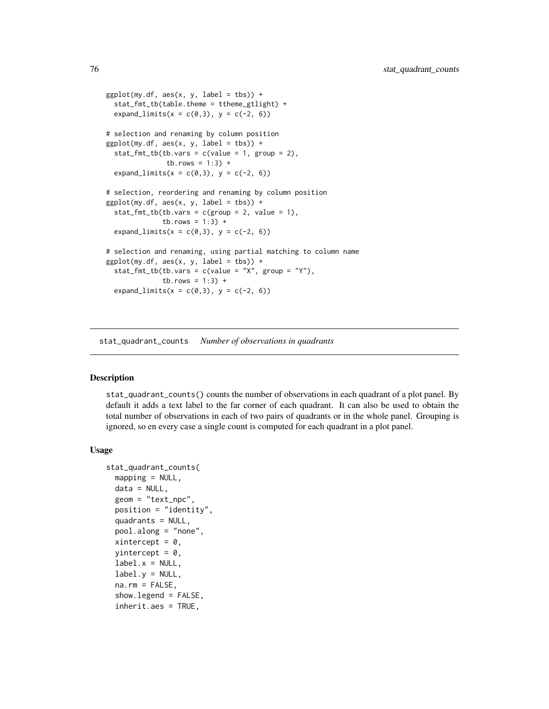```
ggplot(my.df, aes(x, y, label = tbs)) +stat_fmt_tb(table.theme = ttheme_gtlight) +
 expand_limits(x = c(0,3), y = c(-2, 6))
# selection and renaming by column position
ggplot(my.df, aes(x, y, label = tbs)) +stat_fmt_tb(tb.vars = c(value = 1, group = 2),
               tb.rows = 1:3) +
 expand_limits(x = c(0,3), y = c(-2, 6))
# selection, reordering and renaming by column position
ggplot(my.df, aes(x, y, label = tbs)) +stat_fmt_tb(tb.vars = c(group = 2, value = 1),tb. rows = 1:3) +expand_limits(x = c(0,3), y = c(-2, 6))
# selection and renaming, using partial matching to column name
ggplot(my.df, aes(x, y, label = tbs)) +stat_fmt_tb(tb.vars = c(value = "X", group = "Y"),
              tb.rows = 1:3) +
 expand_limits(x = c(0,3), y = c(-2, 6))
```
stat\_quadrant\_counts *Number of observations in quadrants*

#### Description

stat\_quadrant\_counts() counts the number of observations in each quadrant of a plot panel. By default it adds a text label to the far corner of each quadrant. It can also be used to obtain the total number of observations in each of two pairs of quadrants or in the whole panel. Grouping is ignored, so en every case a single count is computed for each quadrant in a plot panel.

#### Usage

```
stat_quadrant_counts(
 mapping = NULL,data = NULL,geom = "text_npc",
 position = "identity",
  quadrants = NULL,
 pool.along = "none",
 xintercept = 0,
 vintercept = 0,
  label.x = NULL,label.v = NULL,na.rm = FALSE,show.legend = FALSE,
 inherit.aes = TRUE,
```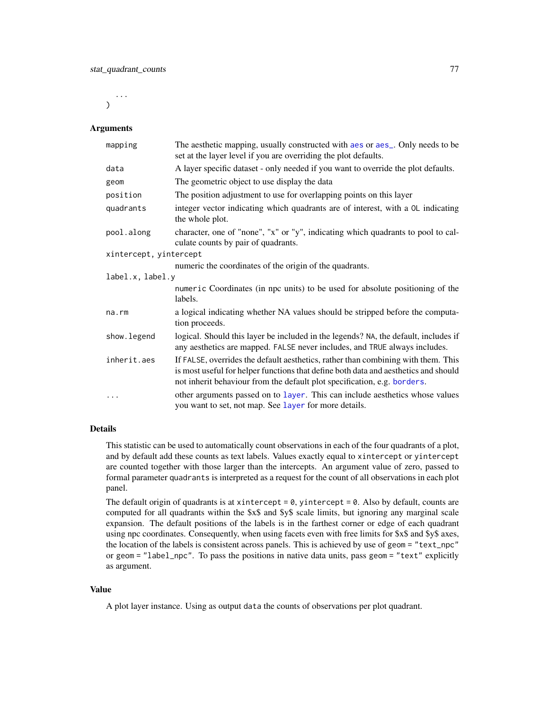<span id="page-76-0"></span>...  $\lambda$ 

# Arguments

| mapping                | The aesthetic mapping, usually constructed with aes or aes_. Only needs to be<br>set at the layer level if you are overriding the plot defaults.                                                                                                     |
|------------------------|------------------------------------------------------------------------------------------------------------------------------------------------------------------------------------------------------------------------------------------------------|
| data                   | A layer specific dataset - only needed if you want to override the plot defaults.                                                                                                                                                                    |
| geom                   | The geometric object to use display the data                                                                                                                                                                                                         |
| position               | The position adjustment to use for overlapping points on this layer                                                                                                                                                                                  |
| quadrants              | integer vector indicating which quadrants are of interest, with a OL indicating<br>the whole plot.                                                                                                                                                   |
| pool.along             | character, one of "none", "x" or "y", indicating which quadrants to pool to cal-<br>culate counts by pair of quadrants.                                                                                                                              |
| xintercept, yintercept |                                                                                                                                                                                                                                                      |
|                        | numeric the coordinates of the origin of the quadrants.                                                                                                                                                                                              |
| label.x, label.y       |                                                                                                                                                                                                                                                      |
|                        | numeric Coordinates (in npc units) to be used for absolute positioning of the<br>labels.                                                                                                                                                             |
| na.rm                  | a logical indicating whether NA values should be stripped before the computa-<br>tion proceeds.                                                                                                                                                      |
| show.legend            | logical. Should this layer be included in the legends? NA, the default, includes if<br>any aesthetics are mapped. FALSE never includes, and TRUE always includes.                                                                                    |
| inherit.aes            | If FALSE, overrides the default aesthetics, rather than combining with them. This<br>is most useful for helper functions that define both data and aesthetics and should<br>not inherit behaviour from the default plot specification, e.g. borders. |
| $\cdots$               | other arguments passed on to layer. This can include aesthetics whose values<br>you want to set, not map. See layer for more details.                                                                                                                |

## Details

This statistic can be used to automatically count observations in each of the four quadrants of a plot, and by default add these counts as text labels. Values exactly equal to xintercept or yintercept are counted together with those larger than the intercepts. An argument value of zero, passed to formal parameter quadrants is interpreted as a request for the count of all observations in each plot panel.

The default origin of quadrants is at xintercept =  $0$ , yintercept =  $0$ . Also by default, counts are computed for all quadrants within the \$x\$ and \$y\$ scale limits, but ignoring any marginal scale expansion. The default positions of the labels is in the farthest corner or edge of each quadrant using npc coordinates. Consequently, when using facets even with free limits for \$x\$ and \$y\$ axes, the location of the labels is consistent across panels. This is achieved by use of geom = "text\_npc" or geom = "label\_npc". To pass the positions in native data units, pass geom = "text" explicitly as argument.

#### Value

A plot layer instance. Using as output data the counts of observations per plot quadrant.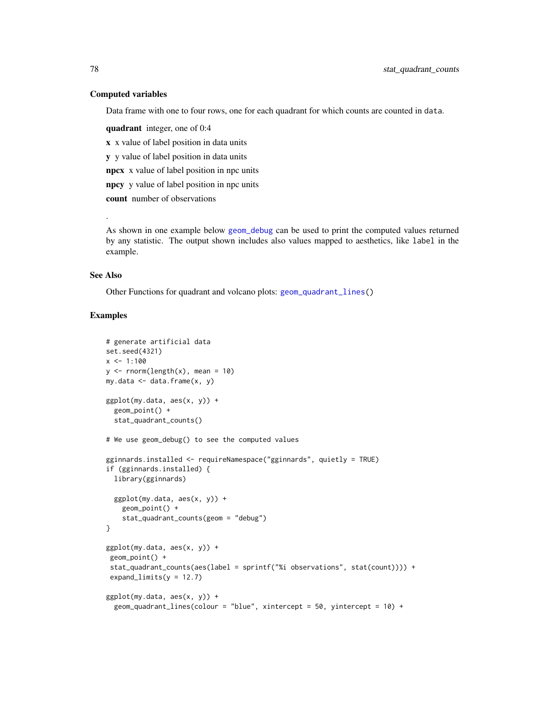## Computed variables

Data frame with one to four rows, one for each quadrant for which counts are counted in data.

quadrant integer, one of 0:4

x x value of label position in data units

y y value of label position in data units

npcx x value of label position in npc units

npcy y value of label position in npc units

count number of observations

As shown in one example below [geom\\_debug](#page-0-0) can be used to print the computed values returned by any statistic. The output shown includes also values mapped to aesthetics, like label in the example.

## See Also

.

Other Functions for quadrant and volcano plots: [geom\\_quadrant\\_lines\(](#page-21-0))

```
# generate artificial data
set.seed(4321)
x \le -1:100y \le - rnorm(length(x), mean = 10)
my.data \leftarrow data.frame(x, y)ggplot(my.data, aes(x, y)) +
  geom_point() +
  stat_quadrant_counts()
# We use geom_debug() to see the computed values
gginnards.installed <- requireNamespace("gginnards", quietly = TRUE)
if (gginnards.installed) {
  library(gginnards)
  ggplot(my.data, aes(x, y)) +geom_point() +
    stat_quadrant_counts(geom = "debug")
}
ggplot(my.data, aes(x, y)) +geom_point() +
 stat_quadrant_counts(aes(label = sprintf("%i observations", stat(count)))) +
 expand_limits(y = 12.7)
ggplot(my.data, aes(x, y)) +geom_quadrant_lines(colour = "blue", xintercept = 50, yintercept = 10) +
```
<span id="page-77-0"></span>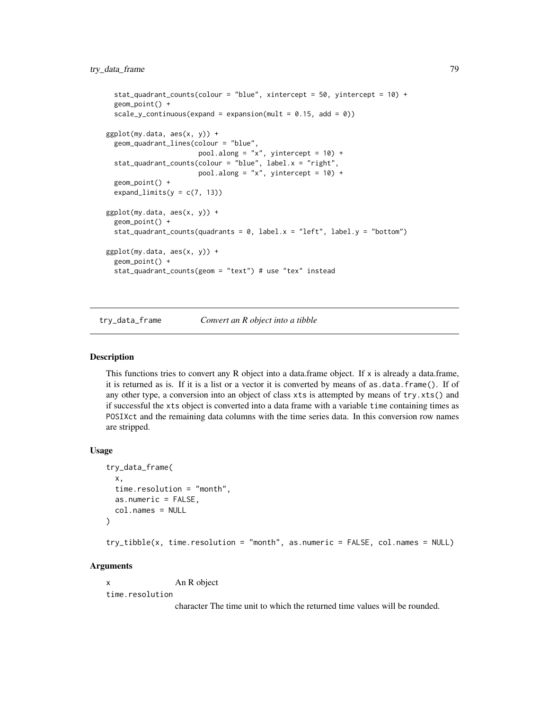```
stat_quadrant_counts(colour = "blue", xintercept = 50, yintercept = 10) +
 geom_point() +
 scale_y_continuous(expand = expansion(mult = 0.15, add = 0))
ggplot(my.data, aes(x, y)) +geom_quadrant_lines(colour = "blue",
                      pool.along = "x", yintercept = 10) +
 stat_quadrant_counts(colour = "blue", label.x = "right",
                      pool.along = "x", yintercept = 10) +
 geom_point() +
 expand_limits(y = c(7, 13))
ggplot(my.data, aes(x, y)) +
 geom_point() +
 stat_quadrant_counts(quadrants = 0, label.x = "left", label.y = "bottom")
ggplot(my.data, aes(x, y)) +
 geom_point() +
 stat_quadrant_counts(geom = "text") # use "tex" instead
```
try\_data\_frame *Convert an R object into a tibble*

#### Description

This functions tries to convert any R object into a data.frame object. If  $x$  is already a data.frame, it is returned as is. If it is a list or a vector it is converted by means of as.data.frame(). If of any other type, a conversion into an object of class xts is attempted by means of try.xts() and if successful the xts object is converted into a data frame with a variable time containing times as POSIXct and the remaining data columns with the time series data. In this conversion row names are stripped.

#### Usage

```
try_data_frame(
 x,
  time.resolution = "month",
 as.numeric = FALSE,
  col.names = NULL
)
try_tibble(x, time.resolution = "month", as.numeric = FALSE, col.names = NULL)
```
## Arguments

x An R object time.resolution

character The time unit to which the returned time values will be rounded.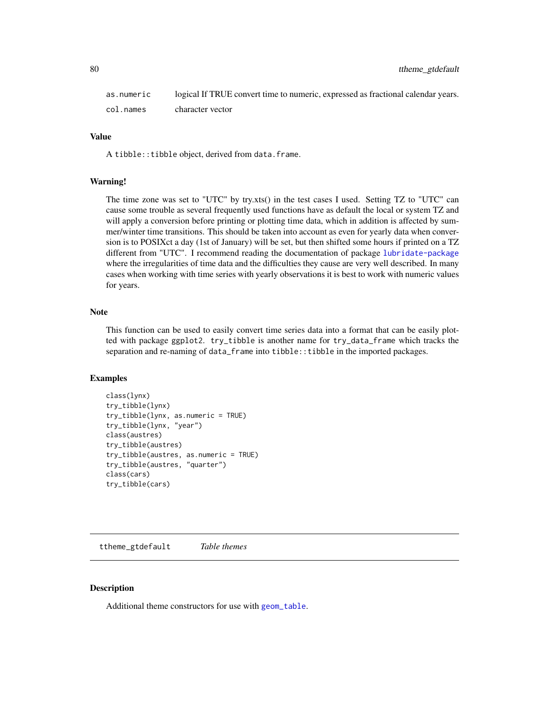<span id="page-79-1"></span>

| as.numeric | logical If TRUE convert time to numeric, expressed as fractional calendar years. |
|------------|----------------------------------------------------------------------------------|
| col.names  | character vector                                                                 |

## Value

A tibble:: tibble object, derived from data.frame.

#### Warning!

The time zone was set to "UTC" by try.xts() in the test cases I used. Setting TZ to "UTC" can cause some trouble as several frequently used functions have as default the local or system TZ and will apply a conversion before printing or plotting time data, which in addition is affected by summer/winter time transitions. This should be taken into account as even for yearly data when conversion is to POSIXct a day (1st of January) will be set, but then shifted some hours if printed on a TZ different from "UTC". I recommend reading the documentation of package [lubridate-package](#page-0-0) where the irregularities of time data and the difficulties they cause are very well described. In many cases when working with time series with yearly observations it is best to work with numeric values for years.

## **Note**

This function can be used to easily convert time series data into a format that can be easily plotted with package ggplot2. try\_tibble is another name for try\_data\_frame which tracks the separation and re-naming of data\_frame into tibble::tibble in the imported packages.

## Examples

```
class(lynx)
try_tibble(lynx)
try_tibble(lynx, as.numeric = TRUE)
try_tibble(lynx, "year")
class(austres)
try_tibble(austres)
try_tibble(austres, as.numeric = TRUE)
try_tibble(austres, "quarter")
class(cars)
try_tibble(cars)
```
<span id="page-79-0"></span>ttheme\_gtdefault *Table themes*

#### Description

Additional theme constructors for use with [geom\\_table](#page-23-0).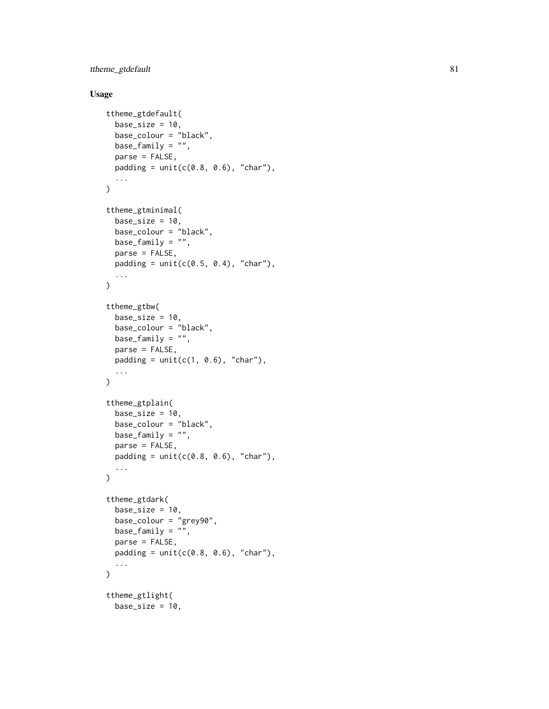ttheme\_gtdefault 81

# Usage

```
ttheme_gtdefault(
 base_size = 10,
 base_colour = "black",
 base_family = "",
 parse = FALSE,
 padding = unit(c(0.8, 0.6), "char"),...
\lambdattheme_gtminimal(
  base_size = 10,
 base_colour = "black",
 base_family = ",
 parse = FALSE,
 padding = unit(c(0.5, 0.4), "char"),...
\mathcal{L}ttheme_gtbw(
 base_size = 10,
 base_colour = "black",
 base_family = "",
 parse = FALSE,
 padding = unit(c(1, 0.6), 'char'),
  ...
\mathcal{L}ttheme_gtplain(
  base_size = 10,
 base_colour = "black",
 base_family = ",
 parse = FALSE,
 padding = unit(c(0.8, 0.6), "char"),...
\mathcal{L}ttheme_gtdark(
 base_size = 10,
 base_colour = "grey90",
 base_family = "",
 parse = FALSE,
 padding = unit(c(0.8, 0.6), "char"),
  ...
\mathcal{L}ttheme_gtlight(
 base_size = 10,
```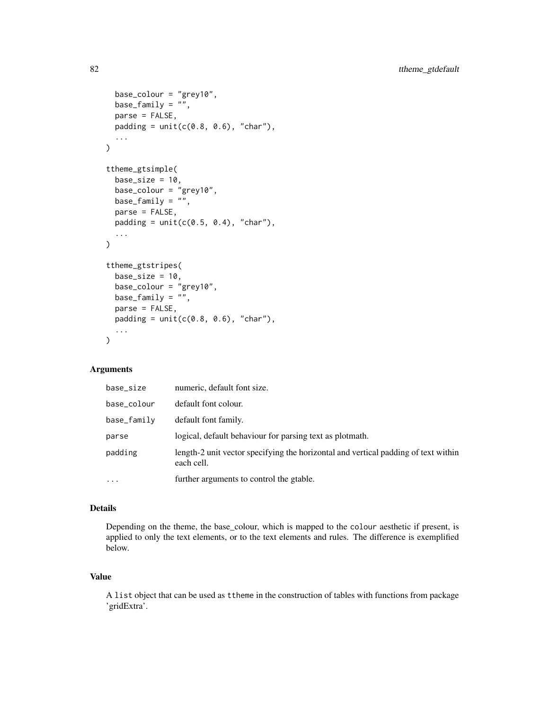```
base_colour = "grey10",
  base_family = ",
 parse = FALSE,
 padding = unit(c(0.8, 0.6), "char"),...
\mathcal{L}ttheme_gtsimple(
  base_size = 10,
 base_colour = "grey10",
 base_family = ",
 parse = FALSE,
 padding = unit(c(0.5, 0.4), "char"),...
)
ttheme_gtstripes(
 base_size = 10,
 base_colour = "grey10",
 base_family = \overline{''},
 parse = FALSE,
 padding = unit(c(0.8, 0.6), "char"),...
)
```
# Arguments

| base_size   | numeric, default font size.                                                                      |
|-------------|--------------------------------------------------------------------------------------------------|
| base_colour | default font colour.                                                                             |
| base_family | default font family.                                                                             |
| parse       | logical, default behaviour for parsing text as plotmath.                                         |
| padding     | length-2 unit vector specifying the horizontal and vertical padding of text within<br>each cell. |
| $\cdots$    | further arguments to control the gtable.                                                         |

## Details

Depending on the theme, the base\_colour, which is mapped to the colour aesthetic if present, is applied to only the text elements, or to the text elements and rules. The difference is exemplified below.

## Value

A list object that can be used as ttheme in the construction of tables with functions from package 'gridExtra'.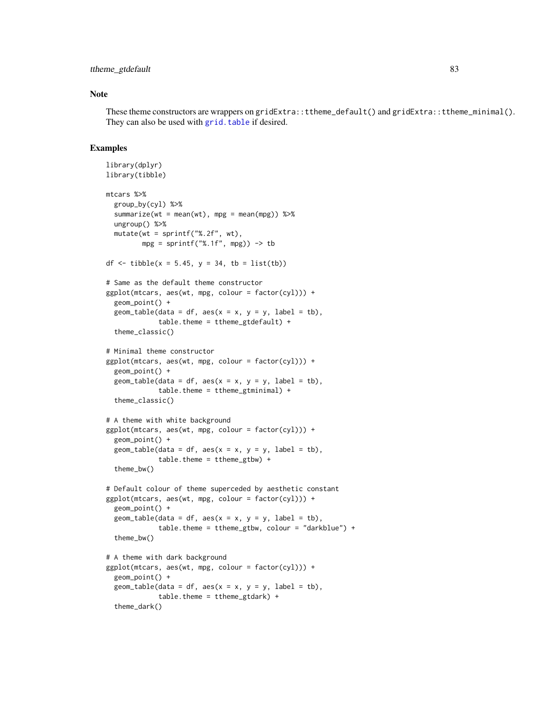## <span id="page-82-0"></span>ttheme\_gtdefault 83

## Note

These theme constructors are wrappers on gridExtra::ttheme\_default() and gridExtra::ttheme\_minimal(). They can also be used with [grid.table](#page-0-0) if desired.

```
library(dplyr)
library(tibble)
mtcars %>%
  group_by(cyl) %>%
  summarize(wt = mean(wt), mpg = mean(mpg)) %>%
  ungroup() %>%
  mutate(wt = sprintf("%, 2f", wt),mpg = sprint f("%, 1f", mpg) -> tb
df <- tibble(x = 5.45, y = 34, tb = list(tb))
# Same as the default theme constructor
ggplot(mtcars, aes(wt, mpg, colour = factor(cyl))) +geom_point() +
  geom\_table(data = df, aes(x = x, y = y, label = tb),table.theme = ttheme_gtdefault) +
  theme_classic()
# Minimal theme constructor
ggplot(mtcars, aes(wt, mpg, colour = factor(cyl))) +geom_point() +
  geom_table(data = df, aes(x = x, y = y, label = tb),
             table.theme = ttheme_gtminimal) +
  theme_classic()
# A theme with white background
ggplot(mtcars, aes(wt, mpg, colour = factor(cyl))) +geom_point() +
  geom_table(data = df, aes(x = x, y = y, label = tb),
             table. theme = ttheme_gtbw) +
  theme_bw()
# Default colour of theme superceded by aesthetic constant
ggplot(mtcars, aes(wt, mpg, colour = factor(cyl))) +geom_point() +
  geom\_table(data = df, aes(x = x, y = y, label = tb),table.theme = ttheme_gtbw, colour = "darkblue") +
  theme_bw()
# A theme with dark background
ggplot(mtcars, aes(wt, mpg, colour = factor(cyl))) +
  geom_point() +
  geom_table(data = df, aes(x = x, y = y, label = tb),
             table.theme = ttheme_gtdark) +
  theme_dark()
```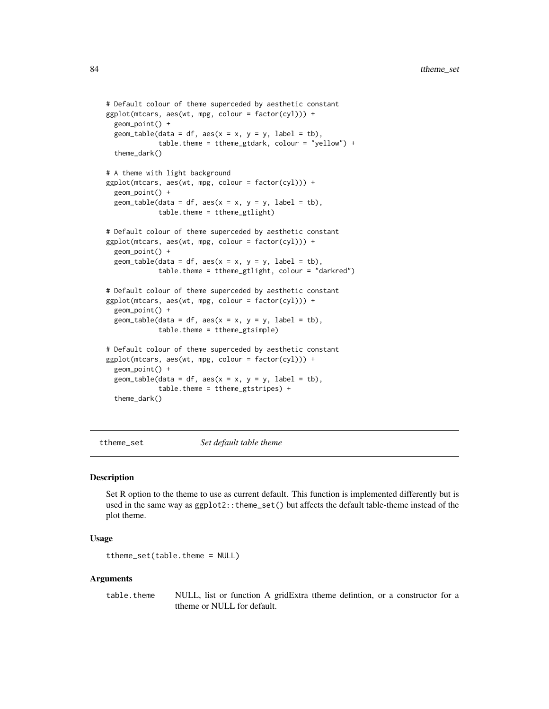```
# Default colour of theme superceded by aesthetic constant
ggplot(mtcars, aes(wt, mpg, colour = factor(cyl))) +
 geom_point() +
 geom_table(data = df, aes(x = x, y = y, label = tb),
             table.theme = ttheme_gtdark, colour = "yellow") +
 theme_dark()
# A theme with light background
ggplot(mtcars, aes(wt, mpg, colour = factor(cyl))) +
 geom_point() +
 geom\_table(data = df, aes(x = x, y = y, label = tb),table.theme = ttheme_gtlight)
# Default colour of theme superceded by aesthetic constant
ggplot(mtcars, aes(wt, mpg, colour = factor(cyl))) +
 geom_point() +
 geom_table(data = df, aes(x = x, y = y, label = tb),
             table.theme = ttheme_gtlight, colour = "darkred")
# Default colour of theme superceded by aesthetic constant
ggplot(mtcars, aes(wt, mpg, colour = factor(cyl))) +
 geom_point() +
 geom\_table(data = df, aes(x = x, y = y, label = tb),table.theme = ttheme_gtsimple)
# Default colour of theme superceded by aesthetic constant
ggplot(mtcars, aes(wt, mpg, colour = factor(cyl))) +geom_point() +
 geom\_table(data = df, aes(x = x, y = y, label = tb),table.theme = ttheme_gtstripes) +
 theme_dark()
```
ttheme\_set *Set default table theme*

#### Description

Set R option to the theme to use as current default. This function is implemented differently but is used in the same way as  $ggplot2$ ::theme\_set() but affects the default table-theme instead of the plot theme.

## Usage

```
ttheme_set(table.theme = NULL)
```
#### Arguments

table.theme NULL, list or function A gridExtra ttheme defintion, or a constructor for a ttheme or NULL for default.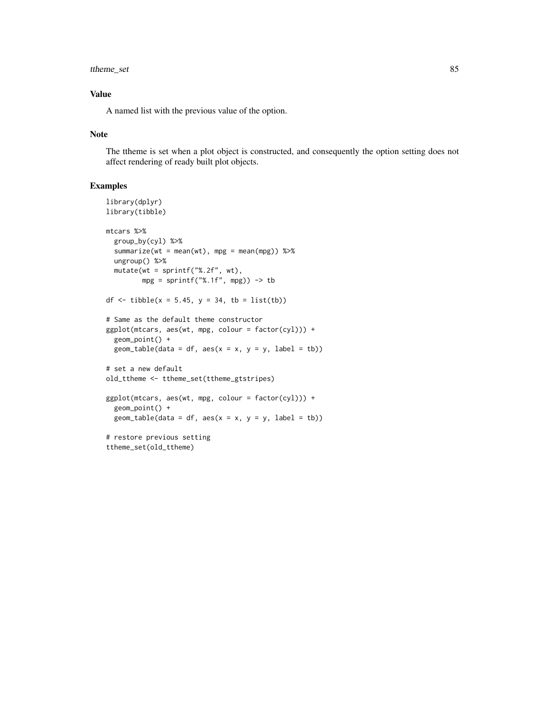# ttheme\_set 85

## Value

A named list with the previous value of the option.

## Note

The ttheme is set when a plot object is constructed, and consequently the option setting does not affect rendering of ready built plot objects.

```
library(dplyr)
library(tibble)
mtcars %>%
  group_by(cyl) %>%
  summarize(wt = mean(wt), mpg = mean(mpg)) %>%
  ungroup() %>%
  mutate(wt = sprintf("%.2f", wt),
         mpg = sprintf("%, 1f", mpg)) \rightarrow tbdf <- tibble(x = 5.45, y = 34, tb = list(tb))
# Same as the default theme constructor
ggplot(mtcars, aes(wt, mpg, colour = factor(cyl))) +
  geom_point() +
  geom_table(data = df, aes(x = x, y = y, label = tb))
# set a new default
old_ttheme <- ttheme_set(ttheme_gtstripes)
ggplot(mtcars, aes(wt, mpg, colour = factor(cyl))) +
  geom_point() +
  geom_table(data = df, aes(x = x, y = y, label = tb))
# restore previous setting
ttheme_set(old_ttheme)
```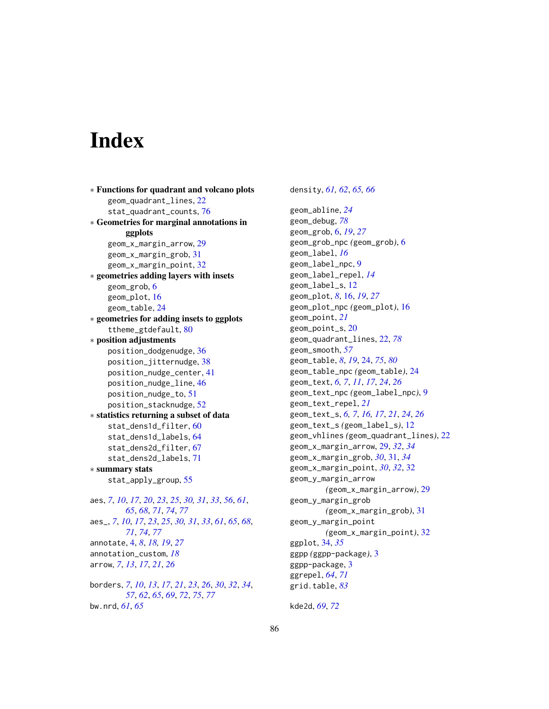# **Index**

```
∗ Functions for quadrant and volcano plots
    geom_quadrant_lines, 22
    stat_quadrant_counts, 76
∗ Geometries for marginal annotations in
         ggplots
    geom_x_margin_arrow, 29
    geom_x_margin_grob, 31
    geom_x_margin_point, 32
∗ geometries adding layers with insets
    geom_grob, 6
    geom_plot, 16
    geom_table, 24
∗ geometries for adding insets to ggplots
    ttheme_gtdefault, 80
∗ position adjustments
    position_dodgenudge, 36
    position_jitternudge, 38
    position_nudge_center, 41
    position_nudge_line, 46
    position_nudge_to, 51
    position_stacknudge, 52
∗ statistics returning a subset of data
    stat_dens1d_filter, 60
    stat_dens1d_labels, 64
    stat_dens2d_filter, 67
    stat_dens2d_labels, 71
∗ summary stats
    stat_apply_group, 55
aes, 7, 10, 17, 20, 23, 25, 30, 31, 33, 56, 61,
         65, 68, 71, 74, 77
aes_, 7, 10, 17, 23, 25, 30, 31, 33, 61, 65, 68,
         71, 74, 77
annotate, 4, 8, 18, 19, 27
annotation_custom, 18
arrow, 7, 13, 17, 21, 26
borders, 7, 10, 13, 17, 21, 23, 26, 30, 32, 34,
         57, 62, 65, 69, 72, 75, 77
bw.nrd, 61, 65
```
density, *[61,](#page-60-0) [62](#page-61-0)*, *[65,](#page-64-0) [66](#page-65-0)* geom\_abline, *[24](#page-23-1)* geom\_debug, *[78](#page-77-0)* geom\_grob, [6,](#page-5-0) *[19](#page-18-0)*, *[27](#page-26-0)* geom\_grob\_npc *(*geom\_grob*)*, [6](#page-5-0) geom\_label, *[16](#page-15-0)* geom\_label\_npc, [9](#page-8-0) geom\_label\_repel, *[14](#page-13-0)* geom\_label\_s, [12](#page-11-0) geom\_plot, *[8](#page-7-0)*, [16,](#page-15-0) *[19](#page-18-0)*, *[27](#page-26-0)* geom\_plot\_npc *(*geom\_plot*)*, [16](#page-15-0) geom\_point, *[21](#page-20-0)* geom\_point\_s, [20](#page-19-0) geom\_quadrant\_lines, [22,](#page-21-1) *[78](#page-77-0)* geom\_smooth, *[57](#page-56-0)* geom\_table, *[8](#page-7-0)*, *[19](#page-18-0)*, [24,](#page-23-1) *[75](#page-74-0)*, *[80](#page-79-1)* geom\_table\_npc *(*geom\_table*)*, [24](#page-23-1) geom\_text, *[6,](#page-5-0) [7](#page-6-0)*, *[11](#page-10-0)*, *[17](#page-16-0)*, *[24](#page-23-1)*, *[26](#page-25-0)* geom\_text\_npc *(*geom\_label\_npc*)*, [9](#page-8-0) geom\_text\_repel, *[21](#page-20-0)* geom\_text\_s, *[6,](#page-5-0) [7](#page-6-0)*, *[16,](#page-15-0) [17](#page-16-0)*, *[21](#page-20-0)*, *[24](#page-23-1)*, *[26](#page-25-0)* geom\_text\_s *(*geom\_label\_s*)*, [12](#page-11-0) geom\_vhlines *(*geom\_quadrant\_lines*)*, [22](#page-21-1) geom\_x\_margin\_arrow, [29,](#page-28-0) *[32](#page-31-0)*, *[34](#page-33-0)* geom\_x\_margin\_grob, *[30](#page-29-0)*, [31,](#page-30-0) *[34](#page-33-0)* geom\_x\_margin\_point, *[30](#page-29-0)*, *[32](#page-31-0)*, [32](#page-31-0) geom\_y\_margin\_arrow *(*geom\_x\_margin\_arrow*)*, [29](#page-28-0) geom\_y\_margin\_grob *(*geom\_x\_margin\_grob*)*, [31](#page-30-0) geom\_y\_margin\_point *(*geom\_x\_margin\_point*)*, [32](#page-31-0) ggplot, [34,](#page-33-0) *[35](#page-34-0)* ggpp *(*ggpp-package*)*, [3](#page-2-0) ggpp-package, [3](#page-2-0) ggrepel, *[64](#page-63-0)*, *[71](#page-70-0)* grid.table, *[83](#page-82-0)*

kde2d, *[69](#page-68-0)*, *[72](#page-71-0)*